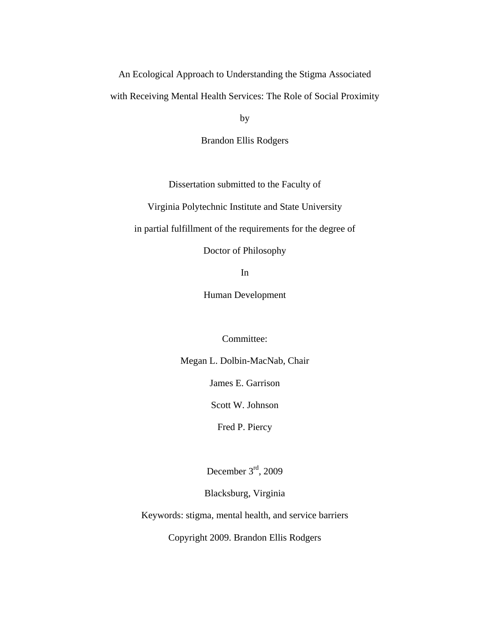An Ecological Approach to Understanding the Stigma Associated

with Receiving Mental Health Services: The Role of Social Proximity

by

Brandon Ellis Rodgers

Dissertation submitted to the Faculty of

Virginia Polytechnic Institute and State University

in partial fulfillment of the requirements for the degree of

Doctor of Philosophy

In

Human Development

Committee:

Megan L. Dolbin-MacNab, Chair

James E. Garrison

Scott W. Johnson

Fred P. Piercy

December 3rd, 2009

Blacksburg, Virginia

Keywords: stigma, mental health, and service barriers

Copyright 2009. Brandon Ellis Rodgers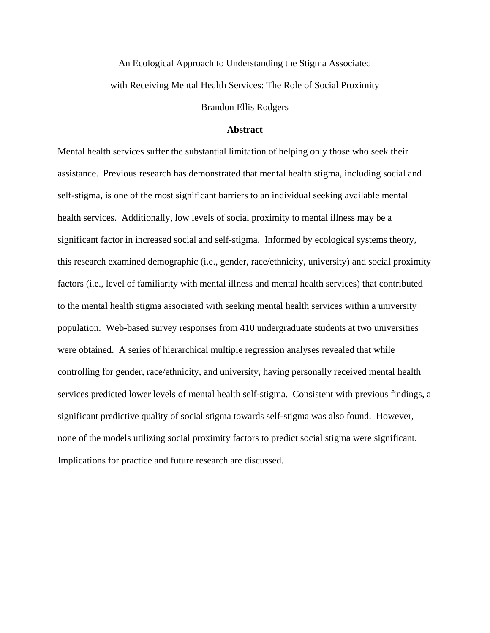# An Ecological Approach to Understanding the Stigma Associated with Receiving Mental Health Services: The Role of Social Proximity

Brandon Ellis Rodgers

#### **Abstract**

Mental health services suffer the substantial limitation of helping only those who seek their assistance. Previous research has demonstrated that mental health stigma, including social and self-stigma, is one of the most significant barriers to an individual seeking available mental health services. Additionally, low levels of social proximity to mental illness may be a significant factor in increased social and self-stigma. Informed by ecological systems theory, this research examined demographic (i.e., gender, race/ethnicity, university) and social proximity factors (i.e., level of familiarity with mental illness and mental health services) that contributed to the mental health stigma associated with seeking mental health services within a university population. Web-based survey responses from 410 undergraduate students at two universities were obtained. A series of hierarchical multiple regression analyses revealed that while controlling for gender, race/ethnicity, and university, having personally received mental health services predicted lower levels of mental health self-stigma. Consistent with previous findings, a significant predictive quality of social stigma towards self-stigma was also found. However, none of the models utilizing social proximity factors to predict social stigma were significant. Implications for practice and future research are discussed.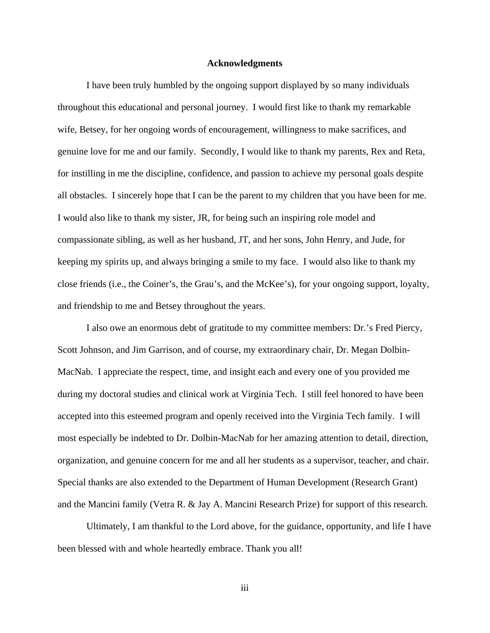#### **Acknowledgments**

I have been truly humbled by the ongoing support displayed by so many individuals throughout this educational and personal journey. I would first like to thank my remarkable wife, Betsey, for her ongoing words of encouragement, willingness to make sacrifices, and genuine love for me and our family. Secondly, I would like to thank my parents, Rex and Reta, for instilling in me the discipline, confidence, and passion to achieve my personal goals despite all obstacles. I sincerely hope that I can be the parent to my children that you have been for me. I would also like to thank my sister, JR, for being such an inspiring role model and compassionate sibling, as well as her husband, JT, and her sons, John Henry, and Jude, for keeping my spirits up, and always bringing a smile to my face. I would also like to thank my close friends (i.e., the Coiner's, the Grau's, and the McKee's), for your ongoing support, loyalty, and friendship to me and Betsey throughout the years.

 I also owe an enormous debt of gratitude to my committee members: Dr.'s Fred Piercy, Scott Johnson, and Jim Garrison, and of course, my extraordinary chair, Dr. Megan Dolbin-MacNab. I appreciate the respect, time, and insight each and every one of you provided me during my doctoral studies and clinical work at Virginia Tech. I still feel honored to have been accepted into this esteemed program and openly received into the Virginia Tech family. I will most especially be indebted to Dr. Dolbin-MacNab for her amazing attention to detail, direction, organization, and genuine concern for me and all her students as a supervisor, teacher, and chair. Special thanks are also extended to the Department of Human Development (Research Grant) and the Mancini family (Vetra R. & Jay A. Mancini Research Prize) for support of this research.

Ultimately, I am thankful to the Lord above, for the guidance, opportunity, and life I have been blessed with and whole heartedly embrace. Thank you all!

iii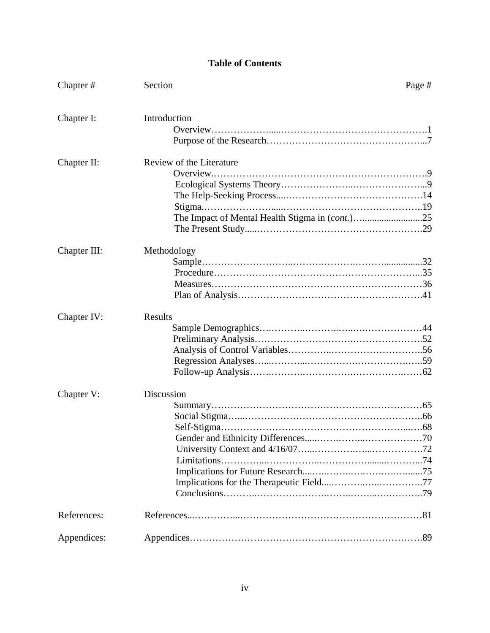### **Table of Contents**

| Chapter#     | Section                  | Page # |
|--------------|--------------------------|--------|
| Chapter I:   | Introduction             |        |
| Chapter II:  | Review of the Literature |        |
| Chapter III: | Methodology              |        |
| Chapter IV:  | Results                  |        |
| Chapter V:   | Discussion               |        |
| References:  |                          |        |
| Appendices:  |                          |        |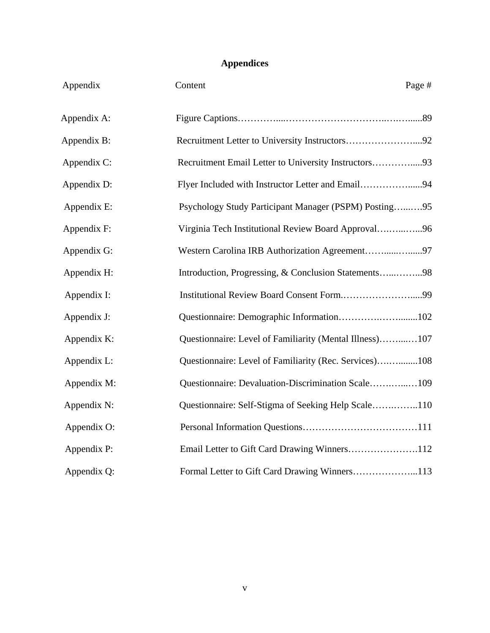## **Appendices**

| Page # | Content                                                 | Appendix    |
|--------|---------------------------------------------------------|-------------|
|        |                                                         | Appendix A: |
|        | Recruitment Letter to University Instructors92          | Appendix B: |
|        | Recruitment Email Letter to University Instructors93    | Appendix C: |
|        | Flyer Included with Instructor Letter and Email94       | Appendix D: |
|        | Psychology Study Participant Manager (PSPM) Posting95   | Appendix E: |
|        | Virginia Tech Institutional Review Board Approval96     | Appendix F: |
|        | Western Carolina IRB Authorization Agreement97          | Appendix G: |
|        | Introduction, Progressing, & Conclusion Statements98    | Appendix H: |
|        | Institutional Review Board Consent Form99               | Appendix I: |
|        | Questionnaire: Demographic Information102               | Appendix J: |
|        | Questionnaire: Level of Familiarity (Mental Illness)107 | Appendix K: |
|        | Questionnaire: Level of Familiarity (Rec. Services)108  | Appendix L: |
|        | Questionnaire: Devaluation-Discrimination Scale109      | Appendix M: |
|        | Questionnaire: Self-Stigma of Seeking Help Scale110     | Appendix N: |
|        |                                                         | Appendix O: |
|        | Email Letter to Gift Card Drawing Winners112            | Appendix P: |
|        | Formal Letter to Gift Card Drawing Winners113           | Appendix Q: |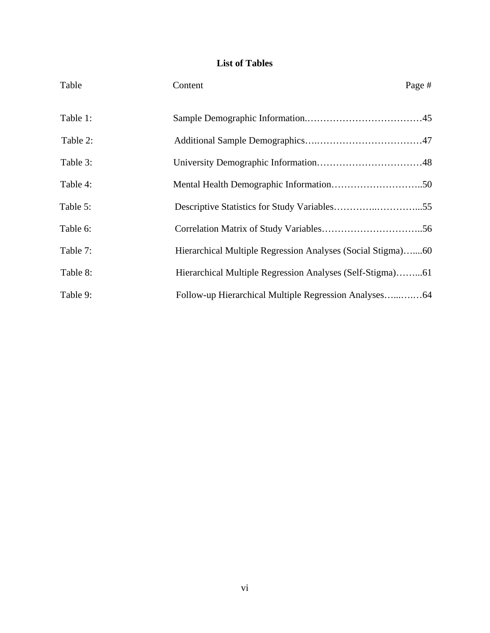## **List of Tables**

| Table    | Content                                                     | Page # |
|----------|-------------------------------------------------------------|--------|
| Table 1: |                                                             |        |
| Table 2: |                                                             |        |
| Table 3: |                                                             |        |
| Table 4: |                                                             |        |
| Table 5: |                                                             |        |
| Table 6: |                                                             |        |
| Table 7: | Hierarchical Multiple Regression Analyses (Social Stigma)60 |        |
| Table 8: | Hierarchical Multiple Regression Analyses (Self-Stigma)61   |        |
| Table 9: |                                                             |        |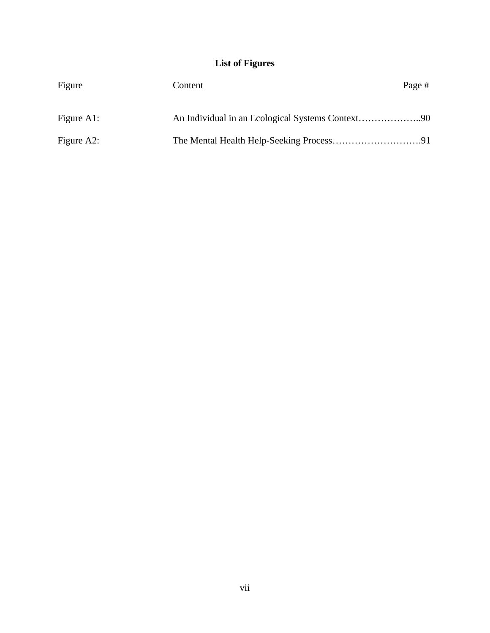## **List of Figures**

| Figure        | Content | Page # |
|---------------|---------|--------|
| Figure $A1$ : |         |        |
| Figure $A2$ : |         |        |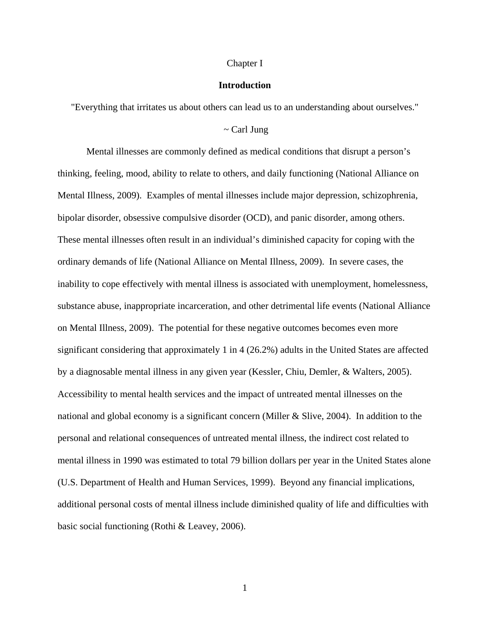#### Chapter I

#### **Introduction**

"Everything that irritates us about others can lead us to an understanding about ourselves."

#### $\sim$  Carl Jung

Mental illnesses are commonly defined as medical conditions that disrupt a person's thinking, feeling, mood, ability to relate to others, and daily functioning (National Alliance on Mental Illness, 2009). Examples of mental illnesses include major depression, schizophrenia, bipolar disorder, obsessive compulsive disorder (OCD), and panic disorder, among others. These mental illnesses often result in an individual's diminished capacity for coping with the ordinary demands of life (National Alliance on Mental Illness, 2009). In severe cases, the inability to cope effectively with mental illness is associated with unemployment, homelessness, substance abuse, inappropriate incarceration, and other detrimental life events (National Alliance on Mental Illness, 2009). The potential for these negative outcomes becomes even more significant considering that approximately 1 in 4 (26.2%) adults in the United States are affected by a diagnosable mental illness in any given year (Kessler, Chiu, Demler, & Walters, 2005). Accessibility to mental health services and the impact of untreated mental illnesses on the national and global economy is a significant concern (Miller & Slive, 2004). In addition to the personal and relational consequences of untreated mental illness, the indirect cost related to mental illness in 1990 was estimated to total 79 billion dollars per year in the United States alone (U.S. Department of Health and Human Services, 1999). Beyond any financial implications, additional personal costs of mental illness include diminished quality of life and difficulties with basic social functioning (Rothi & Leavey, 2006).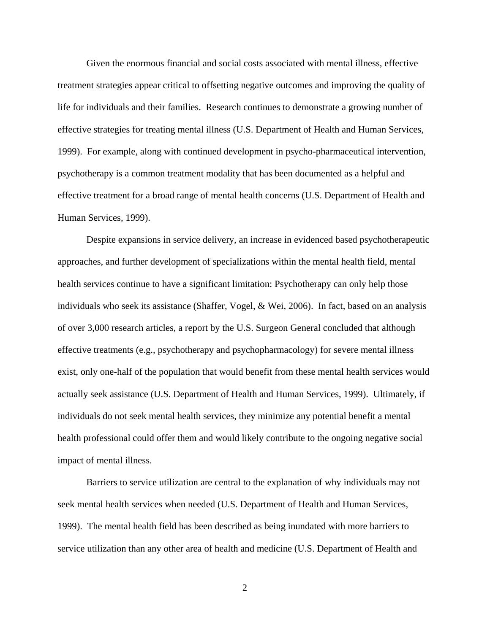Given the enormous financial and social costs associated with mental illness, effective treatment strategies appear critical to offsetting negative outcomes and improving the quality of life for individuals and their families. Research continues to demonstrate a growing number of effective strategies for treating mental illness (U.S. Department of Health and Human Services, 1999). For example, along with continued development in psycho-pharmaceutical intervention, psychotherapy is a common treatment modality that has been documented as a helpful and effective treatment for a broad range of mental health concerns (U.S. Department of Health and Human Services, 1999).

Despite expansions in service delivery, an increase in evidenced based psychotherapeutic approaches, and further development of specializations within the mental health field, mental health services continue to have a significant limitation: Psychotherapy can only help those individuals who seek its assistance (Shaffer, Vogel, & Wei, 2006). In fact, based on an analysis of over 3,000 research articles, a report by the U.S. Surgeon General concluded that although effective treatments (e.g., psychotherapy and psychopharmacology) for severe mental illness exist, only one-half of the population that would benefit from these mental health services would actually seek assistance (U.S. Department of Health and Human Services, 1999). Ultimately, if individuals do not seek mental health services, they minimize any potential benefit a mental health professional could offer them and would likely contribute to the ongoing negative social impact of mental illness.

Barriers to service utilization are central to the explanation of why individuals may not seek mental health services when needed (U.S. Department of Health and Human Services, 1999). The mental health field has been described as being inundated with more barriers to service utilization than any other area of health and medicine (U.S. Department of Health and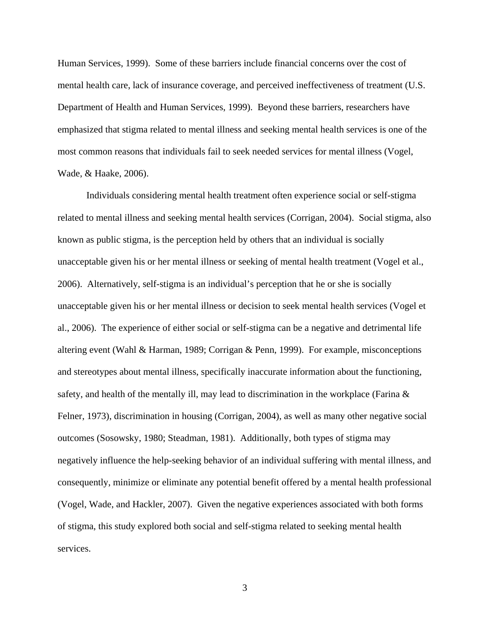Human Services, 1999). Some of these barriers include financial concerns over the cost of mental health care, lack of insurance coverage, and perceived ineffectiveness of treatment (U.S. Department of Health and Human Services, 1999). Beyond these barriers, researchers have emphasized that stigma related to mental illness and seeking mental health services is one of the most common reasons that individuals fail to seek needed services for mental illness (Vogel, Wade, & Haake, 2006).

Individuals considering mental health treatment often experience social or self-stigma related to mental illness and seeking mental health services (Corrigan, 2004). Social stigma, also known as public stigma, is the perception held by others that an individual is socially unacceptable given his or her mental illness or seeking of mental health treatment (Vogel et al., 2006). Alternatively, self-stigma is an individual's perception that he or she is socially unacceptable given his or her mental illness or decision to seek mental health services (Vogel et al., 2006). The experience of either social or self-stigma can be a negative and detrimental life altering event (Wahl & Harman, 1989; Corrigan & Penn, 1999). For example, misconceptions and stereotypes about mental illness, specifically inaccurate information about the functioning, safety, and health of the mentally ill, may lead to discrimination in the workplace (Farina  $\&$ Felner, 1973), discrimination in housing (Corrigan, 2004), as well as many other negative social outcomes (Sosowsky, 1980; Steadman, 1981). Additionally, both types of stigma may negatively influence the help-seeking behavior of an individual suffering with mental illness, and consequently, minimize or eliminate any potential benefit offered by a mental health professional (Vogel, Wade, and Hackler, 2007). Given the negative experiences associated with both forms of stigma, this study explored both social and self-stigma related to seeking mental health services.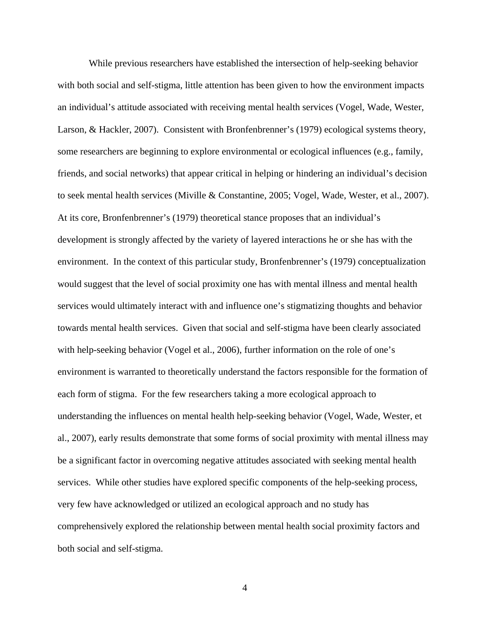While previous researchers have established the intersection of help-seeking behavior with both social and self-stigma, little attention has been given to how the environment impacts an individual's attitude associated with receiving mental health services (Vogel, Wade, Wester, Larson, & Hackler, 2007). Consistent with Bronfenbrenner's (1979) ecological systems theory, some researchers are beginning to explore environmental or ecological influences (e.g., family, friends, and social networks) that appear critical in helping or hindering an individual's decision to seek mental health services (Miville & Constantine, 2005; Vogel, Wade, Wester, et al., 2007). At its core, Bronfenbrenner's (1979) theoretical stance proposes that an individual's development is strongly affected by the variety of layered interactions he or she has with the environment. In the context of this particular study, Bronfenbrenner's (1979) conceptualization would suggest that the level of social proximity one has with mental illness and mental health services would ultimately interact with and influence one's stigmatizing thoughts and behavior towards mental health services. Given that social and self-stigma have been clearly associated with help-seeking behavior (Vogel et al., 2006), further information on the role of one's environment is warranted to theoretically understand the factors responsible for the formation of each form of stigma. For the few researchers taking a more ecological approach to understanding the influences on mental health help-seeking behavior (Vogel, Wade, Wester, et al., 2007), early results demonstrate that some forms of social proximity with mental illness may be a significant factor in overcoming negative attitudes associated with seeking mental health services. While other studies have explored specific components of the help-seeking process, very few have acknowledged or utilized an ecological approach and no study has comprehensively explored the relationship between mental health social proximity factors and both social and self-stigma.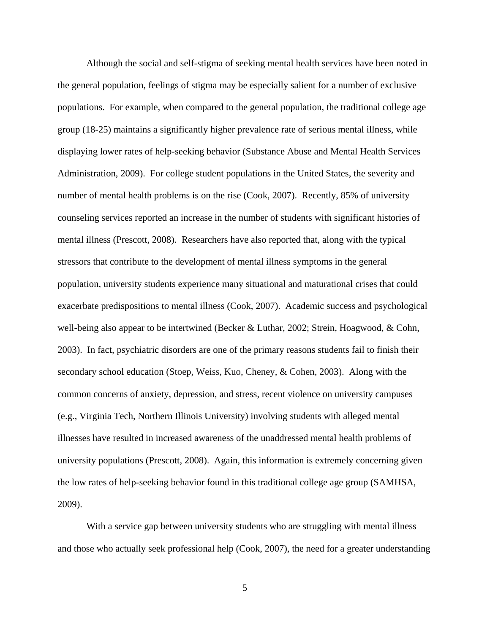Although the social and self-stigma of seeking mental health services have been noted in the general population, feelings of stigma may be especially salient for a number of exclusive populations. For example, when compared to the general population, the traditional college age group (18-25) maintains a significantly higher prevalence rate of serious mental illness, while displaying lower rates of help-seeking behavior (Substance Abuse and Mental Health Services Administration, 2009). For college student populations in the United States, the severity and number of mental health problems is on the rise (Cook, 2007). Recently, 85% of university counseling services reported an increase in the number of students with significant histories of mental illness (Prescott, 2008). Researchers have also reported that, along with the typical stressors that contribute to the development of mental illness symptoms in the general population, university students experience many situational and maturational crises that could exacerbate predispositions to mental illness (Cook, 2007). Academic success and psychological well-being also appear to be intertwined (Becker & Luthar, 2002; Strein, Hoagwood, & Cohn, 2003). In fact, psychiatric disorders are one of the primary reasons students fail to finish their secondary school education (Stoep, Weiss, Kuo, Cheney, & Cohen, 2003). Along with the common concerns of anxiety, depression, and stress, recent violence on university campuses (e.g., Virginia Tech, Northern Illinois University) involving students with alleged mental illnesses have resulted in increased awareness of the unaddressed mental health problems of university populations (Prescott, 2008). Again, this information is extremely concerning given the low rates of help-seeking behavior found in this traditional college age group (SAMHSA, 2009).

With a service gap between university students who are struggling with mental illness and those who actually seek professional help (Cook, 2007), the need for a greater understanding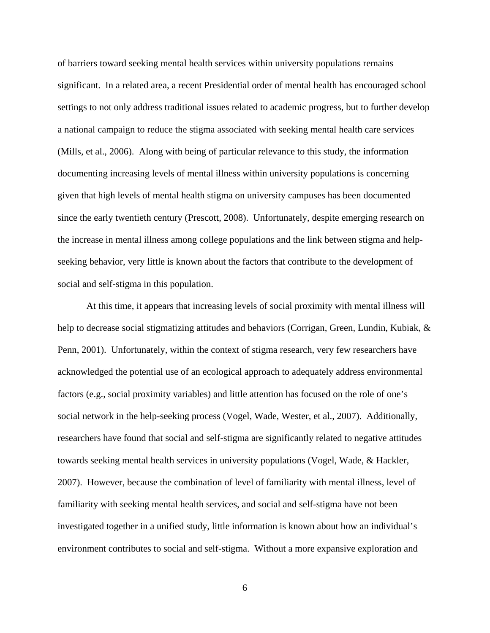of barriers toward seeking mental health services within university populations remains significant. In a related area, a recent Presidential order of mental health has encouraged school settings to not only address traditional issues related to academic progress, but to further develop a national campaign to reduce the stigma associated with seeking mental health care services (Mills, et al., 2006). Along with being of particular relevance to this study, the information documenting increasing levels of mental illness within university populations is concerning given that high levels of mental health stigma on university campuses has been documented since the early twentieth century (Prescott, 2008). Unfortunately, despite emerging research on the increase in mental illness among college populations and the link between stigma and helpseeking behavior, very little is known about the factors that contribute to the development of social and self-stigma in this population.

At this time, it appears that increasing levels of social proximity with mental illness will help to decrease social stigmatizing attitudes and behaviors (Corrigan, Green, Lundin, Kubiak, & Penn, 2001). Unfortunately, within the context of stigma research, very few researchers have acknowledged the potential use of an ecological approach to adequately address environmental factors (e.g., social proximity variables) and little attention has focused on the role of one's social network in the help-seeking process (Vogel, Wade, Wester, et al., 2007). Additionally, researchers have found that social and self-stigma are significantly related to negative attitudes towards seeking mental health services in university populations (Vogel, Wade, & Hackler, 2007). However, because the combination of level of familiarity with mental illness, level of familiarity with seeking mental health services, and social and self-stigma have not been investigated together in a unified study, little information is known about how an individual's environment contributes to social and self-stigma. Without a more expansive exploration and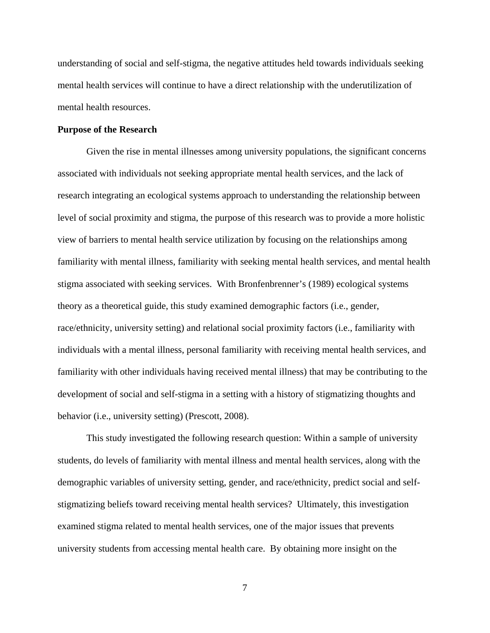understanding of social and self-stigma, the negative attitudes held towards individuals seeking mental health services will continue to have a direct relationship with the underutilization of mental health resources.

#### **Purpose of the Research**

Given the rise in mental illnesses among university populations, the significant concerns associated with individuals not seeking appropriate mental health services, and the lack of research integrating an ecological systems approach to understanding the relationship between level of social proximity and stigma, the purpose of this research was to provide a more holistic view of barriers to mental health service utilization by focusing on the relationships among familiarity with mental illness, familiarity with seeking mental health services, and mental health stigma associated with seeking services. With Bronfenbrenner's (1989) ecological systems theory as a theoretical guide, this study examined demographic factors (i.e., gender, race/ethnicity, university setting) and relational social proximity factors (i.e., familiarity with individuals with a mental illness, personal familiarity with receiving mental health services, and familiarity with other individuals having received mental illness) that may be contributing to the development of social and self-stigma in a setting with a history of stigmatizing thoughts and behavior (i.e., university setting) (Prescott, 2008).

This study investigated the following research question: Within a sample of university students, do levels of familiarity with mental illness and mental health services, along with the demographic variables of university setting, gender, and race/ethnicity, predict social and selfstigmatizing beliefs toward receiving mental health services? Ultimately, this investigation examined stigma related to mental health services, one of the major issues that prevents university students from accessing mental health care. By obtaining more insight on the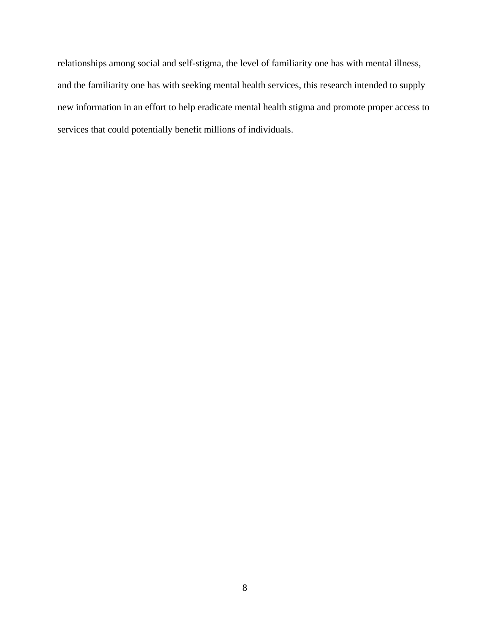relationships among social and self-stigma, the level of familiarity one has with mental illness, and the familiarity one has with seeking mental health services, this research intended to supply new information in an effort to help eradicate mental health stigma and promote proper access to services that could potentially benefit millions of individuals.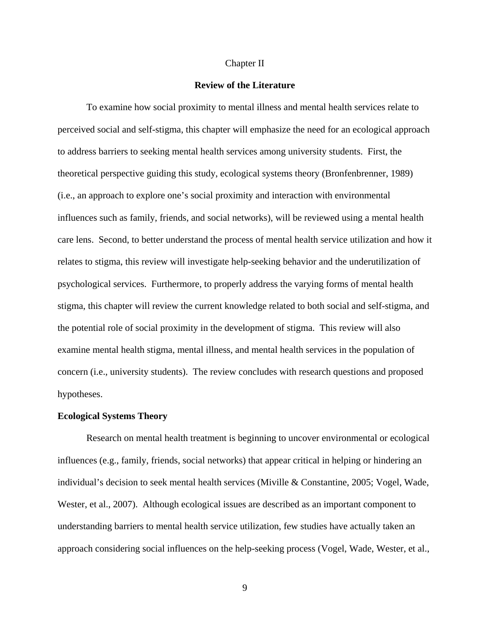#### Chapter II

#### **Review of the Literature**

To examine how social proximity to mental illness and mental health services relate to perceived social and self-stigma, this chapter will emphasize the need for an ecological approach to address barriers to seeking mental health services among university students. First, the theoretical perspective guiding this study, ecological systems theory (Bronfenbrenner, 1989) (i.e., an approach to explore one's social proximity and interaction with environmental influences such as family, friends, and social networks), will be reviewed using a mental health care lens. Second, to better understand the process of mental health service utilization and how it relates to stigma, this review will investigate help-seeking behavior and the underutilization of psychological services. Furthermore, to properly address the varying forms of mental health stigma, this chapter will review the current knowledge related to both social and self-stigma, and the potential role of social proximity in the development of stigma. This review will also examine mental health stigma, mental illness, and mental health services in the population of concern (i.e., university students). The review concludes with research questions and proposed hypotheses.

#### **Ecological Systems Theory**

Research on mental health treatment is beginning to uncover environmental or ecological influences (e.g., family, friends, social networks) that appear critical in helping or hindering an individual's decision to seek mental health services (Miville & Constantine, 2005; Vogel, Wade, Wester, et al., 2007). Although ecological issues are described as an important component to understanding barriers to mental health service utilization, few studies have actually taken an approach considering social influences on the help-seeking process (Vogel, Wade, Wester, et al.,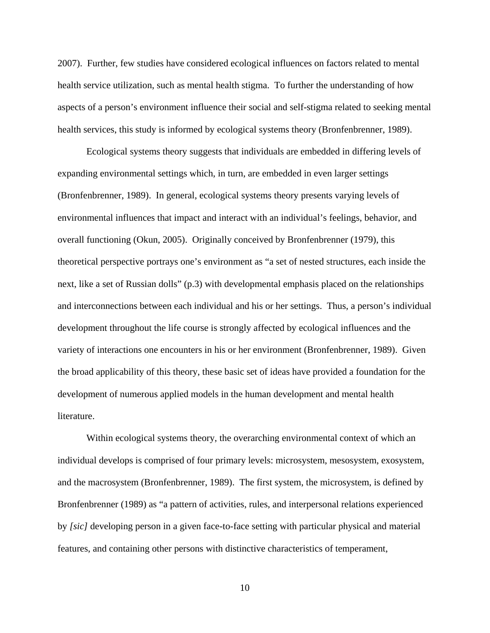2007). Further, few studies have considered ecological influences on factors related to mental health service utilization, such as mental health stigma. To further the understanding of how aspects of a person's environment influence their social and self-stigma related to seeking mental health services, this study is informed by ecological systems theory (Bronfenbrenner, 1989).

Ecological systems theory suggests that individuals are embedded in differing levels of expanding environmental settings which, in turn, are embedded in even larger settings (Bronfenbrenner, 1989). In general, ecological systems theory presents varying levels of environmental influences that impact and interact with an individual's feelings, behavior, and overall functioning (Okun, 2005). Originally conceived by Bronfenbrenner (1979), this theoretical perspective portrays one's environment as "a set of nested structures, each inside the next, like a set of Russian dolls" (p.3) with developmental emphasis placed on the relationships and interconnections between each individual and his or her settings. Thus, a person's individual development throughout the life course is strongly affected by ecological influences and the variety of interactions one encounters in his or her environment (Bronfenbrenner, 1989). Given the broad applicability of this theory, these basic set of ideas have provided a foundation for the development of numerous applied models in the human development and mental health literature.

Within ecological systems theory, the overarching environmental context of which an individual develops is comprised of four primary levels: microsystem, mesosystem, exosystem, and the macrosystem (Bronfenbrenner, 1989). The first system, the microsystem, is defined by Bronfenbrenner (1989) as "a pattern of activities, rules, and interpersonal relations experienced by *[sic]* developing person in a given face-to-face setting with particular physical and material features, and containing other persons with distinctive characteristics of temperament,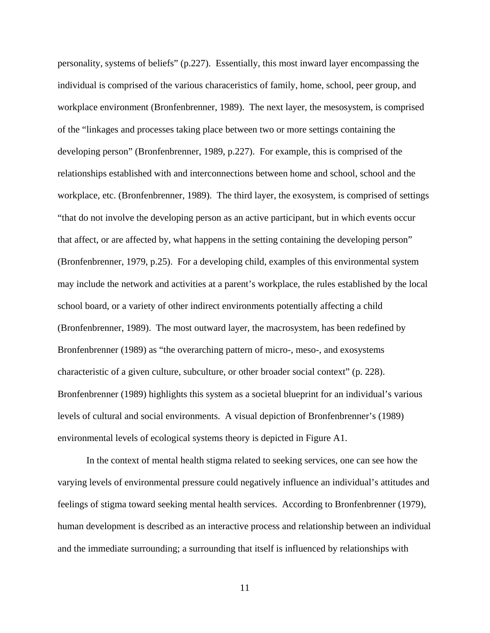personality, systems of beliefs" (p.227). Essentially, this most inward layer encompassing the individual is comprised of the various characeristics of family, home, school, peer group, and workplace environment (Bronfenbrenner, 1989). The next layer, the mesosystem, is comprised of the "linkages and processes taking place between two or more settings containing the developing person" (Bronfenbrenner, 1989, p.227). For example, this is comprised of the relationships established with and interconnections between home and school, school and the workplace, etc. (Bronfenbrenner, 1989). The third layer, the exosystem, is comprised of settings "that do not involve the developing person as an active participant, but in which events occur that affect, or are affected by, what happens in the setting containing the developing person" (Bronfenbrenner, 1979, p.25). For a developing child, examples of this environmental system may include the network and activities at a parent's workplace, the rules established by the local school board, or a variety of other indirect environments potentially affecting a child (Bronfenbrenner, 1989). The most outward layer, the macrosystem, has been redefined by Bronfenbrenner (1989) as "the overarching pattern of micro-, meso-, and exosystems characteristic of a given culture, subculture, or other broader social context" (p. 228). Bronfenbrenner (1989) highlights this system as a societal blueprint for an individual's various levels of cultural and social environments. A visual depiction of Bronfenbrenner's (1989) environmental levels of ecological systems theory is depicted in Figure A1.

In the context of mental health stigma related to seeking services, one can see how the varying levels of environmental pressure could negatively influence an individual's attitudes and feelings of stigma toward seeking mental health services. According to Bronfenbrenner (1979), human development is described as an interactive process and relationship between an individual and the immediate surrounding; a surrounding that itself is influenced by relationships with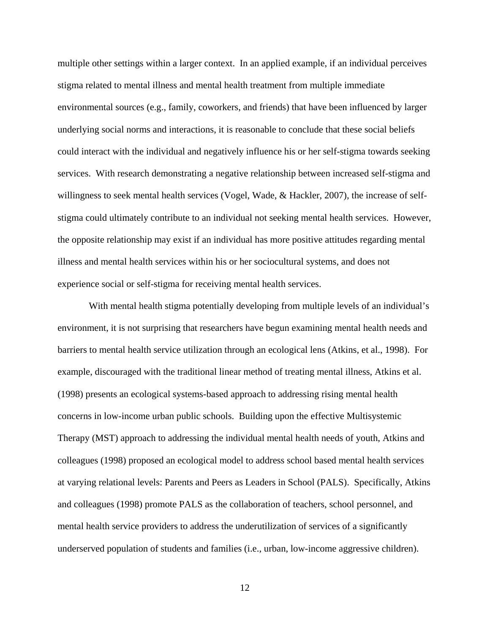multiple other settings within a larger context. In an applied example, if an individual perceives stigma related to mental illness and mental health treatment from multiple immediate environmental sources (e.g., family, coworkers, and friends) that have been influenced by larger underlying social norms and interactions, it is reasonable to conclude that these social beliefs could interact with the individual and negatively influence his or her self-stigma towards seeking services. With research demonstrating a negative relationship between increased self-stigma and willingness to seek mental health services (Vogel, Wade, & Hackler, 2007), the increase of selfstigma could ultimately contribute to an individual not seeking mental health services. However, the opposite relationship may exist if an individual has more positive attitudes regarding mental illness and mental health services within his or her sociocultural systems, and does not experience social or self-stigma for receiving mental health services.

With mental health stigma potentially developing from multiple levels of an individual's environment, it is not surprising that researchers have begun examining mental health needs and barriers to mental health service utilization through an ecological lens (Atkins, et al., 1998). For example, discouraged with the traditional linear method of treating mental illness, Atkins et al. (1998) presents an ecological systems-based approach to addressing rising mental health concerns in low-income urban public schools. Building upon the effective Multisystemic Therapy (MST) approach to addressing the individual mental health needs of youth, Atkins and colleagues (1998) proposed an ecological model to address school based mental health services at varying relational levels: Parents and Peers as Leaders in School (PALS). Specifically, Atkins and colleagues (1998) promote PALS as the collaboration of teachers, school personnel, and mental health service providers to address the underutilization of services of a significantly underserved population of students and families (i.e., urban, low-income aggressive children).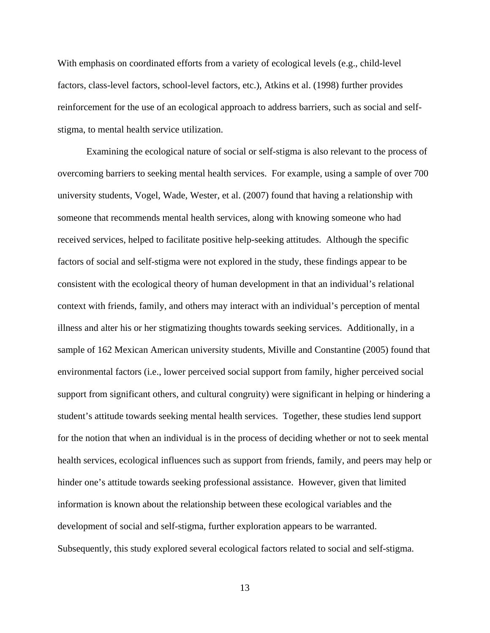With emphasis on coordinated efforts from a variety of ecological levels (e.g., child-level factors, class-level factors, school-level factors, etc.), Atkins et al. (1998) further provides reinforcement for the use of an ecological approach to address barriers, such as social and selfstigma, to mental health service utilization.

Examining the ecological nature of social or self-stigma is also relevant to the process of overcoming barriers to seeking mental health services. For example, using a sample of over 700 university students, Vogel, Wade, Wester, et al. (2007) found that having a relationship with someone that recommends mental health services, along with knowing someone who had received services, helped to facilitate positive help-seeking attitudes. Although the specific factors of social and self-stigma were not explored in the study, these findings appear to be consistent with the ecological theory of human development in that an individual's relational context with friends, family, and others may interact with an individual's perception of mental illness and alter his or her stigmatizing thoughts towards seeking services. Additionally, in a sample of 162 Mexican American university students, Miville and Constantine (2005) found that environmental factors (i.e., lower perceived social support from family, higher perceived social support from significant others, and cultural congruity) were significant in helping or hindering a student's attitude towards seeking mental health services. Together, these studies lend support for the notion that when an individual is in the process of deciding whether or not to seek mental health services, ecological influences such as support from friends, family, and peers may help or hinder one's attitude towards seeking professional assistance. However, given that limited information is known about the relationship between these ecological variables and the development of social and self-stigma, further exploration appears to be warranted. Subsequently, this study explored several ecological factors related to social and self-stigma.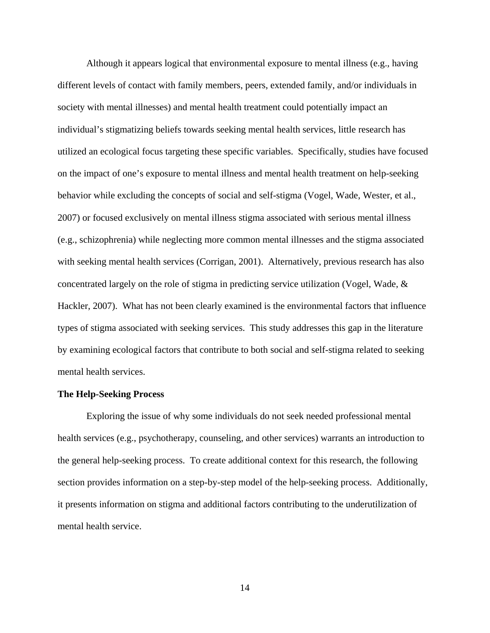Although it appears logical that environmental exposure to mental illness (e.g., having different levels of contact with family members, peers, extended family, and/or individuals in society with mental illnesses) and mental health treatment could potentially impact an individual's stigmatizing beliefs towards seeking mental health services, little research has utilized an ecological focus targeting these specific variables. Specifically, studies have focused on the impact of one's exposure to mental illness and mental health treatment on help-seeking behavior while excluding the concepts of social and self-stigma (Vogel, Wade, Wester, et al., 2007) or focused exclusively on mental illness stigma associated with serious mental illness (e.g., schizophrenia) while neglecting more common mental illnesses and the stigma associated with seeking mental health services (Corrigan, 2001). Alternatively, previous research has also concentrated largely on the role of stigma in predicting service utilization (Vogel, Wade, & Hackler, 2007). What has not been clearly examined is the environmental factors that influence types of stigma associated with seeking services. This study addresses this gap in the literature by examining ecological factors that contribute to both social and self-stigma related to seeking mental health services.

#### **The Help-Seeking Process**

Exploring the issue of why some individuals do not seek needed professional mental health services (e.g., psychotherapy, counseling, and other services) warrants an introduction to the general help-seeking process. To create additional context for this research, the following section provides information on a step-by-step model of the help-seeking process. Additionally, it presents information on stigma and additional factors contributing to the underutilization of mental health service.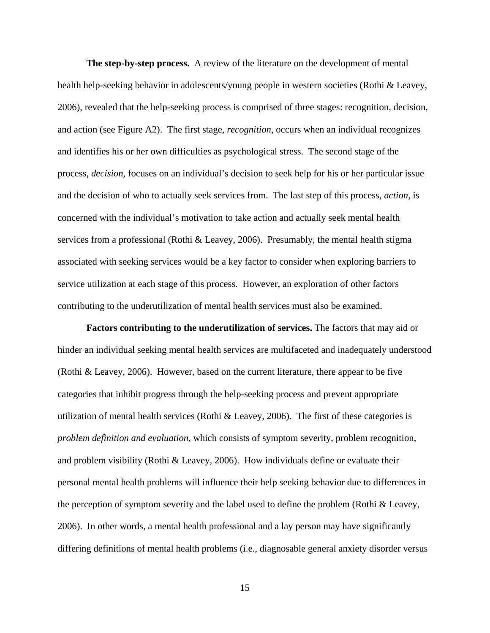**The step-by-step process.** A review of the literature on the development of mental health help-seeking behavior in adolescents/young people in western societies (Rothi & Leavey, 2006), revealed that the help-seeking process is comprised of three stages: recognition, decision, and action (see Figure A2). The first stage, *recognition*, occurs when an individual recognizes and identifies his or her own difficulties as psychological stress. The second stage of the process, *decision*, focuses on an individual's decision to seek help for his or her particular issue and the decision of who to actually seek services from. The last step of this process, *action*, is concerned with the individual's motivation to take action and actually seek mental health services from a professional (Rothi & Leavey, 2006). Presumably, the mental health stigma associated with seeking services would be a key factor to consider when exploring barriers to service utilization at each stage of this process. However, an exploration of other factors contributing to the underutilization of mental health services must also be examined.

**Factors contributing to the underutilization of services.** The factors that may aid or hinder an individual seeking mental health services are multifaceted and inadequately understood (Rothi & Leavey, 2006). However, based on the current literature, there appear to be five categories that inhibit progress through the help-seeking process and prevent appropriate utilization of mental health services (Rothi & Leavey, 2006). The first of these categories is *problem definition and evaluation*, which consists of symptom severity, problem recognition, and problem visibility (Rothi & Leavey, 2006). How individuals define or evaluate their personal mental health problems will influence their help seeking behavior due to differences in the perception of symptom severity and the label used to define the problem (Rothi & Leavey, 2006). In other words, a mental health professional and a lay person may have significantly differing definitions of mental health problems (i.e., diagnosable general anxiety disorder versus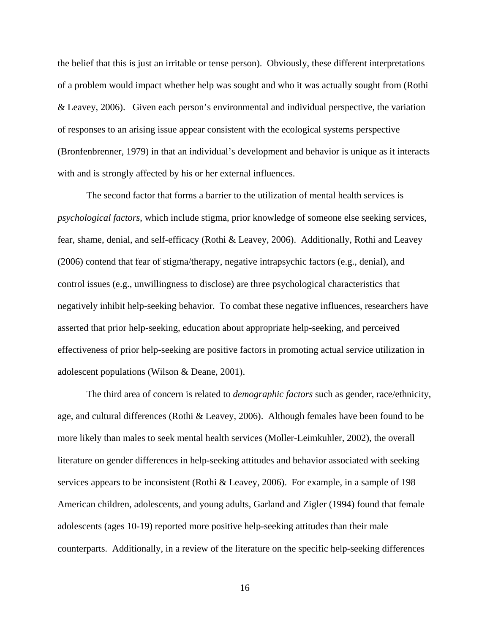the belief that this is just an irritable or tense person). Obviously, these different interpretations of a problem would impact whether help was sought and who it was actually sought from (Rothi & Leavey, 2006). Given each person's environmental and individual perspective, the variation of responses to an arising issue appear consistent with the ecological systems perspective (Bronfenbrenner, 1979) in that an individual's development and behavior is unique as it interacts with and is strongly affected by his or her external influences.

The second factor that forms a barrier to the utilization of mental health services is *psychological factors*, which include stigma, prior knowledge of someone else seeking services, fear, shame, denial, and self-efficacy (Rothi & Leavey, 2006). Additionally, Rothi and Leavey (2006) contend that fear of stigma/therapy, negative intrapsychic factors (e.g., denial), and control issues (e.g., unwillingness to disclose) are three psychological characteristics that negatively inhibit help-seeking behavior. To combat these negative influences, researchers have asserted that prior help-seeking, education about appropriate help-seeking, and perceived effectiveness of prior help-seeking are positive factors in promoting actual service utilization in adolescent populations (Wilson & Deane, 2001).

The third area of concern is related to *demographic factors* such as gender, race/ethnicity, age, and cultural differences (Rothi & Leavey, 2006). Although females have been found to be more likely than males to seek mental health services (Moller-Leimkuhler, 2002), the overall literature on gender differences in help-seeking attitudes and behavior associated with seeking services appears to be inconsistent (Rothi & Leavey, 2006). For example, in a sample of 198 American children, adolescents, and young adults, Garland and Zigler (1994) found that female adolescents (ages 10-19) reported more positive help-seeking attitudes than their male counterparts. Additionally, in a review of the literature on the specific help-seeking differences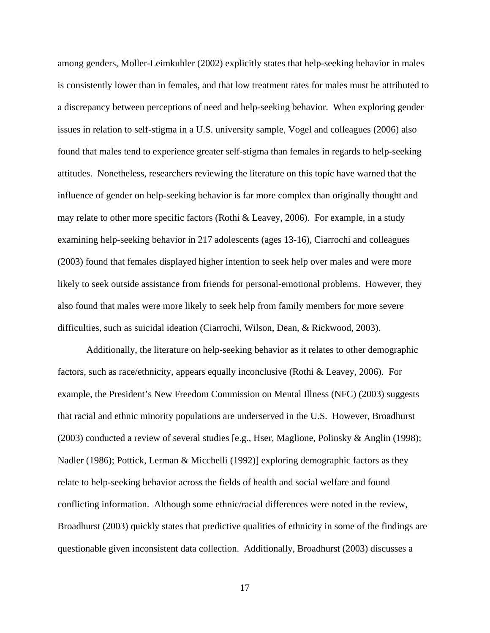among genders, Moller-Leimkuhler (2002) explicitly states that help-seeking behavior in males is consistently lower than in females, and that low treatment rates for males must be attributed to a discrepancy between perceptions of need and help-seeking behavior. When exploring gender issues in relation to self-stigma in a U.S. university sample, Vogel and colleagues (2006) also found that males tend to experience greater self-stigma than females in regards to help-seeking attitudes. Nonetheless, researchers reviewing the literature on this topic have warned that the influence of gender on help-seeking behavior is far more complex than originally thought and may relate to other more specific factors (Rothi & Leavey, 2006). For example, in a study examining help-seeking behavior in 217 adolescents (ages 13-16), Ciarrochi and colleagues (2003) found that females displayed higher intention to seek help over males and were more likely to seek outside assistance from friends for personal-emotional problems. However, they also found that males were more likely to seek help from family members for more severe difficulties, such as suicidal ideation (Ciarrochi, Wilson, Dean, & Rickwood, 2003).

Additionally, the literature on help-seeking behavior as it relates to other demographic factors, such as race/ethnicity, appears equally inconclusive (Rothi & Leavey, 2006). For example, the President's New Freedom Commission on Mental Illness (NFC) (2003) suggests that racial and ethnic minority populations are underserved in the U.S. However, Broadhurst (2003) conducted a review of several studies [e.g., Hser, Maglione, Polinsky & Anglin (1998); Nadler (1986); Pottick, Lerman & Micchelli (1992)] exploring demographic factors as they relate to help-seeking behavior across the fields of health and social welfare and found conflicting information. Although some ethnic/racial differences were noted in the review, Broadhurst (2003) quickly states that predictive qualities of ethnicity in some of the findings are questionable given inconsistent data collection. Additionally, Broadhurst (2003) discusses a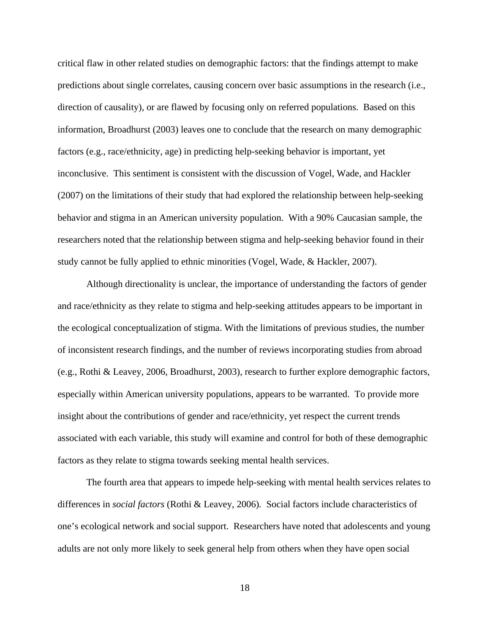critical flaw in other related studies on demographic factors: that the findings attempt to make predictions about single correlates, causing concern over basic assumptions in the research (i.e., direction of causality), or are flawed by focusing only on referred populations. Based on this information, Broadhurst (2003) leaves one to conclude that the research on many demographic factors (e.g., race/ethnicity, age) in predicting help-seeking behavior is important, yet inconclusive. This sentiment is consistent with the discussion of Vogel, Wade, and Hackler (2007) on the limitations of their study that had explored the relationship between help-seeking behavior and stigma in an American university population. With a 90% Caucasian sample, the researchers noted that the relationship between stigma and help-seeking behavior found in their study cannot be fully applied to ethnic minorities (Vogel, Wade, & Hackler, 2007).

Although directionality is unclear, the importance of understanding the factors of gender and race/ethnicity as they relate to stigma and help-seeking attitudes appears to be important in the ecological conceptualization of stigma. With the limitations of previous studies, the number of inconsistent research findings, and the number of reviews incorporating studies from abroad (e.g., Rothi & Leavey, 2006, Broadhurst, 2003), research to further explore demographic factors, especially within American university populations, appears to be warranted. To provide more insight about the contributions of gender and race/ethnicity, yet respect the current trends associated with each variable, this study will examine and control for both of these demographic factors as they relate to stigma towards seeking mental health services.

The fourth area that appears to impede help-seeking with mental health services relates to differences in *social factors* (Rothi & Leavey, 2006)*.* Social factors include characteristics of one's ecological network and social support. Researchers have noted that adolescents and young adults are not only more likely to seek general help from others when they have open social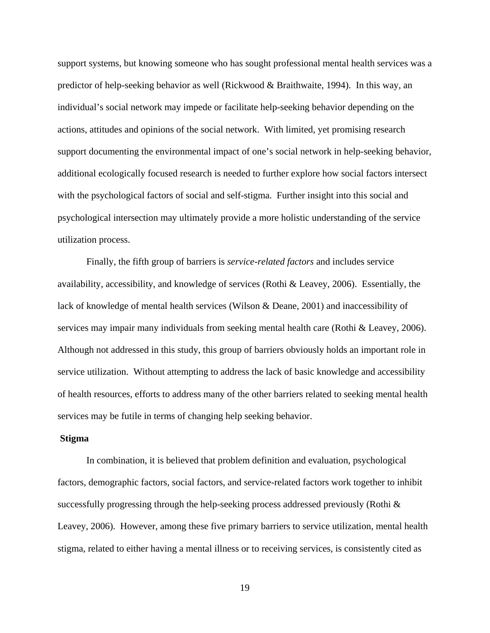support systems, but knowing someone who has sought professional mental health services was a predictor of help-seeking behavior as well (Rickwood & Braithwaite, 1994). In this way, an individual's social network may impede or facilitate help-seeking behavior depending on the actions, attitudes and opinions of the social network. With limited, yet promising research support documenting the environmental impact of one's social network in help-seeking behavior, additional ecologically focused research is needed to further explore how social factors intersect with the psychological factors of social and self-stigma. Further insight into this social and psychological intersection may ultimately provide a more holistic understanding of the service utilization process.

Finally, the fifth group of barriers is *service-related factors* and includes service availability, accessibility, and knowledge of services (Rothi & Leavey, 2006). Essentially, the lack of knowledge of mental health services (Wilson & Deane, 2001) and inaccessibility of services may impair many individuals from seeking mental health care (Rothi & Leavey, 2006). Although not addressed in this study, this group of barriers obviously holds an important role in service utilization. Without attempting to address the lack of basic knowledge and accessibility of health resources, efforts to address many of the other barriers related to seeking mental health services may be futile in terms of changing help seeking behavior.

#### **Stigma**

In combination, it is believed that problem definition and evaluation, psychological factors, demographic factors, social factors, and service-related factors work together to inhibit successfully progressing through the help-seeking process addressed previously (Rothi & Leavey, 2006). However, among these five primary barriers to service utilization, mental health stigma, related to either having a mental illness or to receiving services, is consistently cited as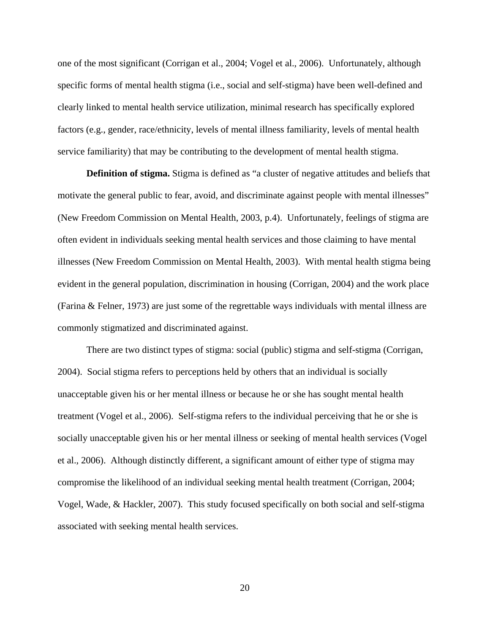one of the most significant (Corrigan et al., 2004; Vogel et al., 2006). Unfortunately, although specific forms of mental health stigma (i.e., social and self-stigma) have been well-defined and clearly linked to mental health service utilization, minimal research has specifically explored factors (e.g., gender, race/ethnicity, levels of mental illness familiarity, levels of mental health service familiarity) that may be contributing to the development of mental health stigma.

**Definition of stigma.** Stigma is defined as "a cluster of negative attitudes and beliefs that motivate the general public to fear, avoid, and discriminate against people with mental illnesses" (New Freedom Commission on Mental Health, 2003, p.4). Unfortunately, feelings of stigma are often evident in individuals seeking mental health services and those claiming to have mental illnesses (New Freedom Commission on Mental Health, 2003). With mental health stigma being evident in the general population, discrimination in housing (Corrigan, 2004) and the work place (Farina & Felner, 1973) are just some of the regrettable ways individuals with mental illness are commonly stigmatized and discriminated against.

There are two distinct types of stigma: social (public) stigma and self-stigma (Corrigan, 2004). Social stigma refers to perceptions held by others that an individual is socially unacceptable given his or her mental illness or because he or she has sought mental health treatment (Vogel et al., 2006). Self-stigma refers to the individual perceiving that he or she is socially unacceptable given his or her mental illness or seeking of mental health services (Vogel et al., 2006). Although distinctly different, a significant amount of either type of stigma may compromise the likelihood of an individual seeking mental health treatment (Corrigan, 2004; Vogel, Wade, & Hackler, 2007). This study focused specifically on both social and self-stigma associated with seeking mental health services.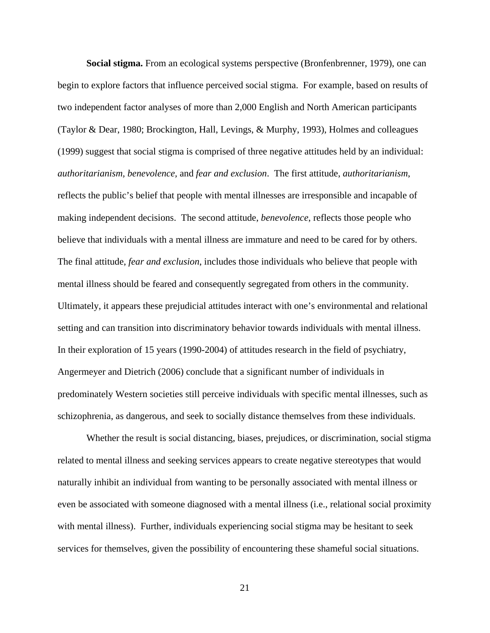**Social stigma.** From an ecological systems perspective (Bronfenbrenner, 1979), one can begin to explore factors that influence perceived social stigma. For example, based on results of two independent factor analyses of more than 2,000 English and North American participants (Taylor & Dear, 1980; Brockington, Hall, Levings, & Murphy, 1993), Holmes and colleagues (1999) suggest that social stigma is comprised of three negative attitudes held by an individual: *authoritarianism, benevolence,* and *fear and exclusion*. The first attitude, *authoritarianism*, reflects the public's belief that people with mental illnesses are irresponsible and incapable of making independent decisions. The second attitude, *benevolence*, reflects those people who believe that individuals with a mental illness are immature and need to be cared for by others. The final attitude, *fear and exclusion*, includes those individuals who believe that people with mental illness should be feared and consequently segregated from others in the community. Ultimately, it appears these prejudicial attitudes interact with one's environmental and relational setting and can transition into discriminatory behavior towards individuals with mental illness. In their exploration of 15 years (1990-2004) of attitudes research in the field of psychiatry, Angermeyer and Dietrich (2006) conclude that a significant number of individuals in predominately Western societies still perceive individuals with specific mental illnesses, such as schizophrenia, as dangerous, and seek to socially distance themselves from these individuals.

Whether the result is social distancing, biases, prejudices, or discrimination, social stigma related to mental illness and seeking services appears to create negative stereotypes that would naturally inhibit an individual from wanting to be personally associated with mental illness or even be associated with someone diagnosed with a mental illness (i.e., relational social proximity with mental illness). Further, individuals experiencing social stigma may be hesitant to seek services for themselves, given the possibility of encountering these shameful social situations.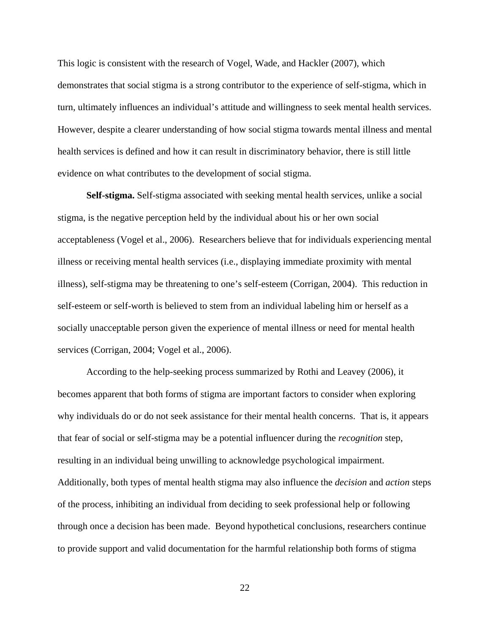This logic is consistent with the research of Vogel, Wade, and Hackler (2007), which demonstrates that social stigma is a strong contributor to the experience of self-stigma, which in turn, ultimately influences an individual's attitude and willingness to seek mental health services. However, despite a clearer understanding of how social stigma towards mental illness and mental health services is defined and how it can result in discriminatory behavior, there is still little evidence on what contributes to the development of social stigma.

**Self-stigma.** Self-stigma associated with seeking mental health services, unlike a social stigma, is the negative perception held by the individual about his or her own social acceptableness (Vogel et al., 2006). Researchers believe that for individuals experiencing mental illness or receiving mental health services (i.e., displaying immediate proximity with mental illness), self-stigma may be threatening to one's self-esteem (Corrigan, 2004). This reduction in self-esteem or self-worth is believed to stem from an individual labeling him or herself as a socially unacceptable person given the experience of mental illness or need for mental health services (Corrigan, 2004; Vogel et al., 2006).

According to the help-seeking process summarized by Rothi and Leavey (2006), it becomes apparent that both forms of stigma are important factors to consider when exploring why individuals do or do not seek assistance for their mental health concerns. That is, it appears that fear of social or self-stigma may be a potential influencer during the *recognition* step, resulting in an individual being unwilling to acknowledge psychological impairment. Additionally, both types of mental health stigma may also influence the *decision* and *action* steps of the process, inhibiting an individual from deciding to seek professional help or following through once a decision has been made. Beyond hypothetical conclusions, researchers continue to provide support and valid documentation for the harmful relationship both forms of stigma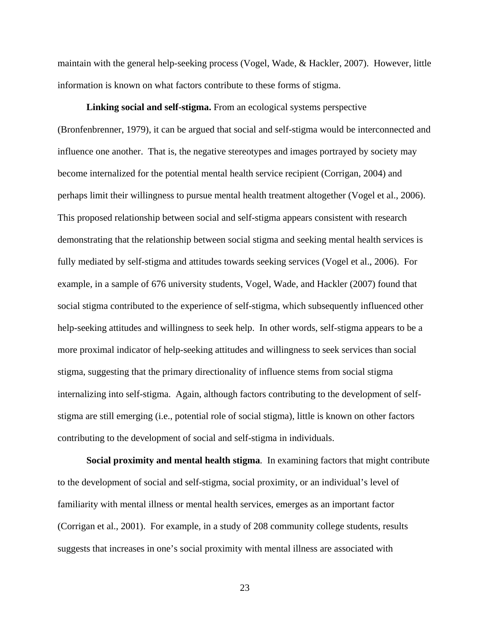maintain with the general help-seeking process (Vogel, Wade, & Hackler, 2007). However, little information is known on what factors contribute to these forms of stigma.

**Linking social and self-stigma.** From an ecological systems perspective (Bronfenbrenner, 1979), it can be argued that social and self-stigma would be interconnected and influence one another. That is, the negative stereotypes and images portrayed by society may become internalized for the potential mental health service recipient (Corrigan, 2004) and perhaps limit their willingness to pursue mental health treatment altogether (Vogel et al., 2006). This proposed relationship between social and self-stigma appears consistent with research demonstrating that the relationship between social stigma and seeking mental health services is fully mediated by self-stigma and attitudes towards seeking services (Vogel et al., 2006). For example, in a sample of 676 university students, Vogel, Wade, and Hackler (2007) found that social stigma contributed to the experience of self-stigma, which subsequently influenced other help-seeking attitudes and willingness to seek help. In other words, self-stigma appears to be a more proximal indicator of help-seeking attitudes and willingness to seek services than social stigma, suggesting that the primary directionality of influence stems from social stigma internalizing into self-stigma. Again, although factors contributing to the development of selfstigma are still emerging (i.e., potential role of social stigma), little is known on other factors contributing to the development of social and self-stigma in individuals.

**Social proximity and mental health stigma***.* In examining factors that might contribute to the development of social and self-stigma, social proximity, or an individual's level of familiarity with mental illness or mental health services, emerges as an important factor (Corrigan et al., 2001). For example, in a study of 208 community college students, results suggests that increases in one's social proximity with mental illness are associated with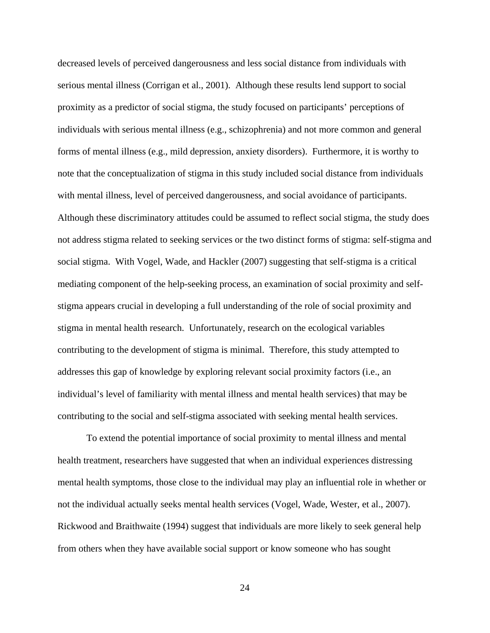decreased levels of perceived dangerousness and less social distance from individuals with serious mental illness (Corrigan et al., 2001). Although these results lend support to social proximity as a predictor of social stigma, the study focused on participants' perceptions of individuals with serious mental illness (e.g., schizophrenia) and not more common and general forms of mental illness (e.g., mild depression, anxiety disorders). Furthermore, it is worthy to note that the conceptualization of stigma in this study included social distance from individuals with mental illness, level of perceived dangerousness, and social avoidance of participants. Although these discriminatory attitudes could be assumed to reflect social stigma, the study does not address stigma related to seeking services or the two distinct forms of stigma: self-stigma and social stigma. With Vogel, Wade, and Hackler (2007) suggesting that self-stigma is a critical mediating component of the help-seeking process, an examination of social proximity and selfstigma appears crucial in developing a full understanding of the role of social proximity and stigma in mental health research. Unfortunately, research on the ecological variables contributing to the development of stigma is minimal. Therefore, this study attempted to addresses this gap of knowledge by exploring relevant social proximity factors (i.e., an individual's level of familiarity with mental illness and mental health services) that may be contributing to the social and self-stigma associated with seeking mental health services.

To extend the potential importance of social proximity to mental illness and mental health treatment, researchers have suggested that when an individual experiences distressing mental health symptoms, those close to the individual may play an influential role in whether or not the individual actually seeks mental health services (Vogel, Wade, Wester, et al., 2007). Rickwood and Braithwaite (1994) suggest that individuals are more likely to seek general help from others when they have available social support or know someone who has sought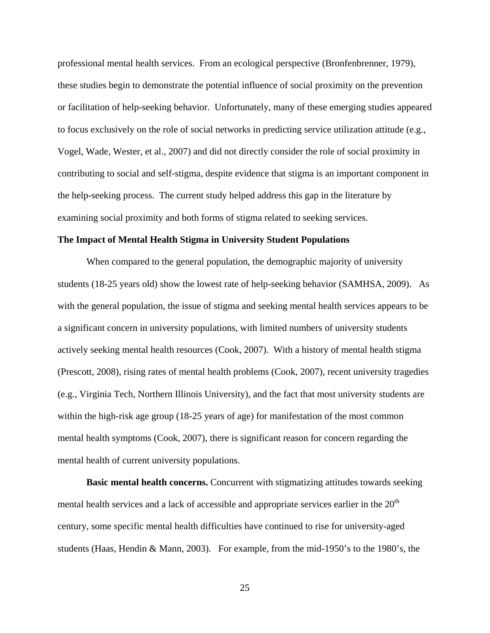professional mental health services. From an ecological perspective (Bronfenbrenner, 1979), these studies begin to demonstrate the potential influence of social proximity on the prevention or facilitation of help-seeking behavior. Unfortunately, many of these emerging studies appeared to focus exclusively on the role of social networks in predicting service utilization attitude (e.g., Vogel, Wade, Wester, et al., 2007) and did not directly consider the role of social proximity in contributing to social and self-stigma, despite evidence that stigma is an important component in the help-seeking process. The current study helped address this gap in the literature by examining social proximity and both forms of stigma related to seeking services.

#### **The Impact of Mental Health Stigma in University Student Populations**

When compared to the general population, the demographic majority of university students (18-25 years old) show the lowest rate of help-seeking behavior (SAMHSA, 2009). As with the general population, the issue of stigma and seeking mental health services appears to be a significant concern in university populations, with limited numbers of university students actively seeking mental health resources (Cook, 2007). With a history of mental health stigma (Prescott, 2008), rising rates of mental health problems (Cook, 2007), recent university tragedies (e.g., Virginia Tech, Northern Illinois University), and the fact that most university students are within the high-risk age group (18-25 years of age) for manifestation of the most common mental health symptoms (Cook, 2007), there is significant reason for concern regarding the mental health of current university populations.

**Basic mental health concerns.** Concurrent with stigmatizing attitudes towards seeking mental health services and a lack of accessible and appropriate services earlier in the  $20<sup>th</sup>$ century, some specific mental health difficulties have continued to rise for university-aged students (Haas, Hendin & Mann, 2003). For example, from the mid-1950's to the 1980's, the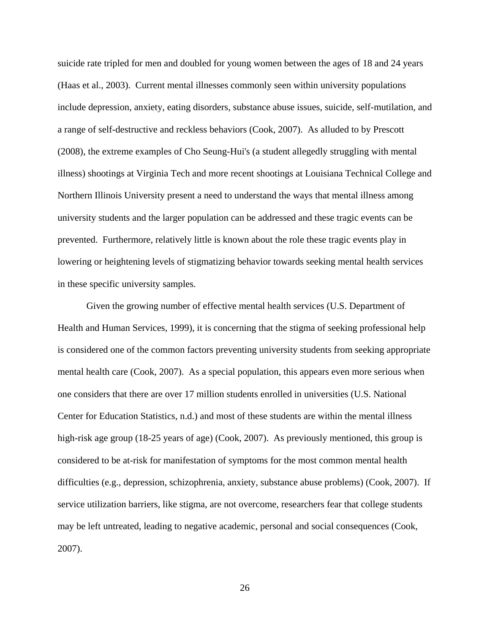suicide rate tripled for men and doubled for young women between the ages of 18 and 24 years (Haas et al., 2003). Current mental illnesses commonly seen within university populations include depression, anxiety, eating disorders, substance abuse issues, suicide, self-mutilation, and a range of self-destructive and reckless behaviors (Cook, 2007). As alluded to by Prescott (2008), the extreme examples of Cho Seung-Hui's (a student allegedly struggling with mental illness) shootings at Virginia Tech and more recent shootings at Louisiana Technical College and Northern Illinois University present a need to understand the ways that mental illness among university students and the larger population can be addressed and these tragic events can be prevented. Furthermore, relatively little is known about the role these tragic events play in lowering or heightening levels of stigmatizing behavior towards seeking mental health services in these specific university samples.

Given the growing number of effective mental health services (U.S. Department of Health and Human Services, 1999), it is concerning that the stigma of seeking professional help is considered one of the common factors preventing university students from seeking appropriate mental health care (Cook, 2007). As a special population, this appears even more serious when one considers that there are over 17 million students enrolled in universities (U.S. National Center for Education Statistics, n.d.) and most of these students are within the mental illness high-risk age group (18-25 years of age) (Cook, 2007). As previously mentioned, this group is considered to be at-risk for manifestation of symptoms for the most common mental health difficulties (e.g., depression, schizophrenia, anxiety, substance abuse problems) (Cook, 2007). If service utilization barriers, like stigma, are not overcome, researchers fear that college students may be left untreated, leading to negative academic, personal and social consequences (Cook, 2007).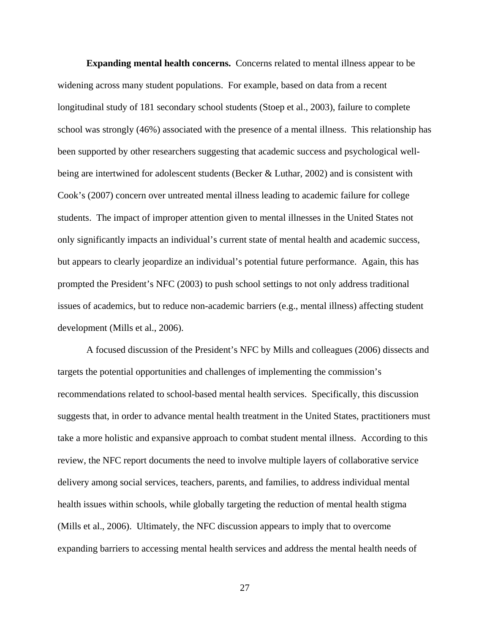**Expanding mental health concerns.** Concerns related to mental illness appear to be widening across many student populations. For example, based on data from a recent longitudinal study of 181 secondary school students (Stoep et al., 2003), failure to complete school was strongly (46%) associated with the presence of a mental illness. This relationship has been supported by other researchers suggesting that academic success and psychological wellbeing are intertwined for adolescent students (Becker & Luthar, 2002) and is consistent with Cook's (2007) concern over untreated mental illness leading to academic failure for college students. The impact of improper attention given to mental illnesses in the United States not only significantly impacts an individual's current state of mental health and academic success, but appears to clearly jeopardize an individual's potential future performance. Again, this has prompted the President's NFC (2003) to push school settings to not only address traditional issues of academics, but to reduce non-academic barriers (e.g., mental illness) affecting student development (Mills et al., 2006).

A focused discussion of the President's NFC by Mills and colleagues (2006) dissects and targets the potential opportunities and challenges of implementing the commission's recommendations related to school-based mental health services. Specifically, this discussion suggests that, in order to advance mental health treatment in the United States, practitioners must take a more holistic and expansive approach to combat student mental illness. According to this review, the NFC report documents the need to involve multiple layers of collaborative service delivery among social services, teachers, parents, and families, to address individual mental health issues within schools, while globally targeting the reduction of mental health stigma (Mills et al., 2006). Ultimately, the NFC discussion appears to imply that to overcome expanding barriers to accessing mental health services and address the mental health needs of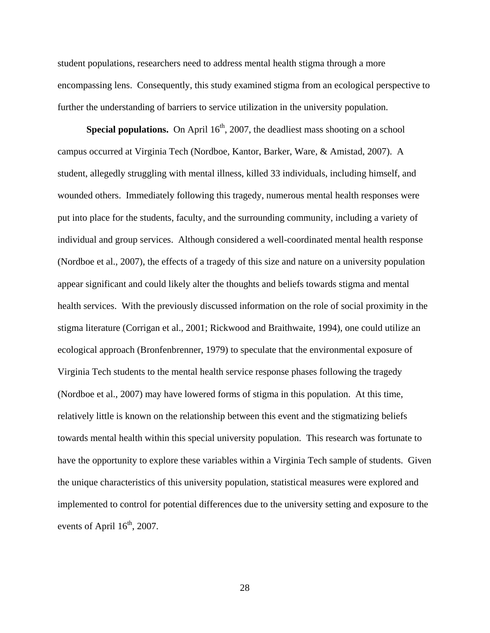student populations, researchers need to address mental health stigma through a more encompassing lens. Consequently, this study examined stigma from an ecological perspective to further the understanding of barriers to service utilization in the university population.

**Special populations.** On April 16<sup>th</sup>, 2007, the deadliest mass shooting on a school campus occurred at Virginia Tech (Nordboe, Kantor, Barker, Ware, & Amistad, 2007). A student, allegedly struggling with mental illness, killed 33 individuals, including himself, and wounded others. Immediately following this tragedy, numerous mental health responses were put into place for the students, faculty, and the surrounding community, including a variety of individual and group services. Although considered a well-coordinated mental health response (Nordboe et al., 2007), the effects of a tragedy of this size and nature on a university population appear significant and could likely alter the thoughts and beliefs towards stigma and mental health services. With the previously discussed information on the role of social proximity in the stigma literature (Corrigan et al., 2001; Rickwood and Braithwaite, 1994), one could utilize an ecological approach (Bronfenbrenner, 1979) to speculate that the environmental exposure of Virginia Tech students to the mental health service response phases following the tragedy (Nordboe et al., 2007) may have lowered forms of stigma in this population. At this time, relatively little is known on the relationship between this event and the stigmatizing beliefs towards mental health within this special university population. This research was fortunate to have the opportunity to explore these variables within a Virginia Tech sample of students. Given the unique characteristics of this university population, statistical measures were explored and implemented to control for potential differences due to the university setting and exposure to the events of April  $16<sup>th</sup>$ , 2007.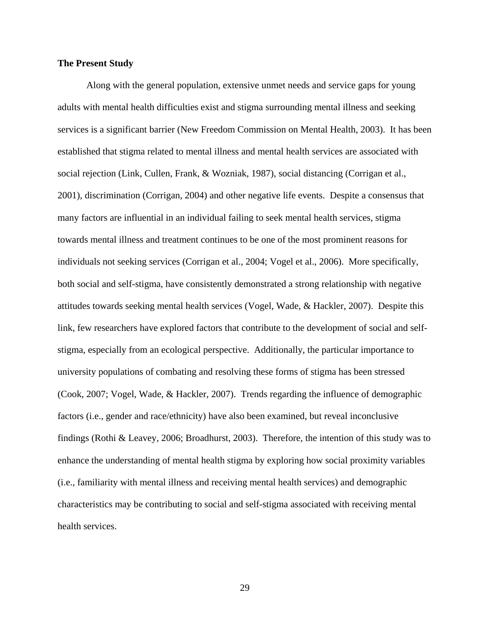#### **The Present Study**

Along with the general population, extensive unmet needs and service gaps for young adults with mental health difficulties exist and stigma surrounding mental illness and seeking services is a significant barrier (New Freedom Commission on Mental Health, 2003). It has been established that stigma related to mental illness and mental health services are associated with social rejection (Link, Cullen, Frank, & Wozniak, 1987), social distancing (Corrigan et al., 2001), discrimination (Corrigan, 2004) and other negative life events. Despite a consensus that many factors are influential in an individual failing to seek mental health services, stigma towards mental illness and treatment continues to be one of the most prominent reasons for individuals not seeking services (Corrigan et al., 2004; Vogel et al., 2006). More specifically, both social and self-stigma, have consistently demonstrated a strong relationship with negative attitudes towards seeking mental health services (Vogel, Wade, & Hackler, 2007).Despite this link, few researchers have explored factors that contribute to the development of social and selfstigma, especially from an ecological perspective. Additionally, the particular importance to university populations of combating and resolving these forms of stigma has been stressed (Cook, 2007; Vogel, Wade, & Hackler, 2007).Trends regarding the influence of demographic factors (i.e., gender and race/ethnicity) have also been examined, but reveal inconclusive findings (Rothi & Leavey, 2006; Broadhurst, 2003). Therefore, the intention of this study was to enhance the understanding of mental health stigma by exploring how social proximity variables (i.e., familiarity with mental illness and receiving mental health services) and demographic characteristics may be contributing to social and self-stigma associated with receiving mental health services.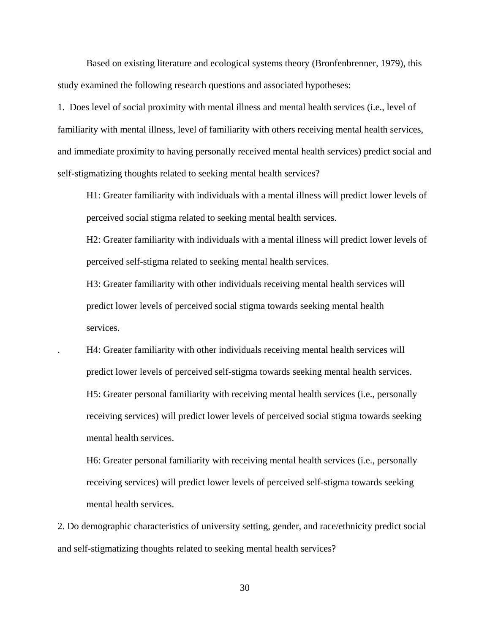Based on existing literature and ecological systems theory (Bronfenbrenner, 1979), this study examined the following research questions and associated hypotheses:

1. Does level of social proximity with mental illness and mental health services (i.e., level of familiarity with mental illness, level of familiarity with others receiving mental health services, and immediate proximity to having personally received mental health services) predict social and self-stigmatizing thoughts related to seeking mental health services?

H1: Greater familiarity with individuals with a mental illness will predict lower levels of perceived social stigma related to seeking mental health services.

H2: Greater familiarity with individuals with a mental illness will predict lower levels of perceived self-stigma related to seeking mental health services.

H3: Greater familiarity with other individuals receiving mental health services will predict lower levels of perceived social stigma towards seeking mental health services.

. H4: Greater familiarity with other individuals receiving mental health services will predict lower levels of perceived self-stigma towards seeking mental health services. H5: Greater personal familiarity with receiving mental health services (i.e., personally receiving services) will predict lower levels of perceived social stigma towards seeking mental health services.

H6: Greater personal familiarity with receiving mental health services (i.e., personally receiving services) will predict lower levels of perceived self-stigma towards seeking mental health services.

2. Do demographic characteristics of university setting, gender, and race/ethnicity predict social and self-stigmatizing thoughts related to seeking mental health services?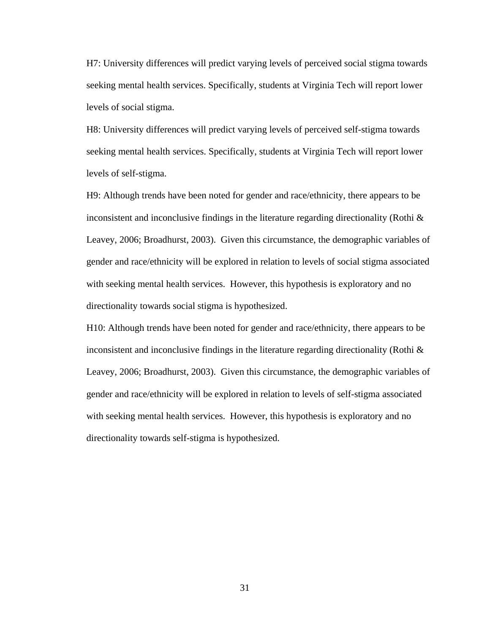H7: University differences will predict varying levels of perceived social stigma towards seeking mental health services. Specifically, students at Virginia Tech will report lower levels of social stigma.

H8: University differences will predict varying levels of perceived self-stigma towards seeking mental health services. Specifically, students at Virginia Tech will report lower levels of self-stigma.

H9: Although trends have been noted for gender and race/ethnicity, there appears to be inconsistent and inconclusive findings in the literature regarding directionality (Rothi  $\&$ Leavey, 2006; Broadhurst, 2003). Given this circumstance, the demographic variables of gender and race/ethnicity will be explored in relation to levels of social stigma associated with seeking mental health services. However, this hypothesis is exploratory and no directionality towards social stigma is hypothesized.

H10: Although trends have been noted for gender and race/ethnicity, there appears to be inconsistent and inconclusive findings in the literature regarding directionality (Rothi  $\&$ Leavey, 2006; Broadhurst, 2003). Given this circumstance, the demographic variables of gender and race/ethnicity will be explored in relation to levels of self-stigma associated with seeking mental health services. However, this hypothesis is exploratory and no directionality towards self-stigma is hypothesized.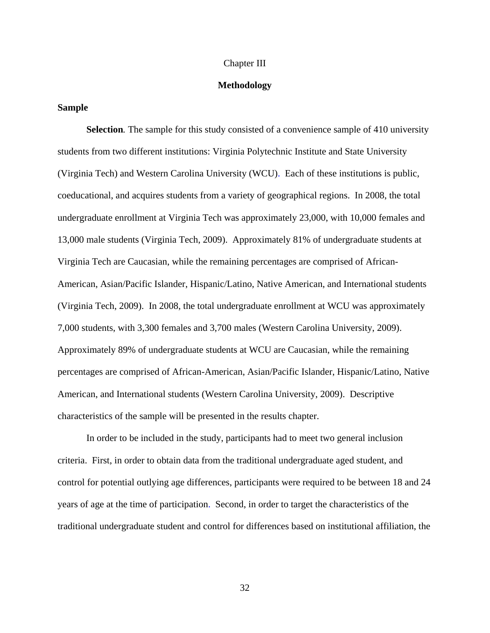#### Chapter III

#### **Methodology**

#### **Sample**

**Selection***.* The sample for this study consisted of a convenience sample of 410 university students from two different institutions: Virginia Polytechnic Institute and State University (Virginia Tech) and Western Carolina University (WCU). Each of these institutions is public, coeducational, and acquires students from a variety of geographical regions. In 2008, the total undergraduate enrollment at Virginia Tech was approximately 23,000, with 10,000 females and 13,000 male students (Virginia Tech, 2009). Approximately 81% of undergraduate students at Virginia Tech are Caucasian, while the remaining percentages are comprised of African-American, Asian/Pacific Islander, Hispanic/Latino, Native American, and International students (Virginia Tech, 2009). In 2008, the total undergraduate enrollment at WCU was approximately 7,000 students, with 3,300 females and 3,700 males (Western Carolina University, 2009). Approximately 89% of undergraduate students at WCU are Caucasian, while the remaining percentages are comprised of African-American, Asian/Pacific Islander, Hispanic/Latino, Native American, and International students (Western Carolina University, 2009). Descriptive characteristics of the sample will be presented in the results chapter.

In order to be included in the study, participants had to meet two general inclusion criteria. First, in order to obtain data from the traditional undergraduate aged student, and control for potential outlying age differences, participants were required to be between 18 and 24 years of age at the time of participation. Second, in order to target the characteristics of the traditional undergraduate student and control for differences based on institutional affiliation, the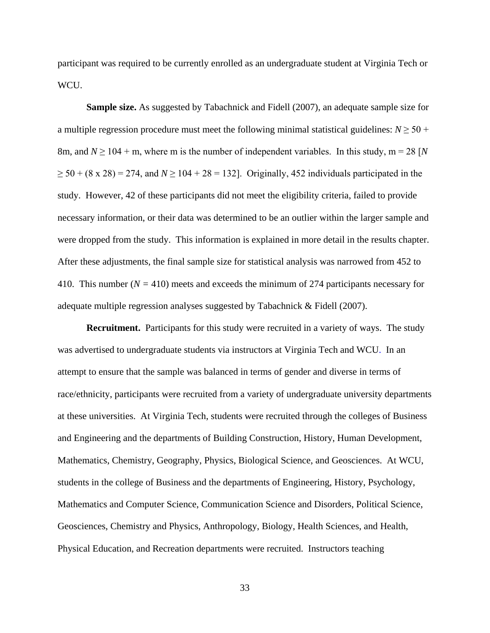participant was required to be currently enrolled as an undergraduate student at Virginia Tech or WCU.

**Sample size.** As suggested by Tabachnick and Fidell (2007), an adequate sample size for a multiple regression procedure must meet the following minimal statistical guidelines:  $N \geq 50 +$ 8m, and  $N \ge 104 + m$ , where m is the number of independent variables. In this study, m = 28 [*N*  $\geq$  50 + (8 x 28) = 274, and *N*  $\geq$  104 + 28 = 132]. Originally, 452 individuals participated in the study. However, 42 of these participants did not meet the eligibility criteria, failed to provide necessary information, or their data was determined to be an outlier within the larger sample and were dropped from the study. This information is explained in more detail in the results chapter. After these adjustments, the final sample size for statistical analysis was narrowed from 452 to 410. This number (*N =* 410) meets and exceeds the minimum of 274 participants necessary for adequate multiple regression analyses suggested by Tabachnick & Fidell (2007).

**Recruitment.** Participants for this study were recruited in a variety of ways. The study was advertised to undergraduate students via instructors at Virginia Tech and WCU. In an attempt to ensure that the sample was balanced in terms of gender and diverse in terms of race/ethnicity, participants were recruited from a variety of undergraduate university departments at these universities. At Virginia Tech, students were recruited through the colleges of Business and Engineering and the departments of Building Construction, History, Human Development, Mathematics, Chemistry, Geography, Physics, Biological Science, and Geosciences. At WCU, students in the college of Business and the departments of Engineering, History, Psychology, Mathematics and Computer Science, Communication Science and Disorders, Political Science, Geosciences, Chemistry and Physics, Anthropology, Biology, Health Sciences, and Health, Physical Education, and Recreation departments were recruited. Instructors teaching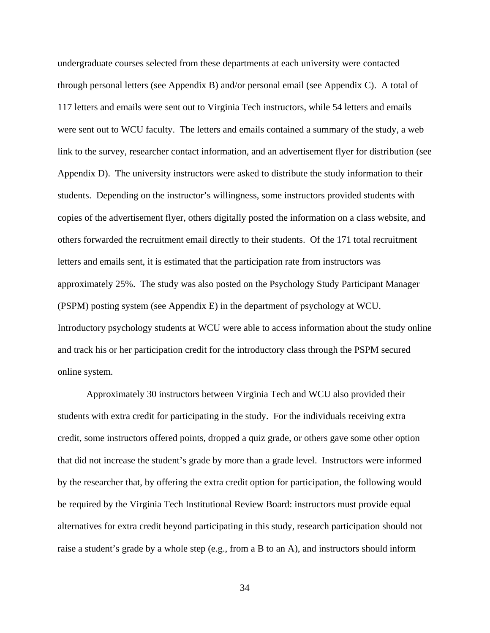undergraduate courses selected from these departments at each university were contacted through personal letters (see Appendix B) and/or personal email (see Appendix C). A total of 117 letters and emails were sent out to Virginia Tech instructors, while 54 letters and emails were sent out to WCU faculty. The letters and emails contained a summary of the study, a web link to the survey, researcher contact information, and an advertisement flyer for distribution (see Appendix D). The university instructors were asked to distribute the study information to their students. Depending on the instructor's willingness, some instructors provided students with copies of the advertisement flyer, others digitally posted the information on a class website, and others forwarded the recruitment email directly to their students. Of the 171 total recruitment letters and emails sent, it is estimated that the participation rate from instructors was approximately 25%. The study was also posted on the Psychology Study Participant Manager (PSPM) posting system (see Appendix E) in the department of psychology at WCU. Introductory psychology students at WCU were able to access information about the study online and track his or her participation credit for the introductory class through the PSPM secured online system.

Approximately 30 instructors between Virginia Tech and WCU also provided their students with extra credit for participating in the study. For the individuals receiving extra credit, some instructors offered points, dropped a quiz grade, or others gave some other option that did not increase the student's grade by more than a grade level. Instructors were informed by the researcher that, by offering the extra credit option for participation, the following would be required by the Virginia Tech Institutional Review Board: instructors must provide equal alternatives for extra credit beyond participating in this study, research participation should not raise a student's grade by a whole step (e.g., from a B to an A), and instructors should inform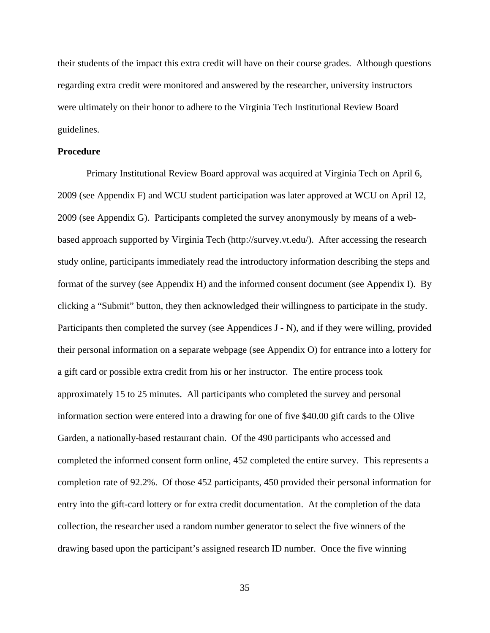their students of the impact this extra credit will have on their course grades. Although questions regarding extra credit were monitored and answered by the researcher, university instructors were ultimately on their honor to adhere to the Virginia Tech Institutional Review Board guidelines.

#### **Procedure**

Primary Institutional Review Board approval was acquired at Virginia Tech on April 6, 2009 (see Appendix F) and WCU student participation was later approved at WCU on April 12, 2009 (see Appendix G). Participants completed the survey anonymously by means of a webbased approach supported by Virginia Tech (http://survey.vt.edu/). After accessing the research study online, participants immediately read the introductory information describing the steps and format of the survey (see Appendix H) and the informed consent document (see Appendix I). By clicking a "Submit" button, they then acknowledged their willingness to participate in the study. Participants then completed the survey (see Appendices J - N), and if they were willing, provided their personal information on a separate webpage (see Appendix O) for entrance into a lottery for a gift card or possible extra credit from his or her instructor. The entire process took approximately 15 to 25 minutes. All participants who completed the survey and personal information section were entered into a drawing for one of five \$40.00 gift cards to the Olive Garden, a nationally-based restaurant chain. Of the 490 participants who accessed and completed the informed consent form online, 452 completed the entire survey. This represents a completion rate of 92.2%. Of those 452 participants, 450 provided their personal information for entry into the gift-card lottery or for extra credit documentation. At the completion of the data collection, the researcher used a random number generator to select the five winners of the drawing based upon the participant's assigned research ID number. Once the five winning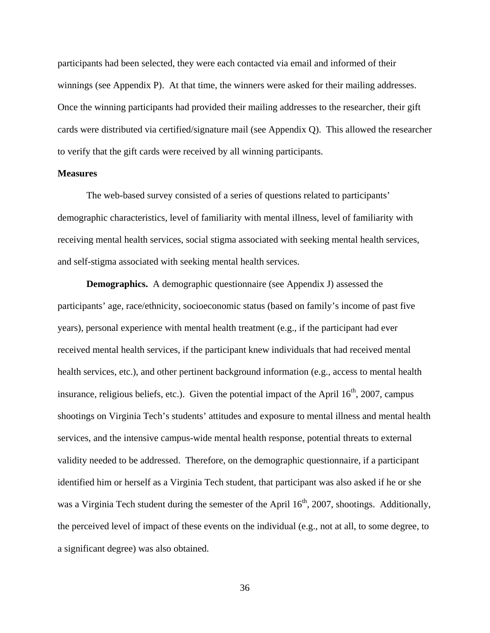participants had been selected, they were each contacted via email and informed of their winnings (see Appendix P). At that time, the winners were asked for their mailing addresses. Once the winning participants had provided their mailing addresses to the researcher, their gift cards were distributed via certified/signature mail (see Appendix Q). This allowed the researcher to verify that the gift cards were received by all winning participants.

#### **Measures**

The web-based survey consisted of a series of questions related to participants' demographic characteristics, level of familiarity with mental illness, level of familiarity with receiving mental health services, social stigma associated with seeking mental health services, and self-stigma associated with seeking mental health services.

**Demographics.** A demographic questionnaire (see Appendix J) assessed the participants' age, race/ethnicity, socioeconomic status (based on family's income of past five years), personal experience with mental health treatment (e.g., if the participant had ever received mental health services, if the participant knew individuals that had received mental health services, etc.), and other pertinent background information (e.g., access to mental health insurance, religious beliefs, etc.). Given the potential impact of the April  $16<sup>th</sup>$ , 2007, campus shootings on Virginia Tech's students' attitudes and exposure to mental illness and mental health services, and the intensive campus-wide mental health response, potential threats to external validity needed to be addressed. Therefore, on the demographic questionnaire, if a participant identified him or herself as a Virginia Tech student, that participant was also asked if he or she was a Virginia Tech student during the semester of the April  $16<sup>th</sup>$ , 2007, shootings. Additionally, the perceived level of impact of these events on the individual (e.g., not at all, to some degree, to a significant degree) was also obtained.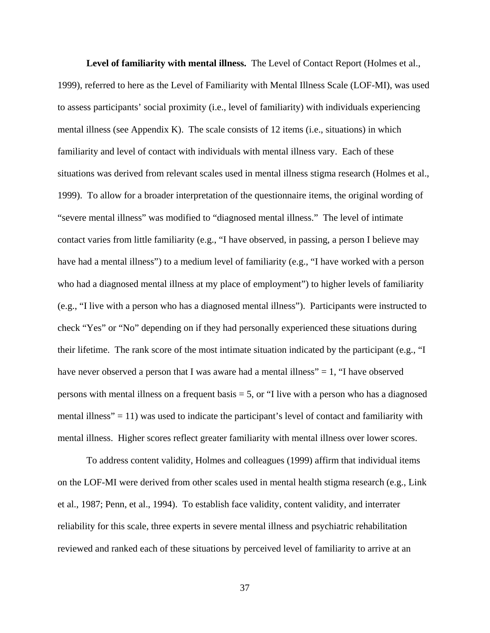**Level of familiarity with mental illness.** The Level of Contact Report (Holmes et al., 1999), referred to here as the Level of Familiarity with Mental Illness Scale (LOF-MI), was used to assess participants' social proximity (i.e., level of familiarity) with individuals experiencing mental illness (see Appendix K). The scale consists of 12 items (i.e., situations) in which familiarity and level of contact with individuals with mental illness vary. Each of these situations was derived from relevant scales used in mental illness stigma research (Holmes et al., 1999). To allow for a broader interpretation of the questionnaire items, the original wording of "severe mental illness" was modified to "diagnosed mental illness." The level of intimate contact varies from little familiarity (e.g., "I have observed, in passing, a person I believe may have had a mental illness") to a medium level of familiarity (e.g., "I have worked with a person who had a diagnosed mental illness at my place of employment") to higher levels of familiarity (e.g., "I live with a person who has a diagnosed mental illness"). Participants were instructed to check "Yes" or "No" depending on if they had personally experienced these situations during their lifetime. The rank score of the most intimate situation indicated by the participant (e.g., "I have never observed a person that I was aware had a mental illness" =  $1$ , "I have observed persons with mental illness on a frequent basis  $=$  5, or "I live with a person who has a diagnosed mental illness" = 11) was used to indicate the participant's level of contact and familiarity with mental illness. Higher scores reflect greater familiarity with mental illness over lower scores.

To address content validity, Holmes and colleagues (1999) affirm that individual items on the LOF-MI were derived from other scales used in mental health stigma research (e.g., Link et al., 1987; Penn, et al., 1994). To establish face validity, content validity, and interrater reliability for this scale, three experts in severe mental illness and psychiatric rehabilitation reviewed and ranked each of these situations by perceived level of familiarity to arrive at an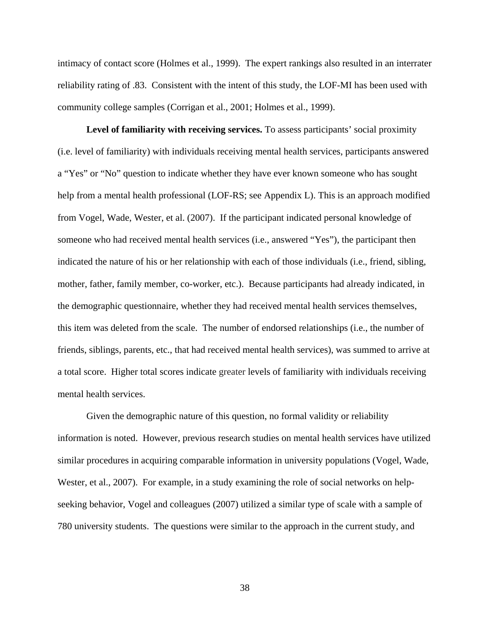intimacy of contact score (Holmes et al., 1999). The expert rankings also resulted in an interrater reliability rating of .83. Consistent with the intent of this study, the LOF-MI has been used with community college samples (Corrigan et al., 2001; Holmes et al., 1999).

Level of familiarity with receiving services. To assess participants' social proximity (i.e. level of familiarity) with individuals receiving mental health services, participants answered a "Yes" or "No" question to indicate whether they have ever known someone who has sought help from a mental health professional (LOF-RS; see Appendix L). This is an approach modified from Vogel, Wade, Wester, et al. (2007). If the participant indicated personal knowledge of someone who had received mental health services (i.e., answered "Yes"), the participant then indicated the nature of his or her relationship with each of those individuals (i.e., friend, sibling, mother, father, family member, co-worker, etc.). Because participants had already indicated, in the demographic questionnaire, whether they had received mental health services themselves, this item was deleted from the scale. The number of endorsed relationships (i.e., the number of friends, siblings, parents, etc., that had received mental health services), was summed to arrive at a total score. Higher total scores indicate greater levels of familiarity with individuals receiving mental health services.

Given the demographic nature of this question, no formal validity or reliability information is noted. However, previous research studies on mental health services have utilized similar procedures in acquiring comparable information in university populations (Vogel, Wade, Wester, et al., 2007). For example, in a study examining the role of social networks on helpseeking behavior, Vogel and colleagues (2007) utilized a similar type of scale with a sample of 780 university students. The questions were similar to the approach in the current study, and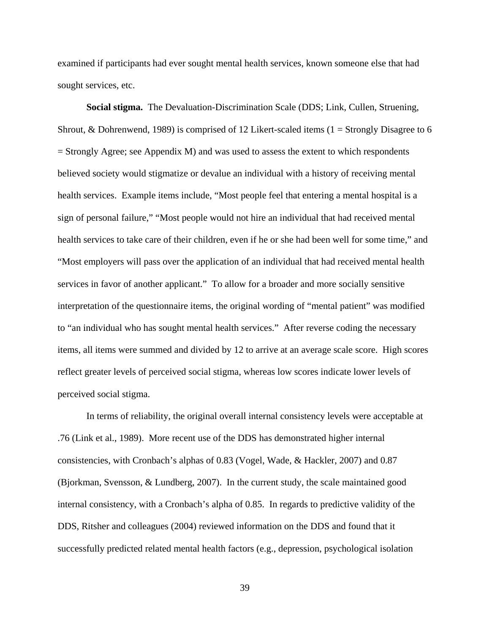examined if participants had ever sought mental health services, known someone else that had sought services, etc.

**Social stigma.**The Devaluation-Discrimination Scale (DDS; Link, Cullen, Struening, Shrout, & Dohrenwend, 1989) is comprised of 12 Likert-scaled items (1 = Strongly Disagree to 6  $=$  Strongly Agree; see Appendix M) and was used to assess the extent to which respondents believed society would stigmatize or devalue an individual with a history of receiving mental health services. Example items include, "Most people feel that entering a mental hospital is a sign of personal failure," "Most people would not hire an individual that had received mental health services to take care of their children, even if he or she had been well for some time," and "Most employers will pass over the application of an individual that had received mental health services in favor of another applicant." To allow for a broader and more socially sensitive interpretation of the questionnaire items, the original wording of "mental patient" was modified to "an individual who has sought mental health services." After reverse coding the necessary items, all items were summed and divided by 12 to arrive at an average scale score. High scores reflect greater levels of perceived social stigma, whereas low scores indicate lower levels of perceived social stigma.

In terms of reliability, the original overall internal consistency levels were acceptable at .76 (Link et al., 1989). More recent use of the DDS has demonstrated higher internal consistencies, with Cronbach's alphas of 0.83 (Vogel, Wade, & Hackler, 2007) and 0.87 (Bjorkman, Svensson, & Lundberg, 2007). In the current study, the scale maintained good internal consistency, with a Cronbach's alpha of 0.85. In regards to predictive validity of the DDS, Ritsher and colleagues (2004) reviewed information on the DDS and found that it successfully predicted related mental health factors (e.g., depression, psychological isolation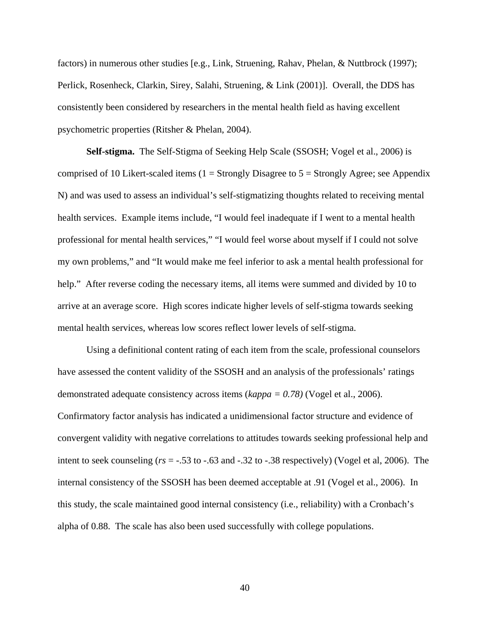factors) in numerous other studies [e.g., Link, Struening, Rahav, Phelan, & Nuttbrock (1997); Perlick, Rosenheck, Clarkin, Sirey, Salahi, Struening, & Link (2001)]. Overall, the DDS has consistently been considered by researchers in the mental health field as having excellent psychometric properties (Ritsher & Phelan, 2004).

**Self-stigma.** The Self-Stigma of Seeking Help Scale (SSOSH; Vogel et al., 2006) is comprised of 10 Likert-scaled items ( $1 =$  Strongly Disagree to  $5 =$  Strongly Agree; see Appendix N) and was used to assess an individual's self-stigmatizing thoughts related to receiving mental health services. Example items include, "I would feel inadequate if I went to a mental health professional for mental health services," "I would feel worse about myself if I could not solve my own problems," and "It would make me feel inferior to ask a mental health professional for help." After reverse coding the necessary items, all items were summed and divided by 10 to arrive at an average score. High scores indicate higher levels of self-stigma towards seeking mental health services, whereas low scores reflect lower levels of self-stigma.

Using a definitional content rating of each item from the scale, professional counselors have assessed the content validity of the SSOSH and an analysis of the professionals' ratings demonstrated adequate consistency across items (*kappa = 0.78)* (Vogel et al., 2006). Confirmatory factor analysis has indicated a unidimensional factor structure and evidence of convergent validity with negative correlations to attitudes towards seeking professional help and intent to seek counseling (*rs* = -.53 to -.63 and -.32 to -.38 respectively) (Vogel et al, 2006). The internal consistency of the SSOSH has been deemed acceptable at .91 (Vogel et al., 2006). In this study, the scale maintained good internal consistency (i.e., reliability) with a Cronbach's alpha of 0.88. The scale has also been used successfully with college populations.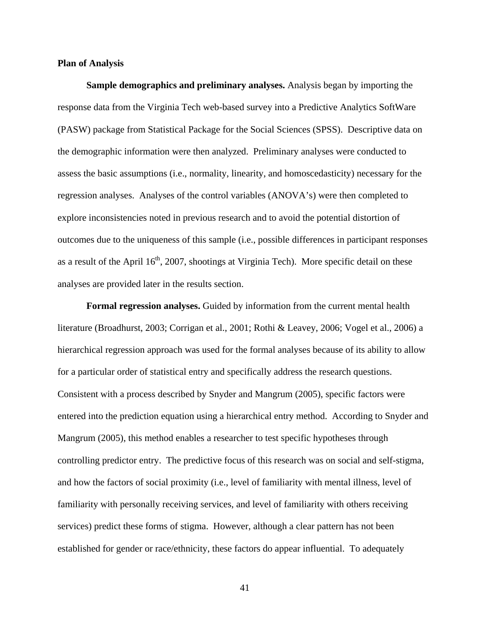#### **Plan of Analysis**

**Sample demographics and preliminary analyses.** Analysis began by importing the response data from the Virginia Tech web-based survey into a Predictive Analytics SoftWare (PASW) package from Statistical Package for the Social Sciences (SPSS). Descriptive data on the demographic information were then analyzed. Preliminary analyses were conducted to assess the basic assumptions (i.e., normality, linearity, and homoscedasticity) necessary for the regression analyses.Analyses of the control variables (ANOVA's) were then completed to explore inconsistencies noted in previous research and to avoid the potential distortion of outcomes due to the uniqueness of this sample (i.e., possible differences in participant responses as a result of the April  $16<sup>th</sup>$ , 2007, shootings at Virginia Tech). More specific detail on these analyses are provided later in the results section.

**Formal regression analyses.** Guided by information from the current mental health literature (Broadhurst, 2003; Corrigan et al., 2001; Rothi & Leavey, 2006; Vogel et al., 2006) a hierarchical regression approach was used for the formal analyses because of its ability to allow for a particular order of statistical entry and specifically address the research questions. Consistent with a process described by Snyder and Mangrum (2005), specific factors were entered into the prediction equation using a hierarchical entry method. According to Snyder and Mangrum (2005), this method enables a researcher to test specific hypotheses through controlling predictor entry. The predictive focus of this research was on social and self-stigma, and how the factors of social proximity (i.e., level of familiarity with mental illness, level of familiarity with personally receiving services, and level of familiarity with others receiving services) predict these forms of stigma. However, although a clear pattern has not been established for gender or race/ethnicity, these factors do appear influential. To adequately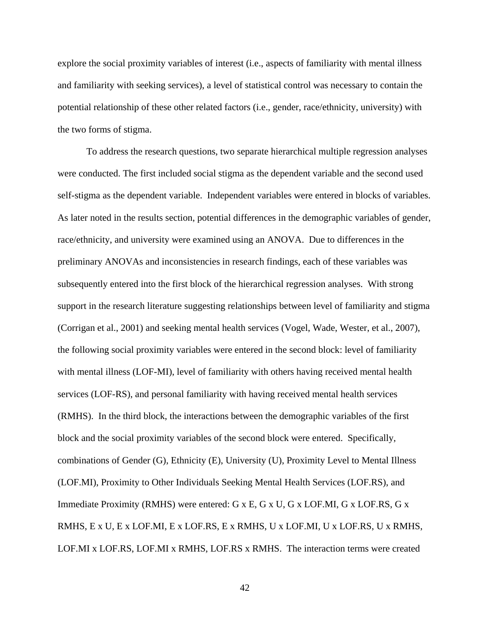explore the social proximity variables of interest (i.e., aspects of familiarity with mental illness and familiarity with seeking services), a level of statistical control was necessary to contain the potential relationship of these other related factors (i.e., gender, race/ethnicity, university) with the two forms of stigma.

To address the research questions, two separate hierarchical multiple regression analyses were conducted. The first included social stigma as the dependent variable and the second used self-stigma as the dependent variable. Independent variables were entered in blocks of variables. As later noted in the results section, potential differences in the demographic variables of gender, race/ethnicity, and university were examined using an ANOVA. Due to differences in the preliminary ANOVAs and inconsistencies in research findings, each of these variables was subsequently entered into the first block of the hierarchical regression analyses. With strong support in the research literature suggesting relationships between level of familiarity and stigma (Corrigan et al., 2001) and seeking mental health services (Vogel, Wade, Wester, et al., 2007), the following social proximity variables were entered in the second block: level of familiarity with mental illness (LOF-MI), level of familiarity with others having received mental health services (LOF-RS), and personal familiarity with having received mental health services (RMHS). In the third block, the interactions between the demographic variables of the first block and the social proximity variables of the second block were entered. Specifically, combinations of Gender (G), Ethnicity (E), University (U), Proximity Level to Mental Illness (LOF.MI), Proximity to Other Individuals Seeking Mental Health Services (LOF.RS), and Immediate Proximity (RMHS) were entered: G x E, G x U, G x LOF.MI, G x LOF.RS, G x RMHS, E x U, E x LOF.MI, E x LOF.RS, E x RMHS, U x LOF.MI, U x LOF.RS, U x RMHS, LOF.MI x LOF.RS, LOF.MI x RMHS, LOF.RS x RMHS. The interaction terms were created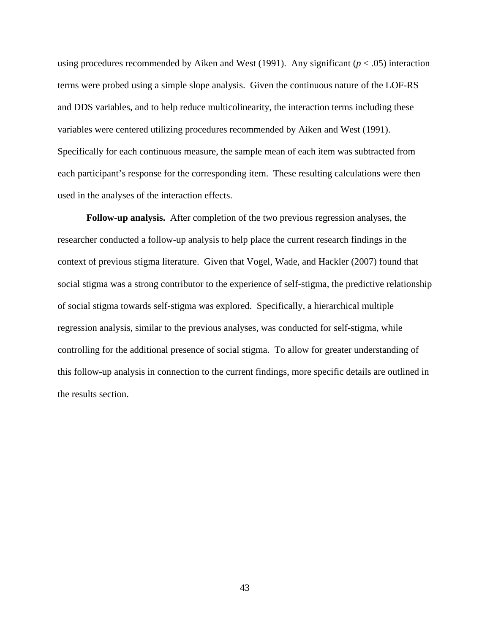using procedures recommended by Aiken and West (1991). Any significant  $(p < .05)$  interaction terms were probed using a simple slope analysis. Given the continuous nature of the LOF-RS and DDS variables, and to help reduce multicolinearity, the interaction terms including these variables were centered utilizing procedures recommended by Aiken and West (1991). Specifically for each continuous measure, the sample mean of each item was subtracted from each participant's response for the corresponding item. These resulting calculations were then used in the analyses of the interaction effects.

**Follow-up analysis.** After completion of the two previous regression analyses, the researcher conducted a follow-up analysis to help place the current research findings in the context of previous stigma literature. Given that Vogel, Wade, and Hackler (2007) found that social stigma was a strong contributor to the experience of self-stigma, the predictive relationship of social stigma towards self-stigma was explored. Specifically, a hierarchical multiple regression analysis, similar to the previous analyses, was conducted for self-stigma, while controlling for the additional presence of social stigma. To allow for greater understanding of this follow-up analysis in connection to the current findings, more specific details are outlined in the results section.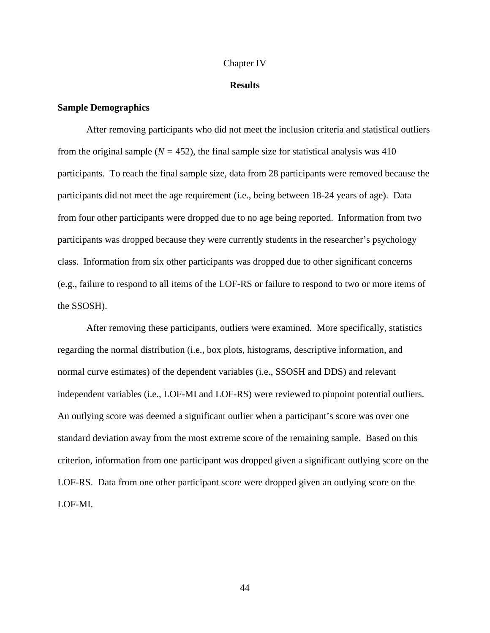#### Chapter IV

#### **Results**

#### **Sample Demographics**

After removing participants who did not meet the inclusion criteria and statistical outliers from the original sample  $(N = 452)$ , the final sample size for statistical analysis was 410 participants. To reach the final sample size, data from 28 participants were removed because the participants did not meet the age requirement (i.e., being between 18-24 years of age). Data from four other participants were dropped due to no age being reported. Information from two participants was dropped because they were currently students in the researcher's psychology class. Information from six other participants was dropped due to other significant concerns (e.g., failure to respond to all items of the LOF-RS or failure to respond to two or more items of the SSOSH).

After removing these participants, outliers were examined. More specifically, statistics regarding the normal distribution (i.e., box plots, histograms, descriptive information, and normal curve estimates) of the dependent variables (i.e., SSOSH and DDS) and relevant independent variables (i.e., LOF-MI and LOF-RS) were reviewed to pinpoint potential outliers. An outlying score was deemed a significant outlier when a participant's score was over one standard deviation away from the most extreme score of the remaining sample. Based on this criterion, information from one participant was dropped given a significant outlying score on the LOF-RS. Data from one other participant score were dropped given an outlying score on the LOF-MI.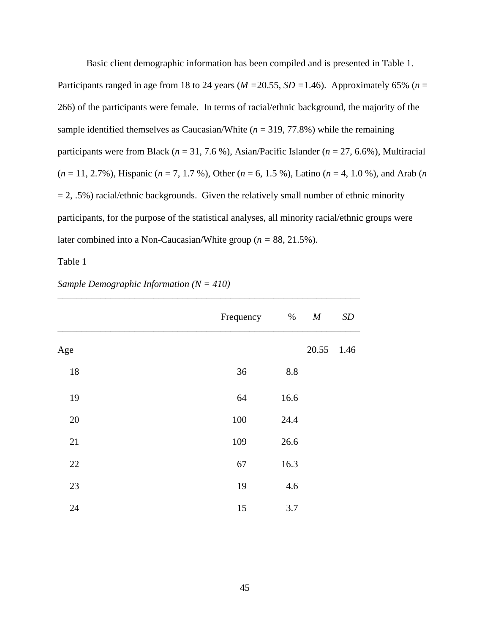Basic client demographic information has been compiled and is presented in Table 1. Participants ranged in age from 18 to 24 years (*M =*20.55*, SD =*1.46). Approximately 65% (*n* = 266) of the participants were female. In terms of racial/ethnic background, the majority of the sample identified themselves as Caucasian/White  $(n = 319, 77.8\%)$  while the remaining participants were from Black (*n* = 31, 7.6 %), Asian/Pacific Islander (*n* = 27, 6.6%), Multiracial (*n* = 11, 2.7%), Hispanic (*n* = 7, 1.7 %), Other (*n* = 6, 1.5 %), Latino (*n* = 4, 1.0 %), and Arab (*n*  $= 2, .5\%$ ) racial/ethnic backgrounds. Given the relatively small number of ethnic minority participants, for the purpose of the statistical analyses, all minority racial/ethnic groups were later combined into a Non-Caucasian/White group (*n =* 88, 21.5%).

Table 1

|     | Frequency | $\%$ | $\boldsymbol{M}$ | SD   |
|-----|-----------|------|------------------|------|
| Age |           |      | 20.55            | 1.46 |
| 18  | 36        | 8.8  |                  |      |
| 19  | 64        | 16.6 |                  |      |
| 20  | 100       | 24.4 |                  |      |
| 21  | 109       | 26.6 |                  |      |
| 22  | 67        | 16.3 |                  |      |
| 23  | 19        | 4.6  |                  |      |
| 24  | 15        | 3.7  |                  |      |

*\_\_\_\_\_\_\_\_\_\_\_\_\_\_\_\_\_\_\_\_\_\_\_\_\_\_\_\_\_\_\_\_\_\_\_\_\_\_\_\_\_\_\_\_\_\_\_\_\_\_\_\_\_\_\_\_\_\_\_\_\_\_\_*

*Sample Demographic Information (N = 410)*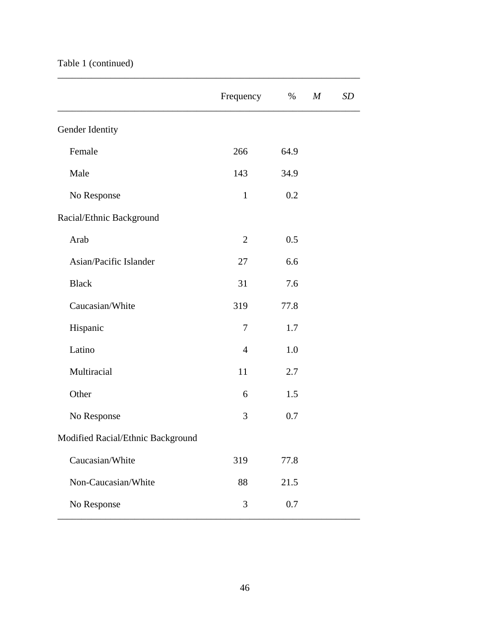# Table 1 (continued)

|                                   | Frequency<br>$\%$ |      | $\boldsymbol{M}$ | SD |
|-----------------------------------|-------------------|------|------------------|----|
| Gender Identity                   |                   |      |                  |    |
| Female                            | 266               | 64.9 |                  |    |
| Male                              | 143               | 34.9 |                  |    |
| No Response                       | $\mathbf{1}$      | 0.2  |                  |    |
| Racial/Ethnic Background          |                   |      |                  |    |
| Arab                              | $\overline{2}$    | 0.5  |                  |    |
| Asian/Pacific Islander            | 27                | 6.6  |                  |    |
| <b>Black</b>                      | 31                | 7.6  |                  |    |
| Caucasian/White                   | 319               | 77.8 |                  |    |
| Hispanic                          | 7                 | 1.7  |                  |    |
| Latino                            | $\overline{4}$    | 1.0  |                  |    |
| Multiracial                       | 11                | 2.7  |                  |    |
| Other                             | 6                 | 1.5  |                  |    |
| No Response                       | 3                 | 0.7  |                  |    |
| Modified Racial/Ethnic Background |                   |      |                  |    |
| Caucasian/White                   | 319               | 77.8 |                  |    |
| Non-Caucasian/White               | 88                | 21.5 |                  |    |
| No Response                       | 3<br>0.7          |      |                  |    |

*\_\_\_\_\_\_\_\_\_\_\_\_\_\_\_\_\_\_\_\_\_\_\_\_\_\_\_\_\_\_\_\_\_\_\_\_\_\_\_\_\_\_\_\_\_\_\_\_\_\_\_\_\_\_\_\_\_\_\_\_\_\_\_*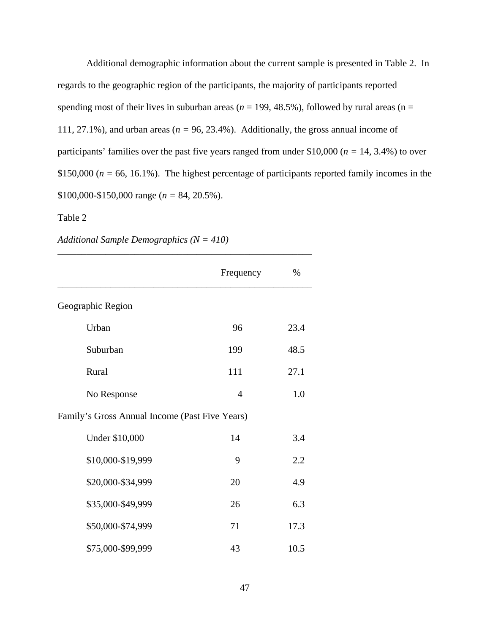Additional demographic information about the current sample is presented in Table 2. In regards to the geographic region of the participants, the majority of participants reported spending most of their lives in suburban areas ( $n = 199, 48.5\%$ ), followed by rural areas ( $n =$ 111, 27.1%), and urban areas ( $n = 96, 23.4%$ ). Additionally, the gross annual income of participants' families over the past five years ranged from under \$10,000 (*n =* 14, 3.4%) to over \$150,000 ( $n = 66$ , 16.1%). The highest percentage of participants reported family incomes in the \$100,000-\$150,000 range (*n =* 84, 20.5%).

### Table 2

*Additional Sample Demographics (N = 410)*

|                                                | Frequency      | $\%$ |
|------------------------------------------------|----------------|------|
| Geographic Region                              |                |      |
| Urban                                          | 96             | 23.4 |
| Suburban                                       | 199            | 48.5 |
| Rural                                          | 111            | 27.1 |
| No Response                                    | $\overline{4}$ | 1.0  |
| Family's Gross Annual Income (Past Five Years) |                |      |
| Under \$10,000                                 | 14             | 3.4  |
| \$10,000-\$19,999                              | 9              | 2.2  |
| \$20,000-\$34,999                              | 20             | 4.9  |
| \$35,000-\$49,999                              | 26             | 6.3  |
| \$50,000-\$74,999                              | 71             | 17.3 |
| \$75,000-\$99,999                              | 43             | 10.5 |

*\_\_\_\_\_\_\_\_\_\_\_\_\_\_\_\_\_\_\_\_\_\_\_\_\_\_\_\_\_\_\_\_\_\_\_\_\_\_\_\_\_\_\_\_\_\_\_\_\_\_\_\_\_*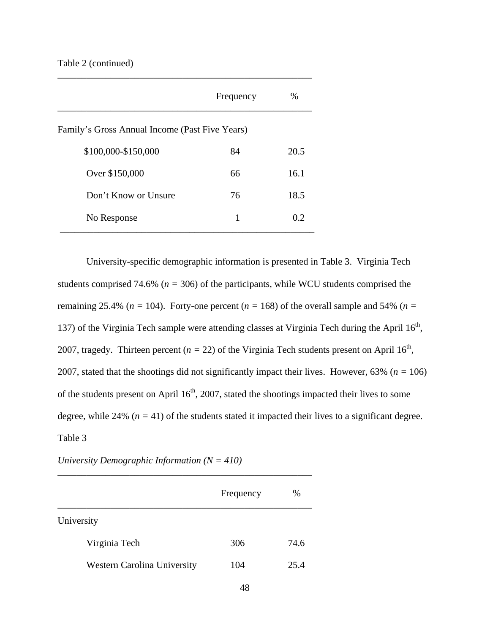### Table 2 (continued)

|                                                | Frequency | $\%$ |
|------------------------------------------------|-----------|------|
| Family's Gross Annual Income (Past Five Years) |           |      |
| \$100,000-\$150,000                            | 84        | 20.5 |
| Over \$150,000                                 | 66        | 16.1 |
| Don't Know or Unsure                           | 76        | 18.5 |
| No Response                                    | 1         | 0.2  |

*\_\_\_\_\_\_\_\_\_\_\_\_\_\_\_\_\_\_\_\_\_\_\_\_\_\_\_\_\_\_\_\_\_\_\_\_\_\_\_\_\_\_\_\_\_\_\_\_\_\_\_\_\_*

University-specific demographic information is presented in Table 3. Virginia Tech students comprised 74.6% ( $n = 306$ ) of the participants, while WCU students comprised the remaining 25.4% ( $n = 104$ ). Forty-one percent ( $n = 168$ ) of the overall sample and 54% ( $n =$ 137) of the Virginia Tech sample were attending classes at Virginia Tech during the April  $16<sup>th</sup>$ , 2007, tragedy. Thirteen percent ( $n = 22$ ) of the Virginia Tech students present on April 16<sup>th</sup>, 2007, stated that the shootings did not significantly impact their lives. However, 63% (*n =* 106) of the students present on April  $16<sup>th</sup>$ , 2007, stated the shootings impacted their lives to some degree, while 24% ( $n = 41$ ) of the students stated it impacted their lives to a significant degree. Table 3

|                                    | Frequency | %    |
|------------------------------------|-----------|------|
| University                         |           |      |
| Virginia Tech                      | 306       | 74.6 |
| <b>Western Carolina University</b> | 104       | 25.4 |

## *University Demographic Information (N = 410)*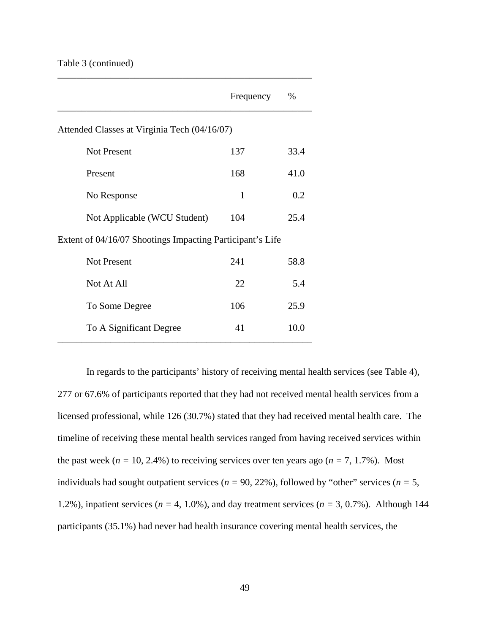### Table 3 (continued)

|                                                           | Frequency | $\%$ |
|-----------------------------------------------------------|-----------|------|
| Attended Classes at Virginia Tech (04/16/07)              |           |      |
| <b>Not Present</b>                                        | 137       | 33.4 |
| Present                                                   | 168       | 41.0 |
| No Response                                               | 1         | 0.2  |
| Not Applicable (WCU Student)                              | 104       | 25.4 |
| Extent of 04/16/07 Shootings Impacting Participant's Life |           |      |
| <b>Not Present</b>                                        | 241       | 58.8 |
| Not At All                                                | 22        | 5.4  |
| To Some Degree                                            | 106       | 25.9 |
| To A Significant Degree                                   | 41        | 10.0 |

*\_\_\_\_\_\_\_\_\_\_\_\_\_\_\_\_\_\_\_\_\_\_\_\_\_\_\_\_\_\_\_\_\_\_\_\_\_\_\_\_\_\_\_\_\_\_\_\_\_\_\_\_\_*

In regards to the participants' history of receiving mental health services (see Table 4), 277 or 67.6% of participants reported that they had not received mental health services from a licensed professional, while 126 (30.7%) stated that they had received mental health care. The timeline of receiving these mental health services ranged from having received services within the past week ( $n = 10, 2.4\%$ ) to receiving services over ten years ago ( $n = 7, 1.7\%$ ). Most individuals had sought outpatient services ( $n = 90, 22\%$ ), followed by "other" services ( $n = 5$ , 1.2%), inpatient services ( $n = 4, 1.0\%$ ), and day treatment services ( $n = 3, 0.7\%$ ). Although 144 participants (35.1%) had never had health insurance covering mental health services, the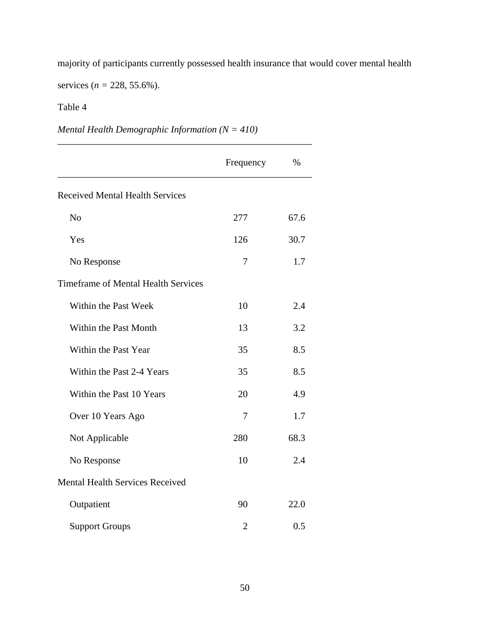majority of participants currently possessed health insurance that would cover mental health

services (*n =* 228, 55.6%).

## Table 4

# *Mental Health Demographic Information (N = 410)*

*\_\_\_\_\_\_\_\_\_\_\_\_\_\_\_\_\_\_\_\_\_\_\_\_\_\_\_\_\_\_\_\_\_\_\_\_\_\_\_\_\_\_\_\_\_\_\_\_\_\_\_\_\_*

|                                            | Frequency      | $\%$ |
|--------------------------------------------|----------------|------|
| <b>Received Mental Health Services</b>     |                |      |
| N <sub>o</sub>                             | 277            | 67.6 |
| Yes                                        | 126            | 30.7 |
| No Response                                | 7              | 1.7  |
| <b>Timeframe of Mental Health Services</b> |                |      |
| Within the Past Week                       | 10             | 2.4  |
| Within the Past Month                      | 13             | 3.2  |
| Within the Past Year                       | 35             | 8.5  |
| Within the Past 2-4 Years                  | 35             | 8.5  |
| Within the Past 10 Years                   | 20             | 4.9  |
| Over 10 Years Ago                          | 7              | 1.7  |
| Not Applicable                             | 280            | 68.3 |
| No Response                                | 10             | 2.4  |
| <b>Mental Health Services Received</b>     |                |      |
| Outpatient                                 | 90             | 22.0 |
| <b>Support Groups</b>                      | $\overline{2}$ | 0.5  |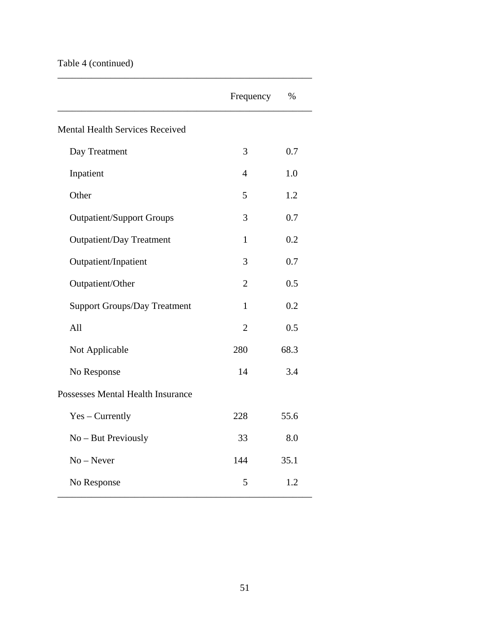# Table 4 (continued)

|                                          | Frequency      | $\%$ |
|------------------------------------------|----------------|------|
| <b>Mental Health Services Received</b>   |                |      |
| Day Treatment                            | 3              | 0.7  |
| Inpatient                                | $\overline{4}$ | 1.0  |
| Other                                    | 5              | 1.2  |
| <b>Outpatient/Support Groups</b>         | 3              | 0.7  |
| <b>Outpatient/Day Treatment</b>          | 1              | 0.2  |
| Outpatient/Inpatient                     | 3              | 0.7  |
| Outpatient/Other                         | $\overline{2}$ | 0.5  |
| <b>Support Groups/Day Treatment</b>      | $\mathbf{1}$   | 0.2  |
| All                                      | $\overline{2}$ | 0.5  |
| Not Applicable                           | 280            | 68.3 |
| No Response                              | 14             | 3.4  |
| <b>Possesses Mental Health Insurance</b> |                |      |
| $Yes - Currently$                        | 228            | 55.6 |
| No - But Previously                      | 33             | 8.0  |
| $No - Never$                             | 144            | 35.1 |
| No Response                              | 5              | 1.2  |

*\_\_\_\_\_\_\_\_\_\_\_\_\_\_\_\_\_\_\_\_\_\_\_\_\_\_\_\_\_\_\_\_\_\_\_\_\_\_\_\_\_\_\_\_\_\_\_\_\_\_\_\_\_*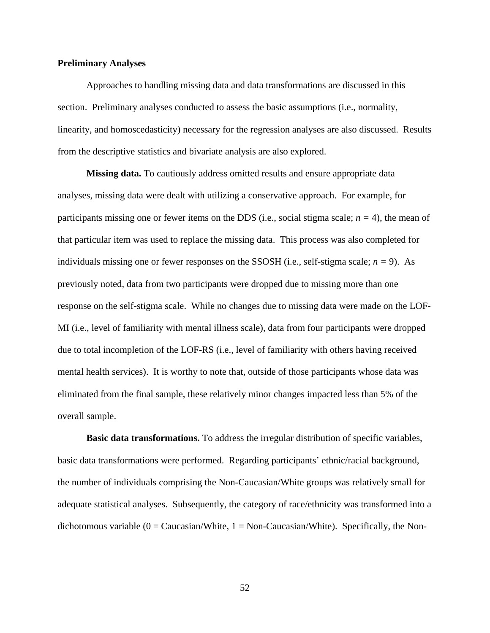#### **Preliminary Analyses**

Approaches to handling missing data and data transformations are discussed in this section. Preliminary analyses conducted to assess the basic assumptions (i.e., normality, linearity, and homoscedasticity) necessary for the regression analyses are also discussed. Results from the descriptive statistics and bivariate analysis are also explored.

**Missing data.** To cautiously address omitted results and ensure appropriate data analyses, missing data were dealt with utilizing a conservative approach. For example, for participants missing one or fewer items on the DDS (i.e., social stigma scale;  $n = 4$ ), the mean of that particular item was used to replace the missing data. This process was also completed for individuals missing one or fewer responses on the SSOSH (i.e., self-stigma scale; *n =* 9). As previously noted, data from two participants were dropped due to missing more than one response on the self-stigma scale. While no changes due to missing data were made on the LOF-MI (i.e., level of familiarity with mental illness scale), data from four participants were dropped due to total incompletion of the LOF-RS (i.e., level of familiarity with others having received mental health services). It is worthy to note that, outside of those participants whose data was eliminated from the final sample, these relatively minor changes impacted less than 5% of the overall sample.

**Basic data transformations.** To address the irregular distribution of specific variables, basic data transformations were performed. Regarding participants' ethnic/racial background, the number of individuals comprising the Non-Caucasian/White groups was relatively small for adequate statistical analyses. Subsequently, the category of race/ethnicity was transformed into a dichotomous variable ( $0 = \text{Caucasian/White}$ ,  $1 = \text{Non-Caucasian/White}$ ). Specifically, the Non-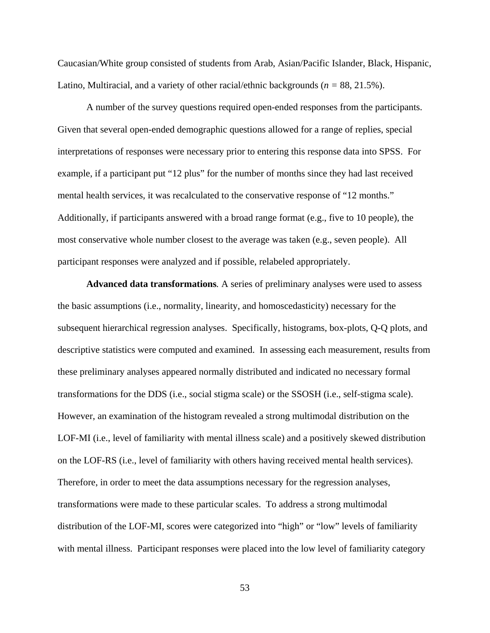Caucasian/White group consisted of students from Arab, Asian/Pacific Islander, Black, Hispanic, Latino, Multiracial, and a variety of other racial/ethnic backgrounds (*n =* 88, 21.5%).

A number of the survey questions required open-ended responses from the participants. Given that several open-ended demographic questions allowed for a range of replies, special interpretations of responses were necessary prior to entering this response data into SPSS. For example, if a participant put "12 plus" for the number of months since they had last received mental health services, it was recalculated to the conservative response of "12 months." Additionally, if participants answered with a broad range format (e.g., five to 10 people), the most conservative whole number closest to the average was taken (e.g., seven people). All participant responses were analyzed and if possible, relabeled appropriately.

**Advanced data transformations***.* A series of preliminary analyses were used to assess the basic assumptions (i.e., normality, linearity, and homoscedasticity) necessary for the subsequent hierarchical regression analyses.Specifically, histograms, box-plots, Q-Q plots, and descriptive statistics were computed and examined. In assessing each measurement, results from these preliminary analyses appeared normally distributed and indicated no necessary formal transformations for the DDS (i.e., social stigma scale) or the SSOSH (i.e., self-stigma scale). However, an examination of the histogram revealed a strong multimodal distribution on the LOF-MI (i.e., level of familiarity with mental illness scale) and a positively skewed distribution on the LOF-RS (i.e., level of familiarity with others having received mental health services). Therefore, in order to meet the data assumptions necessary for the regression analyses, transformations were made to these particular scales. To address a strong multimodal distribution of the LOF-MI, scores were categorized into "high" or "low" levels of familiarity with mental illness. Participant responses were placed into the low level of familiarity category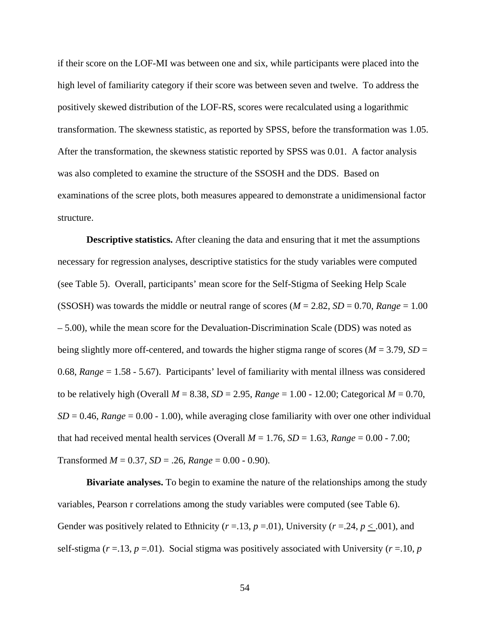if their score on the LOF-MI was between one and six, while participants were placed into the high level of familiarity category if their score was between seven and twelve. To address the positively skewed distribution of the LOF-RS, scores were recalculated using a logarithmic transformation. The skewness statistic, as reported by SPSS, before the transformation was 1.05. After the transformation, the skewness statistic reported by SPSS was 0.01. A factor analysis was also completed to examine the structure of the SSOSH and the DDS. Based on examinations of the scree plots, both measures appeared to demonstrate a unidimensional factor structure.

**Descriptive statistics.** After cleaning the data and ensuring that it met the assumptions necessary for regression analyses, descriptive statistics for the study variables were computed (see Table 5). Overall, participants' mean score for the Self-Stigma of Seeking Help Scale (SSOSH) was towards the middle or neutral range of scores ( $M = 2.82$ ,  $SD = 0.70$ ,  $Range = 1.00$ – 5.00), while the mean score for the Devaluation-Discrimination Scale (DDS) was noted as being slightly more off-centered, and towards the higher stigma range of scores ( $M = 3.79$ ,  $SD =$ 0.68, *Range* = 1.58 - 5.67). Participants' level of familiarity with mental illness was considered to be relatively high (Overall  $M = 8.38$ ,  $SD = 2.95$ ,  $Range = 1.00 - 12.00$ ; Categorical  $M = 0.70$ ,  $SD = 0.46$ , *Range* = 0.00 - 1.00), while averaging close familiarity with over one other individual that had received mental health services (Overall  $M = 1.76$ ,  $SD = 1.63$ ,  $Range = 0.00 - 7.00$ ; Transformed *M* = 0.37, *SD* = .26, *Range* = 0.00 - 0.90).

**Bivariate analyses.** To begin to examine the nature of the relationships among the study variables, Pearson r correlations among the study variables were computed (see Table 6). Gender was positively related to Ethnicity ( $r = .13$ ,  $p = .01$ ), University ( $r = .24$ ,  $p < .001$ ), and self-stigma  $(r = 13, p = 01)$ . Social stigma was positively associated with University  $(r = 10, p)$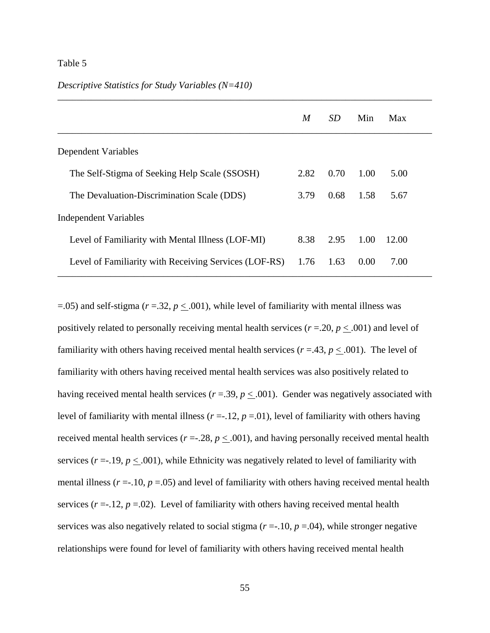#### Table 5

#### *Descriptive Statistics for Study Variables (N=410)*

|                                                       | M    | <i>SD</i> | Min  | Max   |
|-------------------------------------------------------|------|-----------|------|-------|
| Dependent Variables                                   |      |           |      |       |
| The Self-Stigma of Seeking Help Scale (SSOSH)         | 2.82 | 0.70      | 1.00 | 5.00  |
| The Devaluation-Discrimination Scale (DDS)            | 3.79 | 0.68      | 1.58 | 5.67  |
| <b>Independent Variables</b>                          |      |           |      |       |
| Level of Familiarity with Mental Illness (LOF-MI)     | 8.38 | 2.95      | 1.00 | 12.00 |
| Level of Familiarity with Receiving Services (LOF-RS) | 1.76 | 1.63      | 0.00 | 7.00  |

*\_\_\_\_\_\_\_\_\_\_\_\_\_\_\_\_\_\_\_\_\_\_\_\_\_\_\_\_\_\_\_\_\_\_\_\_\_\_\_\_\_\_\_\_\_\_\_\_\_\_\_\_\_\_\_\_\_\_\_\_\_\_\_\_\_\_\_\_\_\_\_\_\_\_\_\_\_\_*

 $=$ .05) and self-stigma ( $r = 0.32$ ,  $p \le 0.001$ ), while level of familiarity with mental illness was positively related to personally receiving mental health services (*r* =.20, *p* < .001) and level of familiarity with others having received mental health services ( $r = .43$ ,  $p \le .001$ ). The level of familiarity with others having received mental health services was also positively related to having received mental health services ( $r = .39$ ,  $p < .001$ ). Gender was negatively associated with level of familiarity with mental illness  $(r = -12, p = 01)$ , level of familiarity with others having received mental health services ( $r = 0.28$ ,  $p < 0.001$ ), and having personally received mental health services ( $r = -19$ ,  $p \le 0.001$ ), while Ethnicity was negatively related to level of familiarity with mental illness ( $r = 0.10$ ,  $p = 0.05$ ) and level of familiarity with others having received mental health services  $(r = .12, p = .02)$ . Level of familiarity with others having received mental health services was also negatively related to social stigma  $(r = -10, p = 04)$ , while stronger negative relationships were found for level of familiarity with others having received mental health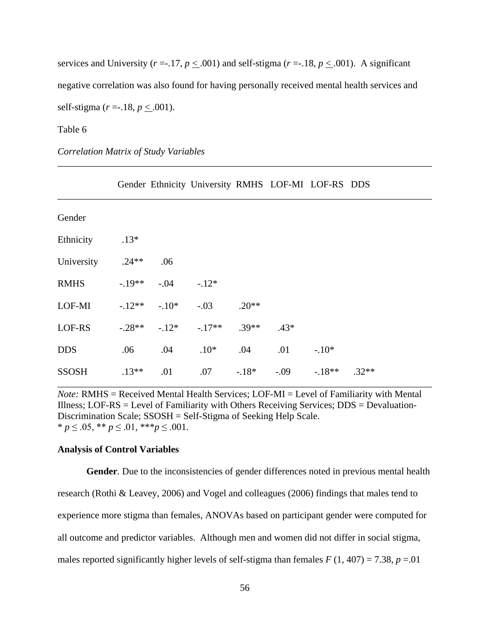services and University ( $r = 17$ ,  $p \le 0.001$ ) and self-stigma ( $r = 18$ ,  $p \le 0.001$ ). A significant negative correlation was also found for having personally received mental health services and self-stigma (*r* =-.18, *p* < .001).

*\_\_\_\_\_\_\_\_\_\_\_\_\_\_\_\_\_\_\_\_\_\_\_\_\_\_\_\_\_\_\_\_\_\_\_\_\_\_\_\_\_\_\_\_\_\_\_\_\_\_\_\_\_\_\_\_\_\_\_\_\_\_\_\_\_\_\_\_\_\_\_\_\_\_\_\_\_\_*

#### Table 6

### *Correlation Matrix of Study Variables*

|              |          |         | Gender Ethnicity University RMHS LOF-MI LOF-RS DDS |         |         |         |         |
|--------------|----------|---------|----------------------------------------------------|---------|---------|---------|---------|
| Gender       |          |         |                                                    |         |         |         |         |
| Ethnicity    | $.13*$   |         |                                                    |         |         |         |         |
| University   | $.24**$  | .06     |                                                    |         |         |         |         |
| <b>RMHS</b>  | $-19**$  | $-.04$  | $-.12*$                                            |         |         |         |         |
| LOF-MI       | $-12**$  | $-.10*$ | $-.03$                                             | $.20**$ |         |         |         |
| LOF-RS       | $-.28**$ | $-12*$  | $-17**$                                            | $.39**$ | $.43*$  |         |         |
| <b>DDS</b>   | .06      | .04     | $.10*$                                             | .04     | .01     | $-.10*$ |         |
| <b>SSOSH</b> | $.13**$  | .01     | .07                                                | $-18*$  | $-0.09$ | $-18**$ | $.32**$ |

*Note:* RMHS = Received Mental Health Services; LOF-MI = Level of Familiarity with Mental Illness; LOF-RS = Level of Familiarity with Others Receiving Services;  $DDS = Devaluation$ -Discrimination Scale; SSOSH = Self-Stigma of Seeking Help Scale. \* *p* ≤ .05, \*\* *p* ≤ .01, \*\*\**p* ≤ .001.

#### **Analysis of Control Variables**

**Gender***.* Due to the inconsistencies of gender differences noted in previous mental health research (Rothi & Leavey, 2006) and Vogel and colleagues (2006) findings that males tend to experience more stigma than females, ANOVAs based on participant gender were computed for all outcome and predictor variables. Although men and women did not differ in social stigma, males reported significantly higher levels of self-stigma than females  $F(1, 407) = 7.38$ ,  $p = .01$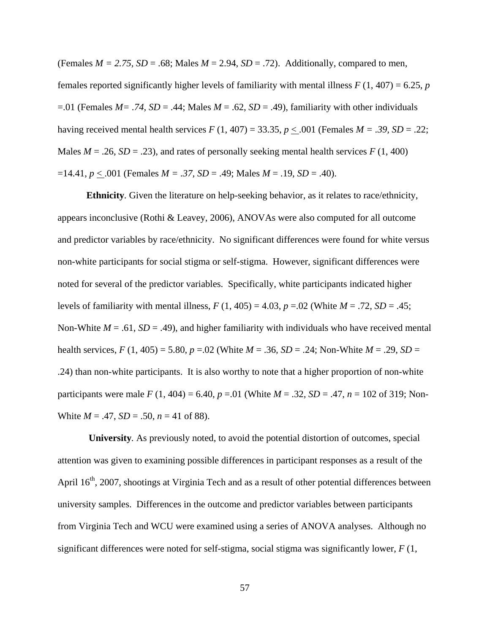(Females  $M = 2.75$ ,  $SD = .68$ ; Males  $M = 2.94$ ,  $SD = .72$ ). Additionally, compared to men, females reported significantly higher levels of familiarity with mental illness  $F(1, 407) = 6.25$ , *p*  $=$ .01 (Females *M* = .74, *SD* = .44; Males *M* = .62, *SD* = .49), familiarity with other individuals having received mental health services  $F(1, 407) = 33.35$ ,  $p < .001$  (Females  $M = .39$ ,  $SD = .22$ ; Males  $M = .26$ ,  $SD = .23$ ), and rates of personally seeking mental health services  $F(1, 400)$  $=14.41, p < .001$  (Females *M* = .37, *SD* = .49; Males *M* = .19, *SD* = .40).

**Ethnicity***.* Given the literature on help-seeking behavior, as it relates to race/ethnicity, appears inconclusive (Rothi & Leavey, 2006), ANOVAs were also computed for all outcome and predictor variables by race/ethnicity. No significant differences were found for white versus non-white participants for social stigma or self-stigma. However, significant differences were noted for several of the predictor variables. Specifically, white participants indicated higher levels of familiarity with mental illness,  $F(1, 405) = 4.03$ ,  $p = .02$  (White  $M = .72$ ,  $SD = .45$ ; Non-White  $M = .61$ ,  $SD = .49$ ), and higher familiarity with individuals who have received mental health services,  $F(1, 405) = 5.80$ ,  $p = 0.02$  (White  $M = .36$ ,  $SD = .24$ ; Non-White  $M = .29$ ,  $SD =$ .24) than non-white participants. It is also worthy to note that a higher proportion of non-white participants were male  $F(1, 404) = 6.40$ ,  $p = .01$  (White  $M = .32$ ,  $SD = .47$ ,  $n = 102$  of 319; Non-White  $M = .47$ ,  $SD = .50$ ,  $n = 41$  of 88).

**University***.* As previously noted, to avoid the potential distortion of outcomes, special attention was given to examining possible differences in participant responses as a result of the April 16<sup>th</sup>, 2007, shootings at Virginia Tech and as a result of other potential differences between university samples. Differences in the outcome and predictor variables between participants from Virginia Tech and WCU were examined using a series of ANOVA analyses. Although no significant differences were noted for self-stigma, social stigma was significantly lower, *F* (1,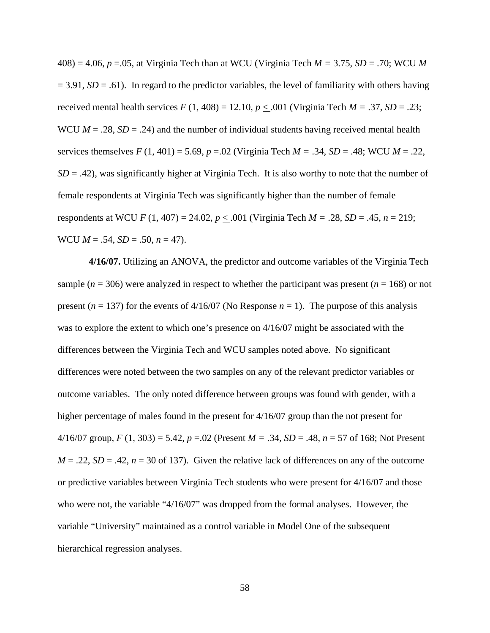408) = 4.06, *p* =.05, at Virginia Tech than at WCU (Virginia Tech *M =* 3.75*, SD* = .70; WCU *M*   $= 3.91, SD = .61$ ). In regard to the predictor variables, the level of familiarity with others having received mental health services  $F(1, 408) = 12.10, p < .001$  (Virginia Tech  $M = .37, SD = .23$ ; WCU  $M = .28$ ,  $SD = .24$ ) and the number of individual students having received mental health services themselves *F* (1, 401) = 5.69, *p* =.02 (Virginia Tech *M =* .34*, SD* = .48; WCU *M* = .22,  $SD = .42$ ), was significantly higher at Virginia Tech. It is also worthy to note that the number of female respondents at Virginia Tech was significantly higher than the number of female respondents at WCU *F* (1, 407) = 24.02, *p* < .001 (Virginia Tech *M =* .28*, SD* = .45, *n* = 219; WCU  $M = .54$ ,  $SD = .50$ ,  $n = 47$ ).

**4/16/07.** Utilizing an ANOVA, the predictor and outcome variables of the Virginia Tech sample ( $n = 306$ ) were analyzed in respect to whether the participant was present ( $n = 168$ ) or not present ( $n = 137$ ) for the events of  $4/16/07$  (No Response  $n = 1$ ). The purpose of this analysis was to explore the extent to which one's presence on 4/16/07 might be associated with the differences between the Virginia Tech and WCU samples noted above. No significant differences were noted between the two samples on any of the relevant predictor variables or outcome variables. The only noted difference between groups was found with gender, with a higher percentage of males found in the present for 4/16/07 group than the not present for 4/16/07 group, *F* (1, 303) = 5.42, *p* =.02 (Present *M =* .34*, SD* = .48, *n* = 57 of 168; Not Present  $M = 0.22$ ,  $SD = 0.42$ ,  $n = 30$  of 137). Given the relative lack of differences on any of the outcome or predictive variables between Virginia Tech students who were present for 4/16/07 and those who were not, the variable "4/16/07" was dropped from the formal analyses. However, the variable "University" maintained as a control variable in Model One of the subsequent hierarchical regression analyses.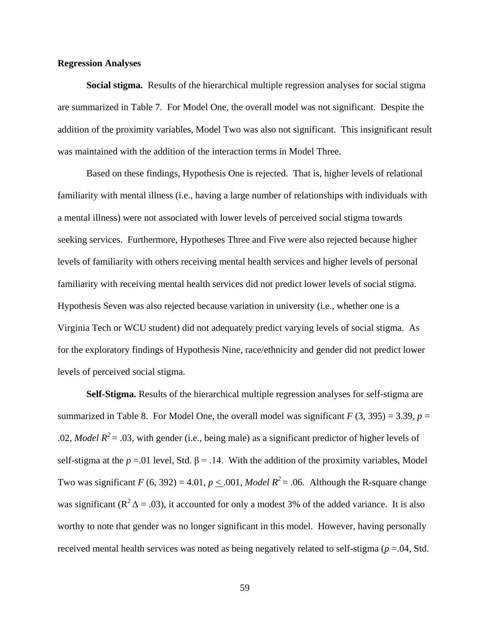#### **Regression Analyses**

**Social stigma.** Results of the hierarchical multiple regression analyses for social stigma are summarized in Table 7. For Model One, the overall model was not significant. Despite the addition of the proximity variables, Model Two was also not significant. This insignificant result was maintained with the addition of the interaction terms in Model Three.

Based on these findings, Hypothesis One is rejected. That is, higher levels of relational familiarity with mental illness (i.e., having a large number of relationships with individuals with a mental illness) were not associated with lower levels of perceived social stigma towards seeking services. Furthermore, Hypotheses Three and Five were also rejected because higher levels of familiarity with others receiving mental health services and higher levels of personal familiarity with receiving mental health services did not predict lower levels of social stigma. Hypothesis Seven was also rejected because variation in university (i.e., whether one is a Virginia Tech or WCU student) did not adequately predict varying levels of social stigma. As for the exploratory findings of Hypothesis Nine, race/ethnicity and gender did not predict lower levels of perceived social stigma.

**Self-Stigma.** Results of the hierarchical multiple regression analyses for self-stigma are summarized in Table 8. For Model One, the overall model was significant  $F(3, 395) = 3.39$ ,  $p =$ .02, *Model R*<sup>2</sup> = .03, with gender (i.e., being male) as a significant predictor of higher levels of self-stigma at the  $p = 01$  level, Std.  $\beta = 0.14$ . With the addition of the proximity variables, Model Two was significant *F* (6, 392) = 4.01, *p* < .001, *Model R*<sup>2</sup> = .06. Although the R-square change was significant ( $\mathbb{R}^2 \Delta = .03$ ), it accounted for only a modest 3% of the added variance. It is also worthy to note that gender was no longer significant in this model. However, having personally received mental health services was noted as being negatively related to self-stigma (*p* =.04, Std.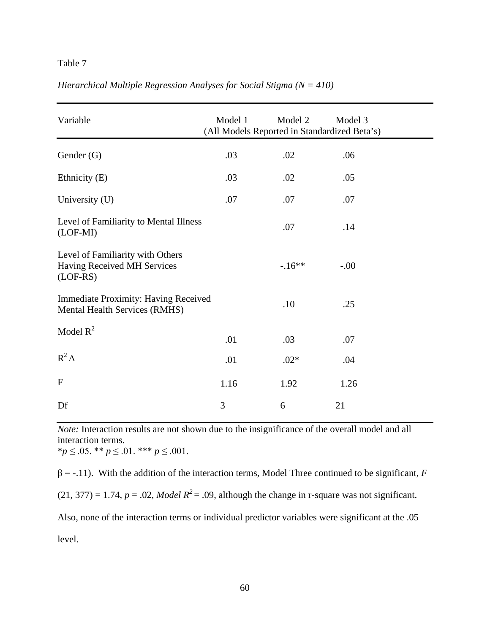## Table 7

| Variable                                                                            | Model 1 | Model 2<br>(All Models Reported in Standardized Beta's) | Model 3 |  |
|-------------------------------------------------------------------------------------|---------|---------------------------------------------------------|---------|--|
| Gender (G)                                                                          | .03     | .02                                                     | .06     |  |
| Ethnicity (E)                                                                       | .03     | .02                                                     | .05     |  |
| University (U)                                                                      | .07     | .07                                                     | .07     |  |
| Level of Familiarity to Mental Illness<br>$(LOF-MI)$                                |         | .07                                                     | .14     |  |
| Level of Familiarity with Others<br>Having Received MH Services<br>$(LOF-RS)$       |         | $-.16**$                                                | $-.00$  |  |
| <b>Immediate Proximity: Having Received</b><br><b>Mental Health Services (RMHS)</b> |         | .10                                                     | .25     |  |
| Model $R^2$                                                                         | .01     | .03                                                     | .07     |  |
| $R^2\Delta$                                                                         | .01     | $.02*$                                                  | .04     |  |
| $\mathbf{F}$                                                                        | 1.16    | 1.92                                                    | 1.26    |  |
| Df                                                                                  | 3       | 6                                                       | 21      |  |

*Hierarchical Multiple Regression Analyses for Social Stigma (N = 410)*

*Note:* Interaction results are not shown due to the insignificance of the overall model and all interaction terms. \**p* ≤ .05. \*\* *p* ≤ .01. \*\*\* *p* ≤ .001.

 $β = -.11$ ). With the addition of the interaction terms, Model Three continued to be significant, *F*  $(21, 377) = 1.74$ ,  $p = .02$ , *Model R<sup>2</sup>* = .09, although the change in r-square was not significant.

Also, none of the interaction terms or individual predictor variables were significant at the .05

level.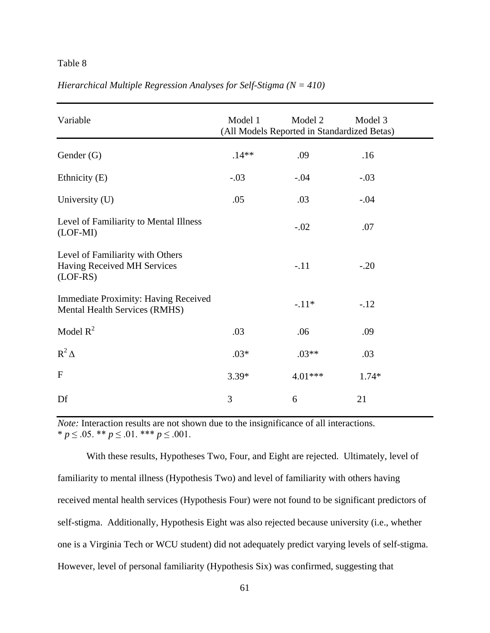### Table 8

| Variable                                                                            | Model 1 | Model 2<br>(All Models Reported in Standardized Betas) | Model 3 |
|-------------------------------------------------------------------------------------|---------|--------------------------------------------------------|---------|
| Gender (G)                                                                          | $.14**$ | .09                                                    | .16     |
| Ethnicity (E)                                                                       | $-.03$  | $-.04$                                                 | $-.03$  |
| University (U)                                                                      | .05     | .03                                                    | $-.04$  |
| Level of Familiarity to Mental Illness<br>$(LOF-MI)$                                |         | $-.02$                                                 | .07     |
| Level of Familiarity with Others<br>Having Received MH Services<br>$(LOF-RS)$       |         | $-.11$                                                 | $-.20$  |
| <b>Immediate Proximity: Having Received</b><br><b>Mental Health Services (RMHS)</b> |         | $-.11*$                                                | $-.12$  |
| Model $R^2$                                                                         | .03     | .06                                                    | .09     |
| $R^2\Delta$                                                                         | $.03*$  | $.03**$                                                | .03     |
| $\mathbf{F}$                                                                        | $3.39*$ | 4.01***                                                | $1.74*$ |
| Df                                                                                  | 3       | 6                                                      | 21      |

## *Hierarchical Multiple Regression Analyses for Self-Stigma (N = 410)*

*Note:* Interaction results are not shown due to the insignificance of all interactions. \* *p* ≤ .05. \*\* *p* ≤ .01. \*\*\* *p* ≤ .001.

With these results, Hypotheses Two, Four, and Eight are rejected. Ultimately, level of familiarity to mental illness (Hypothesis Two) and level of familiarity with others having received mental health services (Hypothesis Four) were not found to be significant predictors of self-stigma. Additionally, Hypothesis Eight was also rejected because university (i.e., whether one is a Virginia Tech or WCU student) did not adequately predict varying levels of self-stigma. However, level of personal familiarity (Hypothesis Six) was confirmed, suggesting that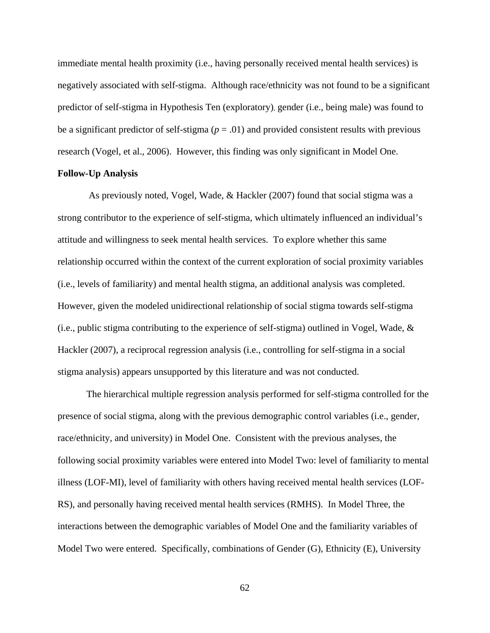immediate mental health proximity (i.e., having personally received mental health services) is negatively associated with self-stigma. Although race/ethnicity was not found to be a significant predictor of self-stigma in Hypothesis Ten (exploratory), gender (i.e., being male) was found to be a significant predictor of self-stigma ( $p = .01$ ) and provided consistent results with previous research (Vogel, et al., 2006). However, this finding was only significant in Model One.

#### **Follow-Up Analysis**

As previously noted, Vogel, Wade, & Hackler (2007) found that social stigma was a strong contributor to the experience of self-stigma, which ultimately influenced an individual's attitude and willingness to seek mental health services. To explore whether this same relationship occurred within the context of the current exploration of social proximity variables (i.e., levels of familiarity) and mental health stigma, an additional analysis was completed. However, given the modeled unidirectional relationship of social stigma towards self-stigma (i.e., public stigma contributing to the experience of self-stigma) outlined in Vogel, Wade, & Hackler (2007), a reciprocal regression analysis (i.e., controlling for self-stigma in a social stigma analysis) appears unsupported by this literature and was not conducted.

The hierarchical multiple regression analysis performed for self-stigma controlled for the presence of social stigma, along with the previous demographic control variables (i.e., gender, race/ethnicity, and university) in Model One. Consistent with the previous analyses, the following social proximity variables were entered into Model Two: level of familiarity to mental illness (LOF-MI), level of familiarity with others having received mental health services (LOF-RS), and personally having received mental health services (RMHS). In Model Three, the interactions between the demographic variables of Model One and the familiarity variables of Model Two were entered. Specifically, combinations of Gender (G), Ethnicity (E), University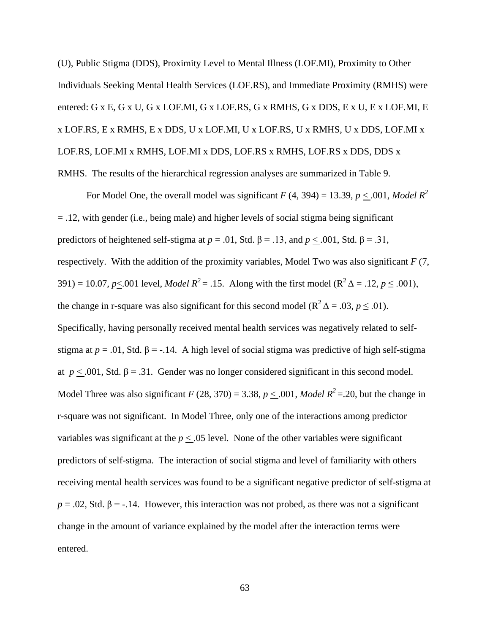(U), Public Stigma (DDS), Proximity Level to Mental Illness (LOF.MI), Proximity to Other Individuals Seeking Mental Health Services (LOF.RS), and Immediate Proximity (RMHS) were entered: G x E, G x U, G x LOF.MI, G x LOF.RS, G x RMHS, G x DDS, E x U, E x LOF.MI, E x LOF.RS, E x RMHS, E x DDS, U x LOF.MI, U x LOF.RS, U x RMHS, U x DDS, LOF.MI x LOF.RS, LOF.MI x RMHS, LOF.MI x DDS, LOF.RS x RMHS, LOF.RS x DDS, DDS x RMHS. The results of the hierarchical regression analyses are summarized in Table 9.

For Model One, the overall model was significant  $F(4, 394) = 13.39$ ,  $p < .001$ , Model  $R^2$ = .12, with gender (i.e., being male) and higher levels of social stigma being significant predictors of heightened self-stigma at  $p = .01$ , Std.  $\beta = .13$ , and  $p < .001$ , Std.  $\beta = .31$ , respectively. With the addition of the proximity variables, Model Two was also significant *F* (7, 391) = 10.07, *p*<.001 level, *Model R*<sup>2</sup> = .15. Along with the first model (R<sup>2</sup>  $\Delta$  = .12, *p*  $\leq$  .001), the change in r-square was also significant for this second model ( $\mathbb{R}^2 \Delta = .03$ ,  $p \le .01$ ). Specifically, having personally received mental health services was negatively related to selfstigma at  $p = .01$ , Std.  $\beta = -.14$ . A high level of social stigma was predictive of high self-stigma at  $p \leq .001$ , Std. β = .31. Gender was no longer considered significant in this second model. Model Three was also significant *F* (28, 370) = 3.38, *p* < .001, *Model R*<sup>2</sup> = .20, but the change in r-square was not significant. In Model Three, only one of the interactions among predictor variables was significant at the  $p < .05$  level. None of the other variables were significant predictors of self-stigma. The interaction of social stigma and level of familiarity with others receiving mental health services was found to be a significant negative predictor of self-stigma at  $p = .02$ , Std.  $\beta = .14$ . However, this interaction was not probed, as there was not a significant change in the amount of variance explained by the model after the interaction terms were entered.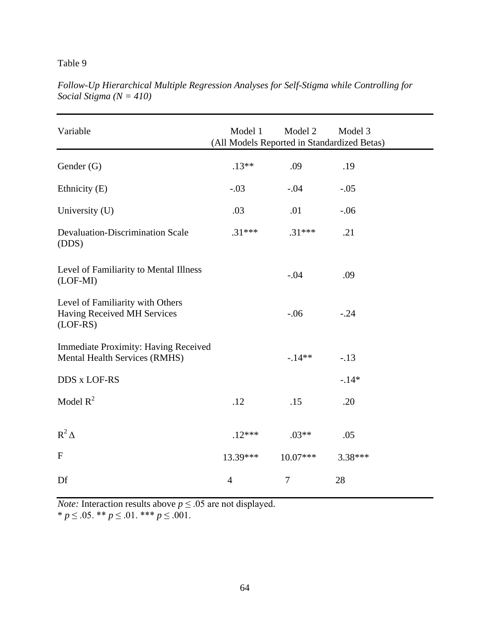## Table 9

| Variable                                                                            | Model 1<br>(All Models Reported in Standardized Betas) | Model 2    | Model 3 |  |
|-------------------------------------------------------------------------------------|--------------------------------------------------------|------------|---------|--|
| Gender (G)                                                                          | $.13**$                                                | .09        | .19     |  |
| Ethnicity (E)                                                                       | $-.03$                                                 | $-.04$     | $-.05$  |  |
| University (U)                                                                      | .03                                                    | .01        | $-.06$  |  |
| <b>Devaluation-Discrimination Scale</b><br>(DDS)                                    | $.31***$                                               | $.31***$   | .21     |  |
| Level of Familiarity to Mental Illness<br>$(LOF-MI)$                                |                                                        | $-.04$     | .09     |  |
| Level of Familiarity with Others<br>Having Received MH Services<br>$(LOF-RS)$       |                                                        | $-.06$     | $-.24$  |  |
| <b>Immediate Proximity: Having Received</b><br><b>Mental Health Services (RMHS)</b> |                                                        | $-14**$    | $-.13$  |  |
| DDS x LOF-RS                                                                        |                                                        |            | $-.14*$ |  |
| Model $R^2$                                                                         | .12                                                    | .15        | .20     |  |
| $R^2\Delta$                                                                         | $.12***$                                               | $.03**$    | .05     |  |
| ${\bf F}$                                                                           | 13.39***                                               | $10.07***$ | 3.38*** |  |
| Df                                                                                  | $\overline{4}$                                         | $\tau$     | 28      |  |

*Follow-Up Hierarchical Multiple Regression Analyses for Self-Stigma while Controlling for Social Stigma (N = 410)*

*Note:* Interaction results above  $p \le 0.05$  are not displayed. \* *p* ≤ .05. \*\* *p* ≤ .01. \*\*\* *p* ≤ .001.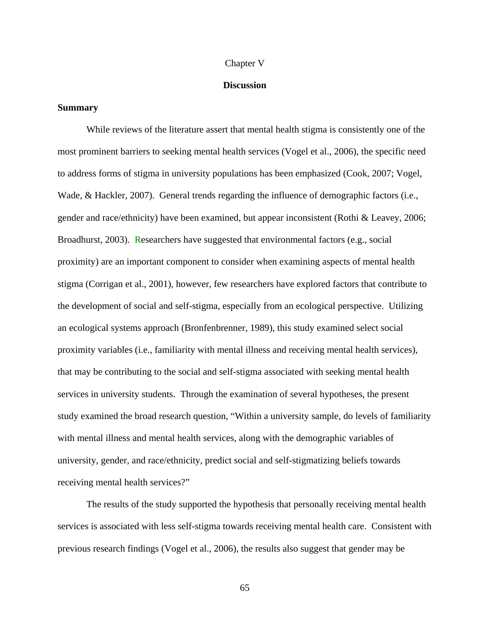#### Chapter V

#### **Discussion**

#### **Summary**

While reviews of the literature assert that mental health stigma is consistently one of the most prominent barriers to seeking mental health services (Vogel et al., 2006), the specific need to address forms of stigma in university populations has been emphasized (Cook, 2007; Vogel, Wade, & Hackler, 2007). General trends regarding the influence of demographic factors (i.e., gender and race/ethnicity) have been examined, but appear inconsistent (Rothi & Leavey, 2006; Broadhurst, 2003). Researchers have suggested that environmental factors (e.g., social proximity) are an important component to consider when examining aspects of mental health stigma (Corrigan et al., 2001), however, few researchers have explored factors that contribute to the development of social and self-stigma, especially from an ecological perspective. Utilizing an ecological systems approach (Bronfenbrenner, 1989), this study examined select social proximity variables (i.e., familiarity with mental illness and receiving mental health services), that may be contributing to the social and self-stigma associated with seeking mental health services in university students. Through the examination of several hypotheses, the present study examined the broad research question, "Within a university sample, do levels of familiarity with mental illness and mental health services, along with the demographic variables of university, gender, and race/ethnicity, predict social and self-stigmatizing beliefs towards receiving mental health services?"

The results of the study supported the hypothesis that personally receiving mental health services is associated with less self-stigma towards receiving mental health care. Consistent with previous research findings (Vogel et al., 2006), the results also suggest that gender may be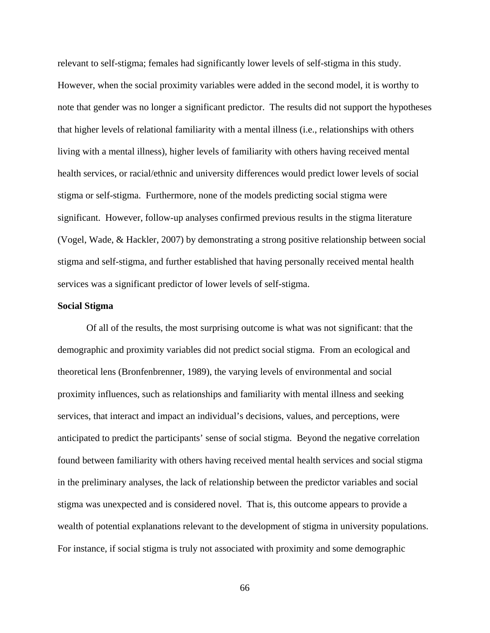relevant to self-stigma; females had significantly lower levels of self-stigma in this study. However, when the social proximity variables were added in the second model, it is worthy to note that gender was no longer a significant predictor. The results did not support the hypotheses that higher levels of relational familiarity with a mental illness (i.e., relationships with others living with a mental illness), higher levels of familiarity with others having received mental health services, or racial/ethnic and university differences would predict lower levels of social stigma or self-stigma. Furthermore, none of the models predicting social stigma were significant. However, follow-up analyses confirmed previous results in the stigma literature (Vogel, Wade, & Hackler, 2007) by demonstrating a strong positive relationship between social stigma and self-stigma, and further established that having personally received mental health services was a significant predictor of lower levels of self-stigma.

## **Social Stigma**

Of all of the results, the most surprising outcome is what was not significant: that the demographic and proximity variables did not predict social stigma. From an ecological and theoretical lens (Bronfenbrenner, 1989), the varying levels of environmental and social proximity influences, such as relationships and familiarity with mental illness and seeking services, that interact and impact an individual's decisions, values, and perceptions, were anticipated to predict the participants' sense of social stigma. Beyond the negative correlation found between familiarity with others having received mental health services and social stigma in the preliminary analyses, the lack of relationship between the predictor variables and social stigma was unexpected and is considered novel. That is, this outcome appears to provide a wealth of potential explanations relevant to the development of stigma in university populations. For instance, if social stigma is truly not associated with proximity and some demographic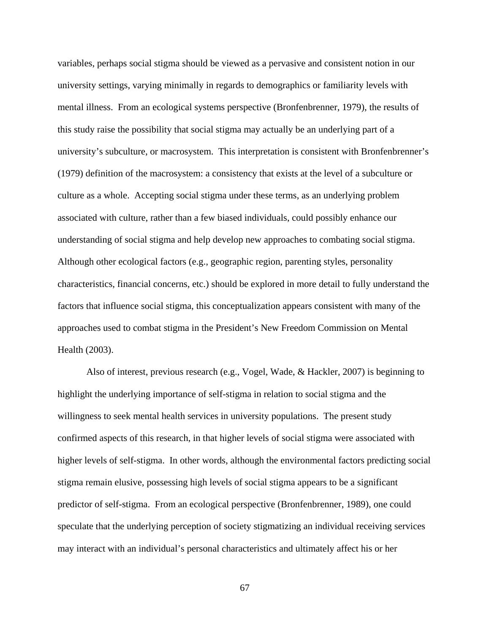variables, perhaps social stigma should be viewed as a pervasive and consistent notion in our university settings, varying minimally in regards to demographics or familiarity levels with mental illness. From an ecological systems perspective (Bronfenbrenner, 1979), the results of this study raise the possibility that social stigma may actually be an underlying part of a university's subculture, or macrosystem. This interpretation is consistent with Bronfenbrenner's (1979) definition of the macrosystem: a consistency that exists at the level of a subculture or culture as a whole. Accepting social stigma under these terms, as an underlying problem associated with culture, rather than a few biased individuals, could possibly enhance our understanding of social stigma and help develop new approaches to combating social stigma. Although other ecological factors (e.g., geographic region, parenting styles, personality characteristics, financial concerns, etc.) should be explored in more detail to fully understand the factors that influence social stigma, this conceptualization appears consistent with many of the approaches used to combat stigma in the President's New Freedom Commission on Mental Health (2003).

Also of interest, previous research (e.g., Vogel, Wade, & Hackler, 2007) is beginning to highlight the underlying importance of self-stigma in relation to social stigma and the willingness to seek mental health services in university populations. The present study confirmed aspects of this research, in that higher levels of social stigma were associated with higher levels of self-stigma. In other words, although the environmental factors predicting social stigma remain elusive, possessing high levels of social stigma appears to be a significant predictor of self-stigma. From an ecological perspective (Bronfenbrenner, 1989), one could speculate that the underlying perception of society stigmatizing an individual receiving services may interact with an individual's personal characteristics and ultimately affect his or her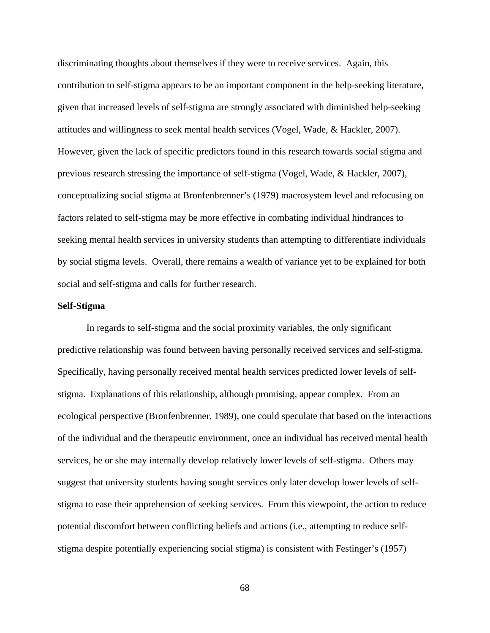discriminating thoughts about themselves if they were to receive services. Again, this contribution to self-stigma appears to be an important component in the help-seeking literature, given that increased levels of self-stigma are strongly associated with diminished help-seeking attitudes and willingness to seek mental health services (Vogel, Wade, & Hackler, 2007). However, given the lack of specific predictors found in this research towards social stigma and previous research stressing the importance of self-stigma (Vogel, Wade, & Hackler, 2007), conceptualizing social stigma at Bronfenbrenner's (1979) macrosystem level and refocusing on factors related to self-stigma may be more effective in combating individual hindrances to seeking mental health services in university students than attempting to differentiate individuals by social stigma levels. Overall, there remains a wealth of variance yet to be explained for both social and self-stigma and calls for further research.

## **Self-Stigma**

In regards to self-stigma and the social proximity variables, the only significant predictive relationship was found between having personally received services and self-stigma. Specifically, having personally received mental health services predicted lower levels of selfstigma. Explanations of this relationship, although promising, appear complex. From an ecological perspective (Bronfenbrenner, 1989), one could speculate that based on the interactions of the individual and the therapeutic environment, once an individual has received mental health services, he or she may internally develop relatively lower levels of self-stigma. Others may suggest that university students having sought services only later develop lower levels of selfstigma to ease their apprehension of seeking services. From this viewpoint, the action to reduce potential discomfort between conflicting beliefs and actions (i.e., attempting to reduce selfstigma despite potentially experiencing social stigma) is consistent with Festinger's (1957)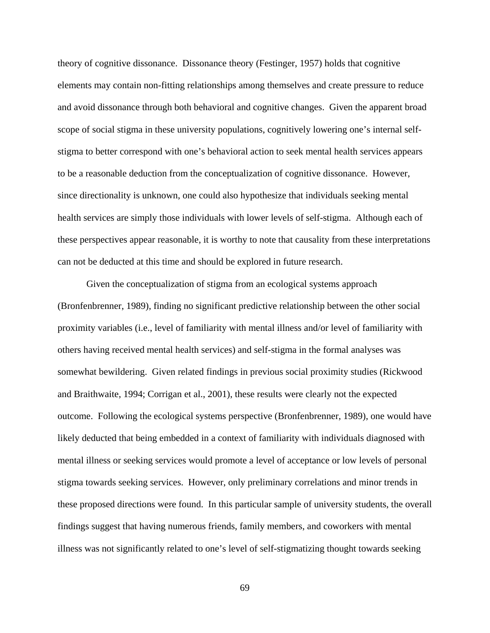theory of cognitive dissonance. Dissonance theory (Festinger, 1957) holds that cognitive elements may contain non-fitting relationships among themselves and create pressure to reduce and avoid dissonance through both behavioral and cognitive changes. Given the apparent broad scope of social stigma in these university populations, cognitively lowering one's internal selfstigma to better correspond with one's behavioral action to seek mental health services appears to be a reasonable deduction from the conceptualization of cognitive dissonance. However, since directionality is unknown, one could also hypothesize that individuals seeking mental health services are simply those individuals with lower levels of self-stigma. Although each of these perspectives appear reasonable, it is worthy to note that causality from these interpretations can not be deducted at this time and should be explored in future research.

Given the conceptualization of stigma from an ecological systems approach (Bronfenbrenner, 1989), finding no significant predictive relationship between the other social proximity variables (i.e., level of familiarity with mental illness and/or level of familiarity with others having received mental health services) and self-stigma in the formal analyses was somewhat bewildering. Given related findings in previous social proximity studies (Rickwood and Braithwaite, 1994; Corrigan et al., 2001), these results were clearly not the expected outcome. Following the ecological systems perspective (Bronfenbrenner, 1989), one would have likely deducted that being embedded in a context of familiarity with individuals diagnosed with mental illness or seeking services would promote a level of acceptance or low levels of personal stigma towards seeking services. However, only preliminary correlations and minor trends in these proposed directions were found. In this particular sample of university students, the overall findings suggest that having numerous friends, family members, and coworkers with mental illness was not significantly related to one's level of self-stigmatizing thought towards seeking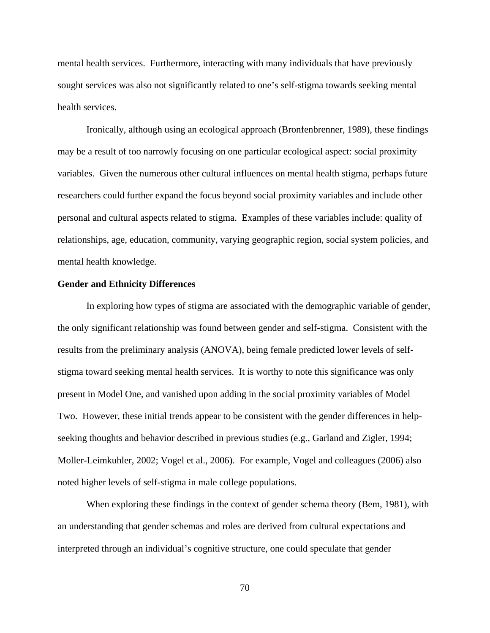mental health services. Furthermore, interacting with many individuals that have previously sought services was also not significantly related to one's self-stigma towards seeking mental health services.

Ironically, although using an ecological approach (Bronfenbrenner, 1989), these findings may be a result of too narrowly focusing on one particular ecological aspect: social proximity variables. Given the numerous other cultural influences on mental health stigma, perhaps future researchers could further expand the focus beyond social proximity variables and include other personal and cultural aspects related to stigma. Examples of these variables include: quality of relationships, age, education, community, varying geographic region, social system policies, and mental health knowledge.

## **Gender and Ethnicity Differences**

In exploring how types of stigma are associated with the demographic variable of gender, the only significant relationship was found between gender and self-stigma. Consistent with the results from the preliminary analysis (ANOVA), being female predicted lower levels of selfstigma toward seeking mental health services. It is worthy to note this significance was only present in Model One, and vanished upon adding in the social proximity variables of Model Two. However, these initial trends appear to be consistent with the gender differences in helpseeking thoughts and behavior described in previous studies (e.g., Garland and Zigler, 1994; Moller-Leimkuhler, 2002; Vogel et al., 2006). For example, Vogel and colleagues (2006) also noted higher levels of self-stigma in male college populations.

When exploring these findings in the context of gender schema theory (Bem, 1981), with an understanding that gender schemas and roles are derived from cultural expectations and interpreted through an individual's cognitive structure, one could speculate that gender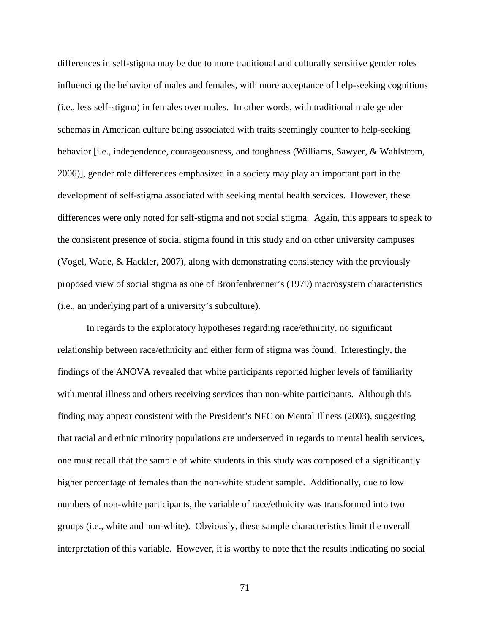differences in self-stigma may be due to more traditional and culturally sensitive gender roles influencing the behavior of males and females, with more acceptance of help-seeking cognitions (i.e., less self-stigma) in females over males. In other words, with traditional male gender schemas in American culture being associated with traits seemingly counter to help-seeking behavior [i.e., independence, courageousness, and toughness (Williams, Sawyer, & Wahlstrom, 2006)], gender role differences emphasized in a society may play an important part in the development of self-stigma associated with seeking mental health services. However, these differences were only noted for self-stigma and not social stigma. Again, this appears to speak to the consistent presence of social stigma found in this study and on other university campuses (Vogel, Wade, & Hackler, 2007), along with demonstrating consistency with the previously proposed view of social stigma as one of Bronfenbrenner's (1979) macrosystem characteristics (i.e., an underlying part of a university's subculture).

In regards to the exploratory hypotheses regarding race/ethnicity, no significant relationship between race/ethnicity and either form of stigma was found. Interestingly, the findings of the ANOVA revealed that white participants reported higher levels of familiarity with mental illness and others receiving services than non-white participants. Although this finding may appear consistent with the President's NFC on Mental Illness (2003), suggesting that racial and ethnic minority populations are underserved in regards to mental health services, one must recall that the sample of white students in this study was composed of a significantly higher percentage of females than the non-white student sample. Additionally, due to low numbers of non-white participants, the variable of race/ethnicity was transformed into two groups (i.e., white and non-white). Obviously, these sample characteristics limit the overall interpretation of this variable. However, it is worthy to note that the results indicating no social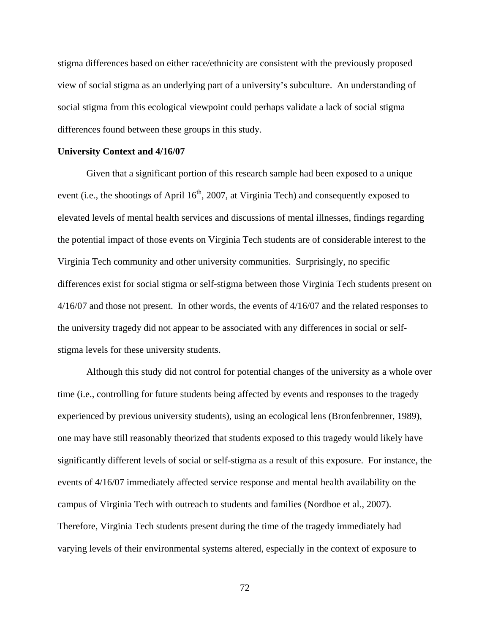stigma differences based on either race/ethnicity are consistent with the previously proposed view of social stigma as an underlying part of a university's subculture. An understanding of social stigma from this ecological viewpoint could perhaps validate a lack of social stigma differences found between these groups in this study.

## **University Context and 4/16/07**

Given that a significant portion of this research sample had been exposed to a unique event (i.e., the shootings of April  $16<sup>th</sup>$ , 2007, at Virginia Tech) and consequently exposed to elevated levels of mental health services and discussions of mental illnesses, findings regarding the potential impact of those events on Virginia Tech students are of considerable interest to the Virginia Tech community and other university communities. Surprisingly, no specific differences exist for social stigma or self-stigma between those Virginia Tech students present on 4/16/07 and those not present. In other words, the events of 4/16/07 and the related responses to the university tragedy did not appear to be associated with any differences in social or selfstigma levels for these university students.

Although this study did not control for potential changes of the university as a whole over time (i.e., controlling for future students being affected by events and responses to the tragedy experienced by previous university students), using an ecological lens (Bronfenbrenner, 1989), one may have still reasonably theorized that students exposed to this tragedy would likely have significantly different levels of social or self-stigma as a result of this exposure. For instance, the events of 4/16/07 immediately affected service response and mental health availability on the campus of Virginia Tech with outreach to students and families (Nordboe et al., 2007). Therefore, Virginia Tech students present during the time of the tragedy immediately had varying levels of their environmental systems altered, especially in the context of exposure to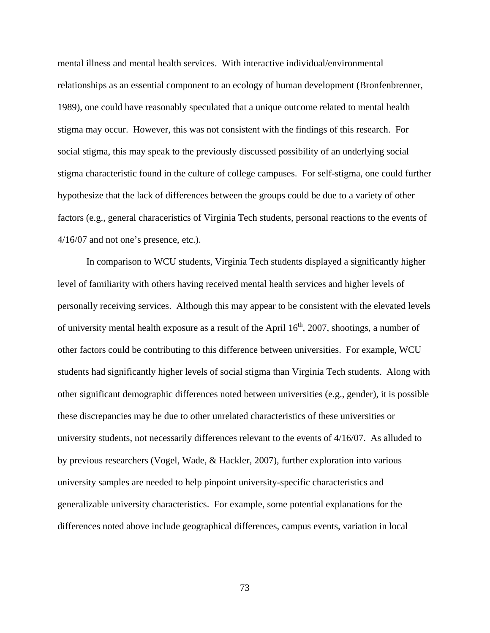mental illness and mental health services. With interactive individual/environmental relationships as an essential component to an ecology of human development (Bronfenbrenner, 1989), one could have reasonably speculated that a unique outcome related to mental health stigma may occur. However, this was not consistent with the findings of this research. For social stigma, this may speak to the previously discussed possibility of an underlying social stigma characteristic found in the culture of college campuses. For self-stigma, one could further hypothesize that the lack of differences between the groups could be due to a variety of other factors (e.g., general characeristics of Virginia Tech students, personal reactions to the events of 4/16/07 and not one's presence, etc.).

In comparison to WCU students, Virginia Tech students displayed a significantly higher level of familiarity with others having received mental health services and higher levels of personally receiving services. Although this may appear to be consistent with the elevated levels of university mental health exposure as a result of the April  $16<sup>th</sup>$ , 2007, shootings, a number of other factors could be contributing to this difference between universities. For example, WCU students had significantly higher levels of social stigma than Virginia Tech students. Along with other significant demographic differences noted between universities (e.g., gender), it is possible these discrepancies may be due to other unrelated characteristics of these universities or university students, not necessarily differences relevant to the events of 4/16/07. As alluded to by previous researchers (Vogel, Wade, & Hackler, 2007), further exploration into various university samples are needed to help pinpoint university-specific characteristics and generalizable university characteristics. For example, some potential explanations for the differences noted above include geographical differences, campus events, variation in local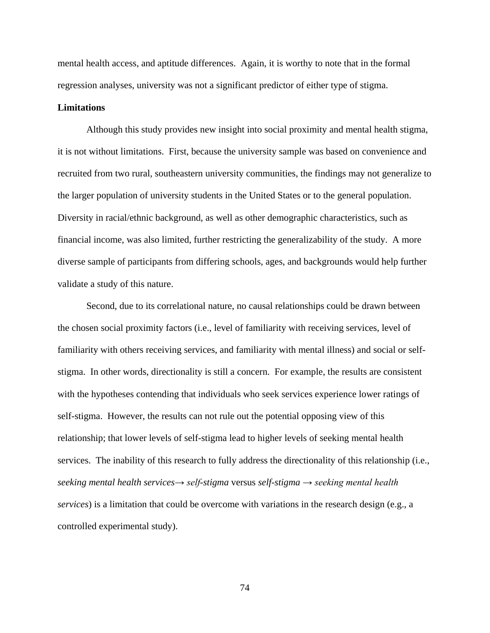mental health access, and aptitude differences. Again, it is worthy to note that in the formal regression analyses, university was not a significant predictor of either type of stigma.

## **Limitations**

Although this study provides new insight into social proximity and mental health stigma, it is not without limitations. First, because the university sample was based on convenience and recruited from two rural, southeastern university communities, the findings may not generalize to the larger population of university students in the United States or to the general population. Diversity in racial/ethnic background, as well as other demographic characteristics, such as financial income, was also limited, further restricting the generalizability of the study. A more diverse sample of participants from differing schools, ages, and backgrounds would help further validate a study of this nature.

Second, due to its correlational nature, no causal relationships could be drawn between the chosen social proximity factors (i.e., level of familiarity with receiving services, level of familiarity with others receiving services, and familiarity with mental illness) and social or selfstigma. In other words, directionality is still a concern. For example, the results are consistent with the hypotheses contending that individuals who seek services experience lower ratings of self-stigma. However, the results can not rule out the potential opposing view of this relationship; that lower levels of self-stigma lead to higher levels of seeking mental health services. The inability of this research to fully address the directionality of this relationship (i.e., *seeking mental health services→ self-stigma* versus *self-stigma → seeking mental health services*) is a limitation that could be overcome with variations in the research design (e.g., a controlled experimental study).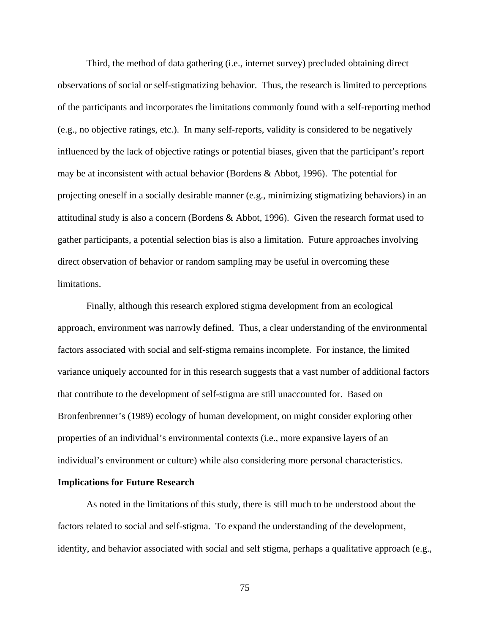Third, the method of data gathering (i.e., internet survey) precluded obtaining direct observations of social or self-stigmatizing behavior. Thus, the research is limited to perceptions of the participants and incorporates the limitations commonly found with a self-reporting method (e.g., no objective ratings, etc.). In many self-reports, validity is considered to be negatively influenced by the lack of objective ratings or potential biases, given that the participant's report may be at inconsistent with actual behavior (Bordens & Abbot, 1996). The potential for projecting oneself in a socially desirable manner (e.g., minimizing stigmatizing behaviors) in an attitudinal study is also a concern (Bordens & Abbot, 1996). Given the research format used to gather participants, a potential selection bias is also a limitation. Future approaches involving direct observation of behavior or random sampling may be useful in overcoming these limitations.

Finally, although this research explored stigma development from an ecological approach, environment was narrowly defined. Thus, a clear understanding of the environmental factors associated with social and self-stigma remains incomplete. For instance, the limited variance uniquely accounted for in this research suggests that a vast number of additional factors that contribute to the development of self-stigma are still unaccounted for. Based on Bronfenbrenner's (1989) ecology of human development, on might consider exploring other properties of an individual's environmental contexts (i.e., more expansive layers of an individual's environment or culture) while also considering more personal characteristics.

## **Implications for Future Research**

As noted in the limitations of this study, there is still much to be understood about the factors related to social and self-stigma. To expand the understanding of the development, identity, and behavior associated with social and self stigma, perhaps a qualitative approach (e.g.,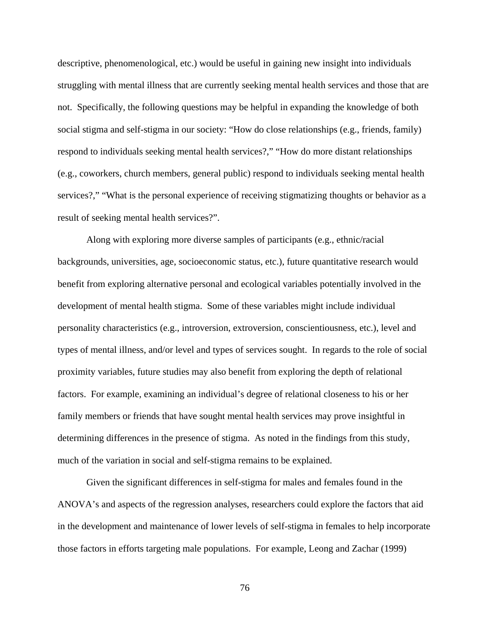descriptive, phenomenological, etc.) would be useful in gaining new insight into individuals struggling with mental illness that are currently seeking mental health services and those that are not. Specifically, the following questions may be helpful in expanding the knowledge of both social stigma and self-stigma in our society: "How do close relationships (e.g., friends, family) respond to individuals seeking mental health services?," "How do more distant relationships (e.g., coworkers, church members, general public) respond to individuals seeking mental health services?," "What is the personal experience of receiving stigmatizing thoughts or behavior as a result of seeking mental health services?".

Along with exploring more diverse samples of participants (e.g., ethnic/racial backgrounds, universities, age, socioeconomic status, etc.), future quantitative research would benefit from exploring alternative personal and ecological variables potentially involved in the development of mental health stigma. Some of these variables might include individual personality characteristics (e.g., introversion, extroversion, conscientiousness, etc.), level and types of mental illness, and/or level and types of services sought. In regards to the role of social proximity variables, future studies may also benefit from exploring the depth of relational factors. For example, examining an individual's degree of relational closeness to his or her family members or friends that have sought mental health services may prove insightful in determining differences in the presence of stigma. As noted in the findings from this study, much of the variation in social and self-stigma remains to be explained.

Given the significant differences in self-stigma for males and females found in the ANOVA's and aspects of the regression analyses, researchers could explore the factors that aid in the development and maintenance of lower levels of self-stigma in females to help incorporate those factors in efforts targeting male populations. For example, Leong and Zachar (1999)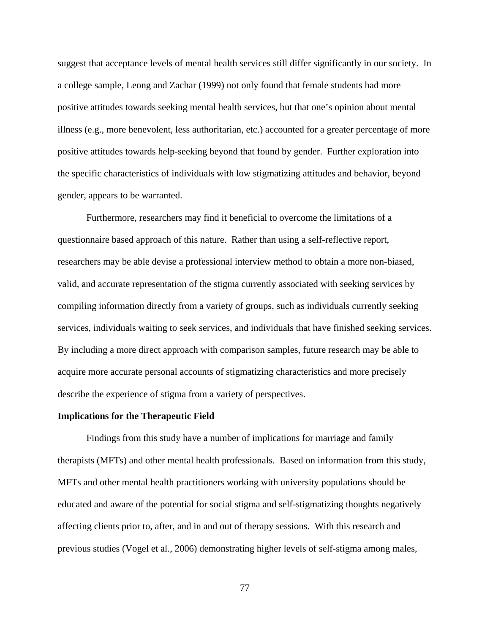suggest that acceptance levels of mental health services still differ significantly in our society. In a college sample, Leong and Zachar (1999) not only found that female students had more positive attitudes towards seeking mental health services, but that one's opinion about mental illness (e.g., more benevolent, less authoritarian, etc.) accounted for a greater percentage of more positive attitudes towards help-seeking beyond that found by gender. Further exploration into the specific characteristics of individuals with low stigmatizing attitudes and behavior, beyond gender, appears to be warranted.

Furthermore, researchers may find it beneficial to overcome the limitations of a questionnaire based approach of this nature. Rather than using a self-reflective report, researchers may be able devise a professional interview method to obtain a more non-biased, valid, and accurate representation of the stigma currently associated with seeking services by compiling information directly from a variety of groups, such as individuals currently seeking services, individuals waiting to seek services, and individuals that have finished seeking services. By including a more direct approach with comparison samples, future research may be able to acquire more accurate personal accounts of stigmatizing characteristics and more precisely describe the experience of stigma from a variety of perspectives.

## **Implications for the Therapeutic Field**

Findings from this study have a number of implications for marriage and family therapists (MFTs) and other mental health professionals. Based on information from this study, MFTs and other mental health practitioners working with university populations should be educated and aware of the potential for social stigma and self-stigmatizing thoughts negatively affecting clients prior to, after, and in and out of therapy sessions. With this research and previous studies (Vogel et al., 2006) demonstrating higher levels of self-stigma among males,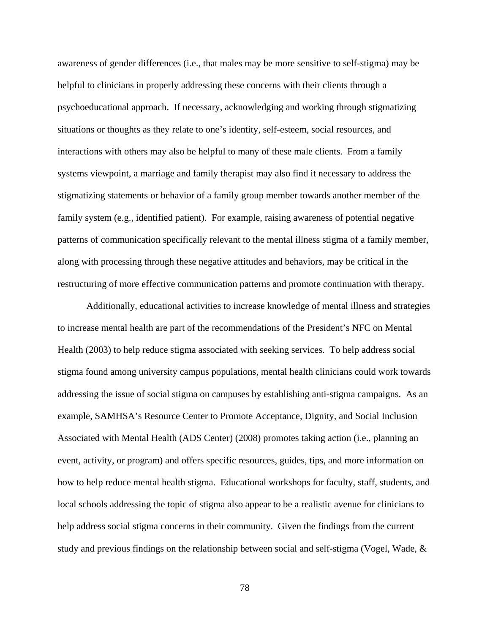awareness of gender differences (i.e., that males may be more sensitive to self-stigma) may be helpful to clinicians in properly addressing these concerns with their clients through a psychoeducational approach. If necessary, acknowledging and working through stigmatizing situations or thoughts as they relate to one's identity, self-esteem, social resources, and interactions with others may also be helpful to many of these male clients. From a family systems viewpoint, a marriage and family therapist may also find it necessary to address the stigmatizing statements or behavior of a family group member towards another member of the family system (e.g., identified patient). For example, raising awareness of potential negative patterns of communication specifically relevant to the mental illness stigma of a family member, along with processing through these negative attitudes and behaviors, may be critical in the restructuring of more effective communication patterns and promote continuation with therapy.

Additionally, educational activities to increase knowledge of mental illness and strategies to increase mental health are part of the recommendations of the President's NFC on Mental Health (2003) to help reduce stigma associated with seeking services. To help address social stigma found among university campus populations, mental health clinicians could work towards addressing the issue of social stigma on campuses by establishing anti-stigma campaigns. As an example, SAMHSA's Resource Center to Promote Acceptance, Dignity, and Social Inclusion Associated with Mental Health (ADS Center) (2008) promotes taking action (i.e., planning an event, activity, or program) and offers specific resources, guides, tips, and more information on how to help reduce mental health stigma. Educational workshops for faculty, staff, students, and local schools addressing the topic of stigma also appear to be a realistic avenue for clinicians to help address social stigma concerns in their community. Given the findings from the current study and previous findings on the relationship between social and self-stigma (Vogel, Wade, &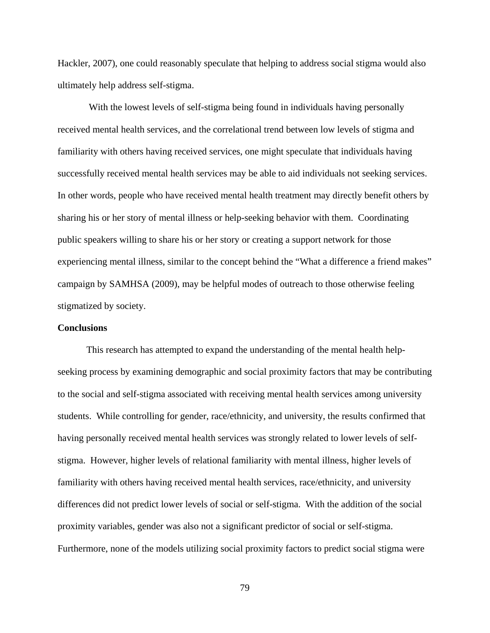Hackler, 2007), one could reasonably speculate that helping to address social stigma would also ultimately help address self-stigma.

With the lowest levels of self-stigma being found in individuals having personally received mental health services, and the correlational trend between low levels of stigma and familiarity with others having received services, one might speculate that individuals having successfully received mental health services may be able to aid individuals not seeking services. In other words, people who have received mental health treatment may directly benefit others by sharing his or her story of mental illness or help-seeking behavior with them. Coordinating public speakers willing to share his or her story or creating a support network for those experiencing mental illness, similar to the concept behind the "What a difference a friend makes" campaign by SAMHSA (2009), may be helpful modes of outreach to those otherwise feeling stigmatized by society.

## **Conclusions**

This research has attempted to expand the understanding of the mental health helpseeking process by examining demographic and social proximity factors that may be contributing to the social and self-stigma associated with receiving mental health services among university students. While controlling for gender, race/ethnicity, and university, the results confirmed that having personally received mental health services was strongly related to lower levels of selfstigma. However, higher levels of relational familiarity with mental illness, higher levels of familiarity with others having received mental health services, race/ethnicity, and university differences did not predict lower levels of social or self-stigma. With the addition of the social proximity variables, gender was also not a significant predictor of social or self-stigma. Furthermore, none of the models utilizing social proximity factors to predict social stigma were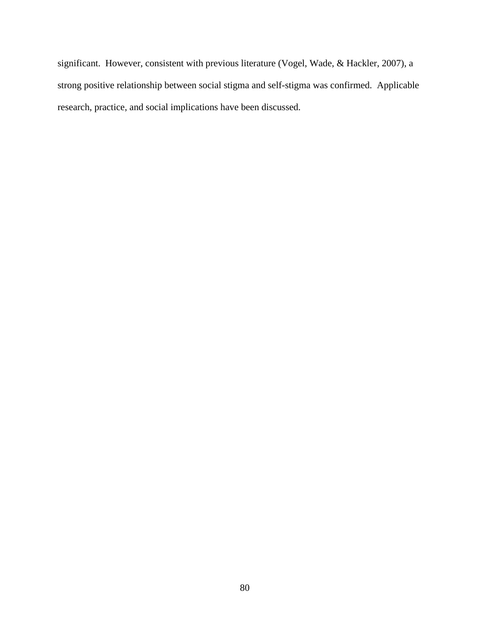significant. However, consistent with previous literature (Vogel, Wade, & Hackler, 2007), a strong positive relationship between social stigma and self-stigma was confirmed. Applicable research, practice, and social implications have been discussed.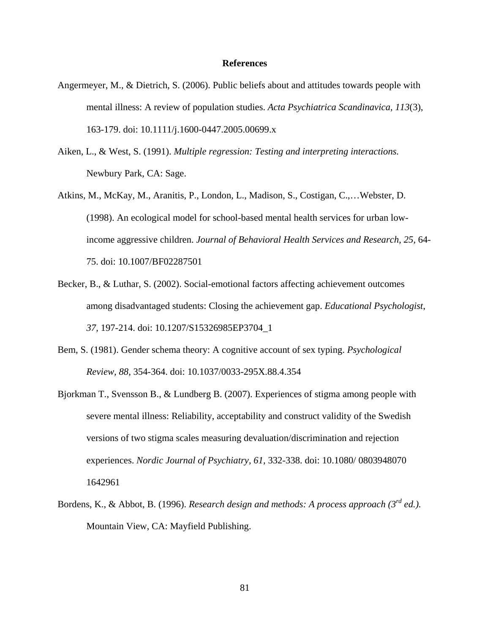## **References**

- Angermeyer, M., & Dietrich, S. (2006). Public beliefs about and attitudes towards people with mental illness: A review of population studies. *Acta Psychiatrica Scandinavica, 113*(3), 163-179. doi: 10.1111/j.1600-0447.2005.00699.x
- Aiken, L., & West, S. (1991). *Multiple regression: Testing and interpreting interactions.*  Newbury Park, CA: Sage.
- Atkins, M., McKay, M., Aranitis, P., London, L., Madison, S., Costigan, C.,…Webster, D. (1998). An ecological model for school-based mental health services for urban lowincome aggressive children. *Journal of Behavioral Health Services and Research, 25,* 64- 75. doi: 10.1007/BF02287501
- Becker, B., & Luthar, S. (2002). Social-emotional factors affecting achievement outcomes among disadvantaged students: Closing the achievement gap. *Educational Psychologist*, *37,* 197-214. doi: 10.1207/S15326985EP3704\_1
- Bem, S. (1981). Gender schema theory: A cognitive account of sex typing. *Psychological Review, 88,* 354-364. doi: 10.1037/0033-295X.88.4.354
- Bjorkman T., Svensson B., & Lundberg B. (2007). Experiences of stigma among people with severe mental illness: Reliability, acceptability and construct validity of the Swedish versions of two stigma scales measuring devaluation/discrimination and rejection experiences. *Nordic Journal of Psychiatry, 61,* 332-338. doi: 10.1080/ 0803948070 1642961
- Bordens, K., & Abbot, B. (1996). *Research design and methods: A process approach (3rd ed.).*  Mountain View, CA: Mayfield Publishing.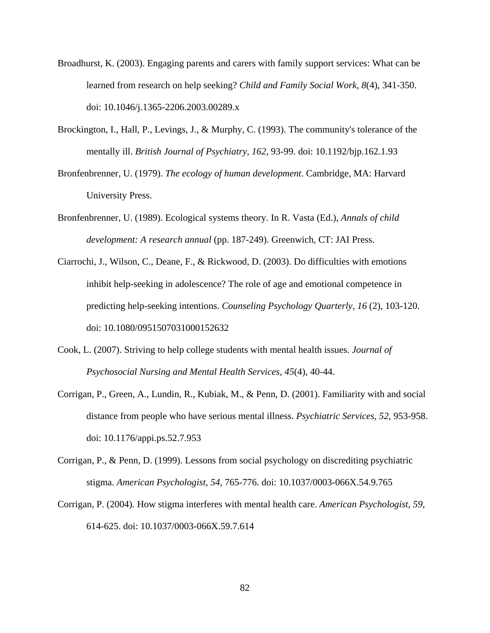- Broadhurst, K. (2003). Engaging parents and carers with family support services: What can be learned from research on help seeking? *Child and Family Social Work, 8*(4), 341-350. doi: 10.1046/j.1365-2206.2003.00289.x
- Brockington, I., Hall, P., Levings, J., & Murphy, C. (1993). The community's tolerance of the mentally ill. *British Journal of Psychiatry, 162,* 93-99. doi: 10.1192/bjp.162.1.93
- Bronfenbrenner, U. (1979). *The ecology of human development*. Cambridge, MA: Harvard University Press.
- Bronfenbrenner, U. (1989). Ecological systems theory. In R. Vasta (Ed.), *Annals of child development: A research annual* (pp. 187-249). Greenwich, CT: JAI Press.
- Ciarrochi, J., Wilson, C., Deane, F., & Rickwood, D. (2003). Do difficulties with emotions inhibit help-seeking in adolescence? The role of age and emotional competence in predicting help-seeking intentions. *Counseling Psychology Quarterly, 16* (2), 103-120. doi: 10.1080/0951507031000152632
- Cook, L. (2007). Striving to help college students with mental health issues. *Journal of Psychosocial Nursing and Mental Health Services, 45*(4), 40-44.
- Corrigan, P., Green, A., Lundin, R., Kubiak, M., & Penn, D. (2001). Familiarity with and social distance from people who have serious mental illness. *Psychiatric Services, 52,* 953-958. doi: 10.1176/appi.ps.52.7.953
- Corrigan, P., & Penn, D. (1999). Lessons from social psychology on discrediting psychiatric stigma. *American Psychologist*, *54,* 765-776. doi: 10.1037/0003-066X.54.9.765
- Corrigan, P. (2004). How stigma interferes with mental health care. *American Psychologist*, *59,*  614-625. doi: 10.1037/0003-066X.59.7.614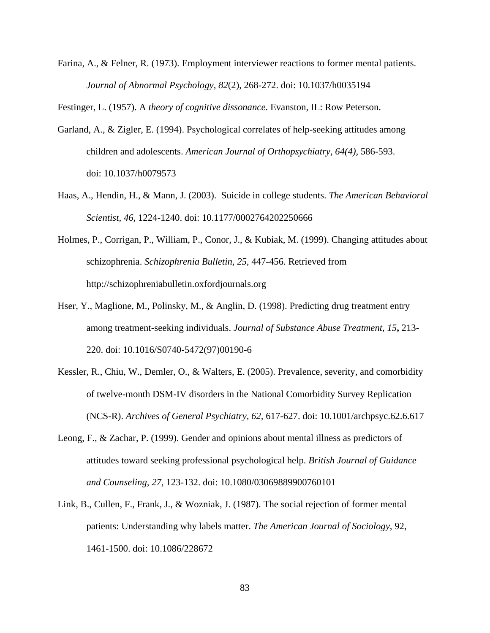Farina, A., & Felner, R. (1973). Employment interviewer reactions to former mental patients. *Journal of Abnormal Psychology, 82*(2), 268-272. doi: 10.1037/h0035194

Festinger, L. (1957). A *theory of cognitive dissonance*. Evanston, IL: Row Peterson.

- Garland, A., & Zigler, E. (1994). Psychological correlates of help-seeking attitudes among children and adolescents. *American Journal of Orthopsychiatry, 64(4),* 586-593. doi: 10.1037/h0079573
- Haas, A., Hendin, H., & Mann, J. (2003). Suicide in college students. *The American Behavioral Scientist, 46*, 1224-1240. doi: 10.1177/0002764202250666
- Holmes, P., Corrigan, P., William, P., Conor, J., & Kubiak, M. (1999). Changing attitudes about schizophrenia. *Schizophrenia Bulletin, 25,* 447-456. Retrieved from http://schizophreniabulletin.oxfordjournals.org
- Hser, Y., Maglione, M., Polinsky, M., & Anglin, D. (1998). Predicting drug treatment entry among treatment-seeking individuals. *Journal of Substance Abuse Treatment*, *15***,** 213- 220. doi: 10.1016/S0740-5472(97)00190-6
- Kessler, R., Chiu, W., Demler, O., & Walters, E. (2005). Prevalence, severity, and comorbidity of twelve-month DSM-IV disorders in the National Comorbidity Survey Replication (NCS-R). *Archives of General Psychiatry, 62,* 617-627. doi: 10.1001/archpsyc.62.6.617
- Leong, F., & Zachar, P. (1999). Gender and opinions about mental illness as predictors of attitudes toward seeking professional psychological help. *British Journal of Guidance and Counseling, 27,* 123-132. doi: 10.1080/03069889900760101
- Link, B., Cullen, F., Frank, J., & Wozniak, J. (1987). The social rejection of former mental patients: Understanding why labels matter. *The American Journal of Sociology*, 92, 1461-1500. doi: 10.1086/228672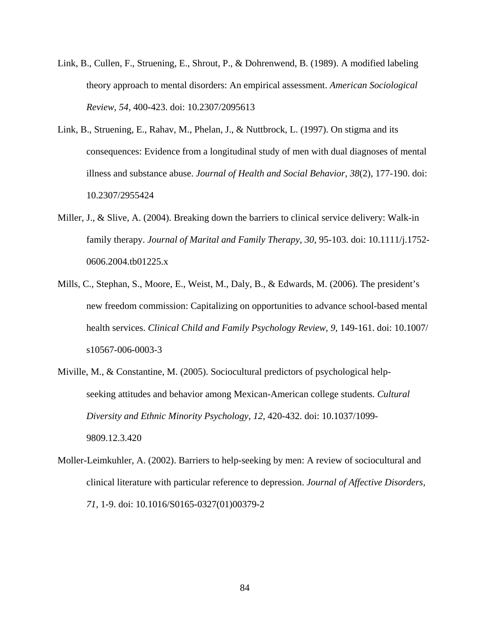- Link, B., Cullen, F., Struening, E., Shrout, P., & Dohrenwend, B. (1989). A modified labeling theory approach to mental disorders: An empirical assessment. *American Sociological Review, 54,* 400-423. doi: 10.2307/2095613
- Link, B., Struening, E., Rahav, M., Phelan, J., & Nuttbrock, L. (1997). On stigma and its consequences: Evidence from a longitudinal study of men with dual diagnoses of mental illness and substance abuse. *Journal of Health and Social Behavior, 38*(2), 177-190. doi: 10.2307/2955424
- Miller, J., & Slive, A. (2004). Breaking down the barriers to clinical service delivery: Walk-in family therapy. *Journal of Marital and Family Therapy, 30,* 95-103. doi: 10.1111/j.1752- 0606.2004.tb01225.x
- Mills, C., Stephan, S., Moore, E., Weist, M., Daly, B., & Edwards, M. (2006). The president's new freedom commission: Capitalizing on opportunities to advance school-based mental health services. *Clinical Child and Family Psychology Review, 9, 149-161.* doi: 10.1007/ s10567-006-0003-3
- Miville, M., & Constantine, M. (2005). Sociocultural predictors of psychological helpseeking attitudes and behavior among Mexican-American college students. *Cultural Diversity and Ethnic Minority Psychology, 12,* 420-432. doi: 10.1037/1099- 9809.12.3.420
- Moller-Leimkuhler, A. (2002). Barriers to help-seeking by men: A review of sociocultural and clinical literature with particular reference to depression. *Journal of Affective Disorders, 71,* 1-9. doi: 10.1016/S0165-0327(01)00379-2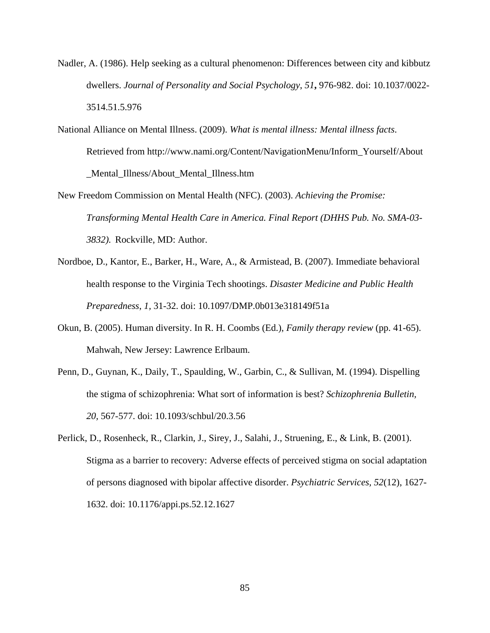- Nadler, A. (1986). Help seeking as a cultural phenomenon: Differences between city and kibbutz dwellers. *Journal of Personality and Social Psychology*, *51***,** 976-982. doi: 10.1037/0022- 3514.51.5.976
- National Alliance on Mental Illness. (2009). *What is mental illness: Mental illness facts*. Retrieved from http://www.nami.org/Content/NavigationMenu/Inform\_Yourself/About \_Mental\_Illness/About\_Mental\_Illness.htm
- New Freedom Commission on Mental Health (NFC). (2003). *Achieving the Promise: Transforming Mental Health Care in America. Final Report (DHHS Pub. No. SMA-03- 3832).* Rockville, MD: Author.
- Nordboe, D., Kantor, E., Barker, H., Ware, A., & Armistead, B. (2007). Immediate behavioral health response to the Virginia Tech shootings. *Disaster Medicine and Public Health Preparedness*, *1,* 31-32. doi: 10.1097/DMP.0b013e318149f51a
- Okun, B. (2005). Human diversity. In R. H. Coombs (Ed.), *Family therapy review* (pp. 41-65). Mahwah, New Jersey: Lawrence Erlbaum.
- Penn, D., Guynan, K., Daily, T., Spaulding, W., Garbin, C., & Sullivan, M. (1994). Dispelling the stigma of schizophrenia: What sort of information is best? *Schizophrenia Bulletin, 20,* 567-577. doi: 10.1093/schbul/20.3.56
- Perlick, D., Rosenheck, R., Clarkin, J., Sirey, J., Salahi, J., Struening, E., & Link, B. (2001). Stigma as a barrier to recovery: Adverse effects of perceived stigma on social adaptation of persons diagnosed with bipolar affective disorder. *Psychiatric Services, 52*(12), 1627- 1632. doi: 10.1176/appi.ps.52.12.1627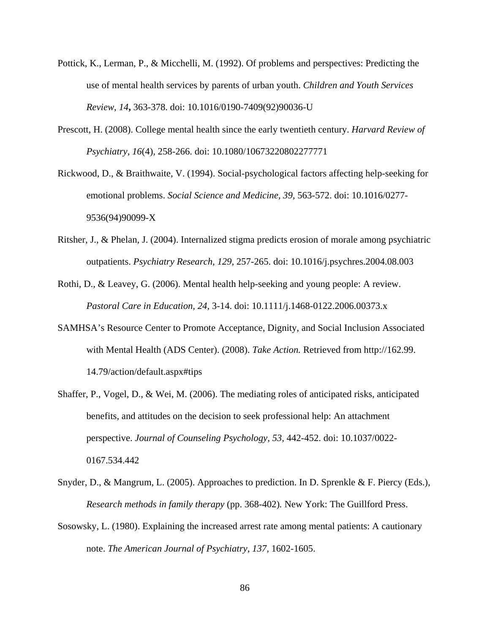- Pottick, K., Lerman, P., & Micchelli, M. (1992). Of problems and perspectives: Predicting the use of mental health services by parents of urban youth. *Children and Youth Services Review*, *14***,** 363-378. doi: 10.1016/0190-7409(92)90036-U
- Prescott, H. (2008). College mental health since the early twentieth century. *[Harvard Review of](http://www.informaworld.com.ezproxy.lib.vt.edu:8080/smpp/title~content=t713723043~db=all)  [Psychiatry,](http://www.informaworld.com.ezproxy.lib.vt.edu:8080/smpp/title~content=t713723043~db=all) [16](http://www.informaworld.com.ezproxy.lib.vt.edu:8080/smpp/title~content=t713723043~db=all~tab=issueslist~branches=16#v16)*[\(4\)](http://www.informaworld.com.ezproxy.lib.vt.edu:8080/smpp/title~content=g795331935~db=all)*,* 258-266. doi: 10.1080/10673220802277771
- Rickwood, D., & Braithwaite, V. (1994). Social-psychological factors affecting help-seeking for emotional problems. *Social Science and Medicine, 39,* 563-572. doi: 10.1016/0277- 9536(94)90099-X
- Ritsher, J., & Phelan, J. (2004). Internalized stigma predicts erosion of morale among psychiatric outpatients. *Psychiatry Research, 129,* 257-265. doi: 10.1016/j.psychres.2004.08.003
- Rothi, D., & Leavey, G. (2006). Mental health help-seeking and young people: A review. *Pastoral Care in Education, 24,* 3-14. doi: 10.1111/j.1468-0122.2006.00373.x
- SAMHSA's Resource Center to Promote Acceptance, Dignity, and Social Inclusion Associated with Mental Health (ADS Center). (2008). *Take Action.* Retrieved from http://162.99. 14.79/action/default.aspx#tips
- Shaffer, P., Vogel, D., & Wei, M. (2006). The mediating roles of anticipated risks, anticipated benefits, and attitudes on the decision to seek professional help: An attachment perspective. *Journal of Counseling Psychology, 53*, 442-452. doi: 10.1037/0022- 0167.534.442
- Snyder, D., & Mangrum, L. (2005). Approaches to prediction. In D. Sprenkle & F. Piercy (Eds.), *Research methods in family therapy* (pp. 368-402)*.* New York: The Guillford Press.
- Sosowsky, L. (1980). Explaining the increased arrest rate among mental patients: A cautionary note. *The American Journal of Psychiatry, 137,* 1602-1605.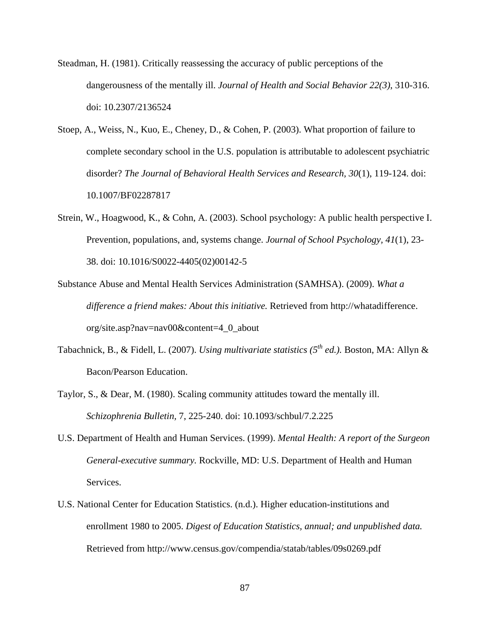- Steadman, H. (1981). Critically reassessing the accuracy of public perceptions of the dangerousness of the mentally ill. *Journal of Health and Social Behavior 22(3)*, 310-316. doi: 10.2307/2136524
- Stoep, A., Weiss, N., Kuo, E., Cheney, D., & Cohen, P. (2003). What proportion of failure to complete secondary school in the U.S. population is attributable to adolescent psychiatric disorder? *The Journal of Behavioral Health Services and Research, 30*(1), 119-124. doi: 10.1007/BF02287817
- Strein, W., Hoagwood, K., & Cohn, A. (2003). School psychology: A public health perspective I. Prevention, populations, and, systems change. *Journal of School Psychology, 41*(1), 23- 38. doi: 10.1016/S0022-4405(02)00142-5
- Substance Abuse and Mental Health Services Administration (SAMHSA). (2009). *What a difference a friend makes: About this initiative.* Retrieved from http://whatadifference. org/site.asp?nav=nav00&content=4\_0\_about
- Tabachnick, B., & Fidell, L. (2007). *Using multivariate statistics (5th ed.).* Boston, MA: Allyn & Bacon/Pearson Education.
- Taylor, S., & Dear, M. (1980). Scaling community attitudes toward the mentally ill. *Schizophrenia Bulletin,* 7, 225-240. doi: 10.1093/schbul/7.2.225
- U.S. Department of Health and Human Services. (1999). *Mental Health: A report of the Surgeon General-executive summary.* Rockville, MD: U.S. Department of Health and Human Services.
- U.S. National Center for Education Statistics. (n.d.). Higher education-institutions and enrollment 1980 to 2005. *Digest of Education Statistics, annual; and unpublished data.* Retrieved from http://www.census.gov/compendia/statab/tables/09s0269.pdf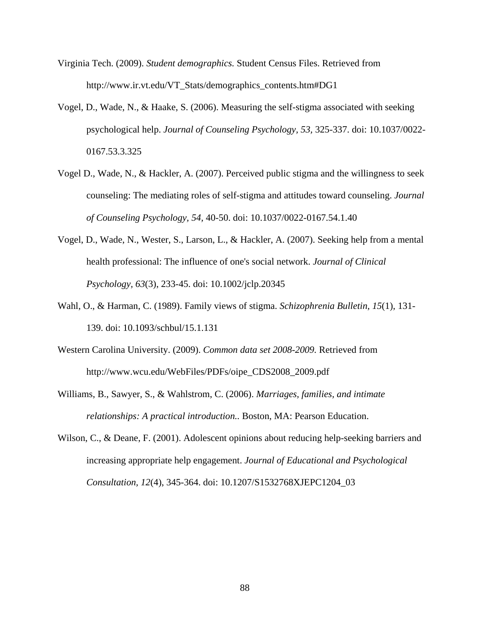- Virginia Tech. (2009). *Student demographics.* Student Census Files. Retrieved from http://www.ir.vt.edu/VT\_Stats/demographics\_contents.htm#DG1
- Vogel, D., Wade, N., & Haake, S. (2006). Measuring the self-stigma associated with seeking psychological help. *Journal of Counseling Psychology, 53,* 325-337. doi: 10.1037/0022- 0167.53.3.325
- Vogel D., Wade, N., & Hackler, A. (2007). Perceived public stigma and the willingness to seek counseling: The mediating roles of self-stigma and attitudes toward counseling. *[Journal](javascript:__doLinkPostBack()  [of Counseling Psychology,](javascript:__doLinkPostBack() 54,* 40-50. doi: 10.1037/0022-0167.54.1.40
- Vogel, D., Wade, N., Wester, S., Larson, L., & Hackler, A. (2007). Seeking help from a mental health professional: The influence of one's social network. *Journal of Clinical Psychology, 63*(3), 233-45. doi: 10.1002/jclp.20345
- Wahl, O., & Harman, C. (1989). Family views of stigma. *Schizophrenia Bulletin, 15*(1), 131- 139. doi: 10.1093/schbul/15.1.131
- Western Carolina University. (2009). *Common data set 2008-2009.* Retrieved from http://www.wcu.edu/WebFiles/PDFs/oipe\_CDS2008\_2009.pdf
- Williams, B., Sawyer, S., & Wahlstrom, C. (2006). *Marriages, families, and intimate relationships: A practical introduction..* Boston, MA: Pearson Education.
- Wilson, C., & Deane, F. (2001). Adolescent opinions about reducing help-seeking barriers and increasing appropriate help engagement. *Journal of Educational and Psychological Consultation, 12*(4), 345-364. doi: 10.1207/S1532768XJEPC1204\_03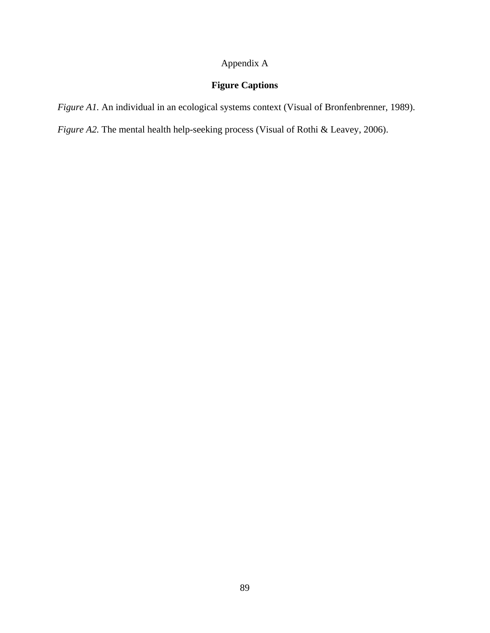## Appendix A

## **Figure Captions**

*Figure A1.* An individual in an ecological systems context (Visual of Bronfenbrenner, 1989).

*Figure A2.* The mental health help-seeking process (Visual of Rothi & Leavey, 2006).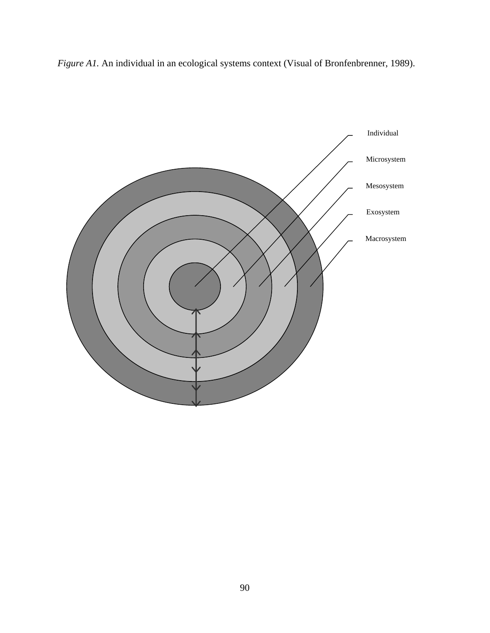*Figure A1.* An individual in an ecological systems context (Visual of Bronfenbrenner, 1989).

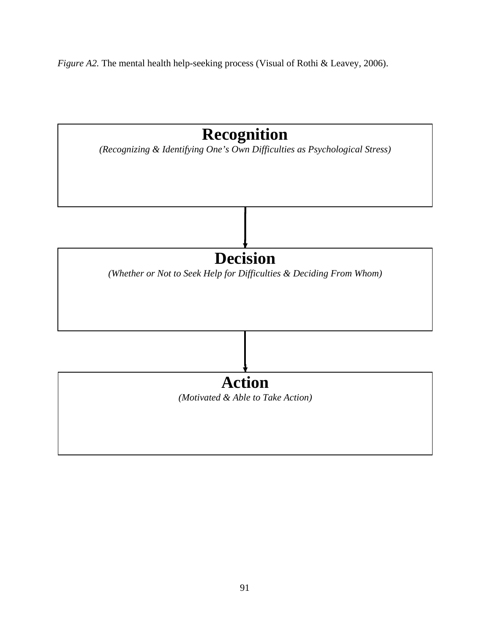*Figure A2.* The mental health help-seeking process (Visual of Rothi & Leavey, 2006).

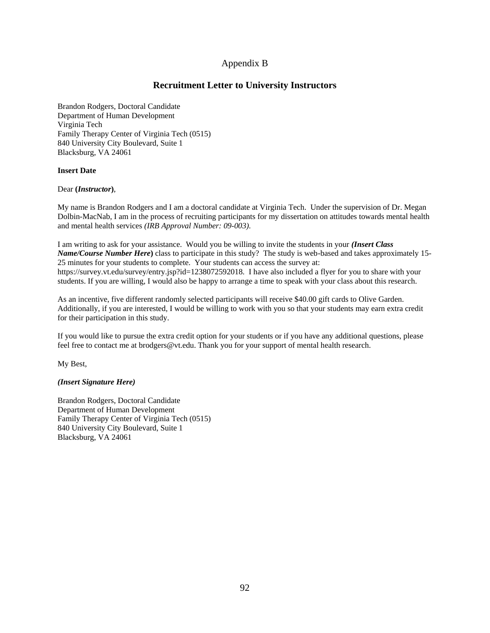## Appendix B

## **Recruitment Letter to University Instructors**

Brandon Rodgers, Doctoral Candidate Department of Human Development Virginia Tech Family Therapy Center of Virginia Tech (0515) 840 University City Boulevard, Suite 1 Blacksburg, VA 24061

## **Insert Date**

Dear **(***Instructor***)**,

My name is Brandon Rodgers and I am a doctoral candidate at Virginia Tech. Under the supervision of Dr. Megan Dolbin-MacNab, I am in the process of recruiting participants for my dissertation on attitudes towards mental health and mental health services *(IRB Approval Number: 09-003)*.

I am writing to ask for your assistance. Would you be willing to invite the students in your *(Insert Class Name/Course Number Here***)** class to participate in this study? The study is web-based and takes approximately 15- 25 minutes for your students to complete. Your students can access the survey at: https://survey.vt.edu/survey/entry.jsp?id=1238072592018*.* I have also included a flyer for you to share with your students. If you are willing, I would also be happy to arrange a time to speak with your class about this research.

As an incentive, five different randomly selected participants will receive \$40.00 gift cards to Olive Garden. Additionally, if you are interested, I would be willing to work with you so that your students may earn extra credit for their participation in this study.

If you would like to pursue the extra credit option for your students or if you have any additional questions, please feel free to contact me at brodgers@vt.edu. Thank you for your support of mental health research.

My Best,

## *(Insert Signature Here)*

Brandon Rodgers, Doctoral Candidate Department of Human Development Family Therapy Center of Virginia Tech (0515) 840 University City Boulevard, Suite 1 Blacksburg, VA 24061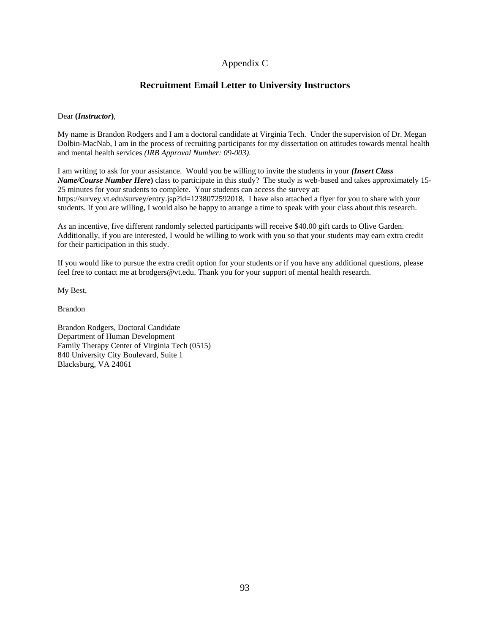## Appendix C

## **Recruitment Email Letter to University Instructors**

## Dear **(***Instructor***)**,

My name is Brandon Rodgers and I am a doctoral candidate at Virginia Tech. Under the supervision of Dr. Megan Dolbin-MacNab, I am in the process of recruiting participants for my dissertation on attitudes towards mental health and mental health services *(IRB Approval Number: 09-003)*.

I am writing to ask for your assistance. Would you be willing to invite the students in your *(Insert Class Name/Course Number Here***)** class to participate in this study? The study is web-based and takes approximately 15- 25 minutes for your students to complete. Your students can access the survey at: https://survey.vt.edu/survey/entry.jsp?id=1238072592018*.* I have also attached a flyer for you to share with your students. If you are willing, I would also be happy to arrange a time to speak with your class about this research.

As an incentive, five different randomly selected participants will receive \$40.00 gift cards to Olive Garden. Additionally, if you are interested, I would be willing to work with you so that your students may earn extra credit for their participation in this study.

If you would like to pursue the extra credit option for your students or if you have any additional questions, please feel free to contact me at brodgers@vt.edu. Thank you for your support of mental health research.

My Best,

Brandon

Brandon Rodgers, Doctoral Candidate Department of Human Development Family Therapy Center of Virginia Tech (0515) 840 University City Boulevard, Suite 1 Blacksburg, VA 24061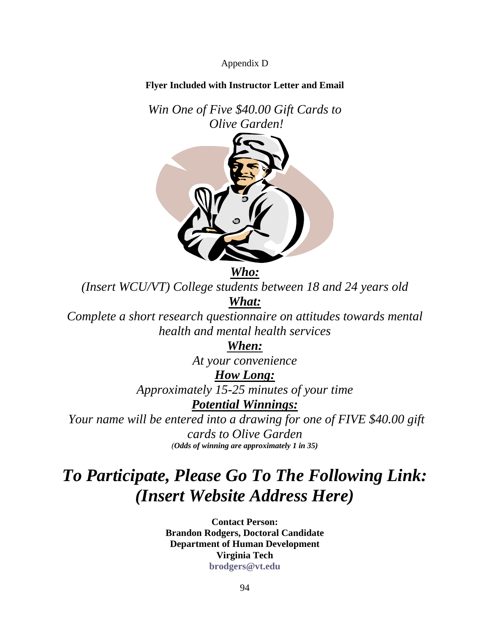Appendix D

## **Flyer Included with Instructor Letter and Email**

*Win One of Five \$40.00 Gift Cards to Olive Garden!*

*Who:*

*(Insert WCU/VT) College students between 18 and 24 years old What:*

*Complete a short research questionnaire on attitudes towards mental health and mental health services*

*When:*

*At your convenience*

## *How Long:*

*Approximately 15-25 minutes of your time*

*Potential Winnings:*

*Your name will be entered into a drawing for one of FIVE \$40.00 gift cards to Olive Garden (Odds of winning are approximately 1 in 35)*

# *To Participate, Please Go To The Following Link: (Insert Website Address Here)*

**Contact Person: Brandon Rodgers, Doctoral Candidate Department of Human Development Virginia Tech [brodgers@vt.edu](mailto:brodgers@vt.edu)**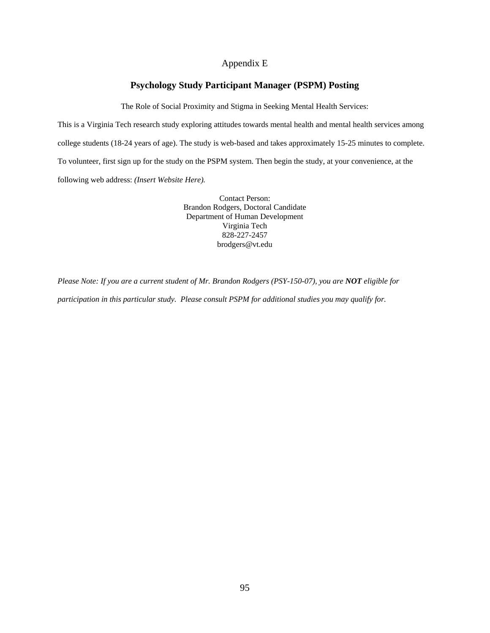## Appendix E

## **Psychology Study Participant Manager (PSPM) Posting**

The Role of Social Proximity and Stigma in Seeking Mental Health Services:

This is a Virginia Tech research study exploring attitudes towards mental health and mental health services among college students (18-24 years of age). The study is web-based and takes approximately 15-25 minutes to complete. To volunteer, first sign up for the study on the PSPM system. Then begin the study, at your convenience, at the following web address: *(Insert Website Here).* 

> Contact Person: Brandon Rodgers, Doctoral Candidate Department of Human Development Virginia Tech 828-227-2457 brodgers@vt.edu

*Please Note: If you are a current student of Mr. Brandon Rodgers (PSY-150-07), you are NOT eligible for participation in this particular study. Please consult PSPM for additional studies you may qualify for.*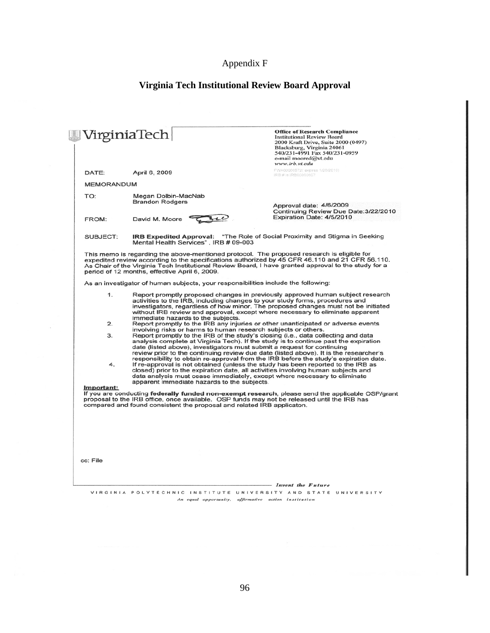## Appendix F

## **Virginia Tech Institutional Review Board Approval**

|                   | VirginiaTech                                                                                | <b>Office of Research Compliance</b><br><b>Institutional Review Board</b><br>2000 Kraft Drive, Suite 2000 (0497)<br>Blacksburg, Virginia 24061<br>540/231-4991 Fax 540/231-0959<br>e-mail moored@vt.edu<br>www.irb.vt.edu                                                                                                             |  |  |  |
|-------------------|---------------------------------------------------------------------------------------------|---------------------------------------------------------------------------------------------------------------------------------------------------------------------------------------------------------------------------------------------------------------------------------------------------------------------------------------|--|--|--|
| DATE:             | April 6, 2009                                                                               | FWA00000572( expires 1/20/2010)<br>IRB # is IRB00000667                                                                                                                                                                                                                                                                               |  |  |  |
| <b>MEMORANDUM</b> |                                                                                             |                                                                                                                                                                                                                                                                                                                                       |  |  |  |
| TO:               | Megan Dolbin-MacNab                                                                         |                                                                                                                                                                                                                                                                                                                                       |  |  |  |
|                   | <b>Brandon Rodgers</b>                                                                      | Approval date: 4/6/2009                                                                                                                                                                                                                                                                                                               |  |  |  |
|                   |                                                                                             | Continuing Review Due Date: 3/22/2010<br>Expiration Date: 4/5/2010                                                                                                                                                                                                                                                                    |  |  |  |
| FROM:             | David M. Moore                                                                              |                                                                                                                                                                                                                                                                                                                                       |  |  |  |
| SUBJECT:          | Mental Health Services", IRB # 09-003                                                       | IRB Expedited Approval: "The Role of Social Proximity and Stigma in Seeking                                                                                                                                                                                                                                                           |  |  |  |
|                   | period of 12 months, effective April 6, 2009.                                               | This memo is regarding the above-mentioned protocol. The proposed research is eligible for<br>expedited review according to the specifications authorized by 45 CFR 46.110 and 21 CFR 56.110.<br>As Chair of the Virginia Tech Institutional Review Board, I have granted approval to the study for a                                 |  |  |  |
|                   | As an investigator of human subjects, your responsibilities include the following:          |                                                                                                                                                                                                                                                                                                                                       |  |  |  |
| 1.                | immediate hazards to the subjects.                                                          | Report promptly proposed changes in previously approved human subject research<br>activities to the IRB, including changes to your study forms, procedures and<br>investigators, regardless of how minor. The proposed changes must not be initiated<br>without IRB review and approval, except where necessary to eliminate apparent |  |  |  |
| 2.                |                                                                                             | Report promptly to the IRB any injuries or other unanticipated or adverse events                                                                                                                                                                                                                                                      |  |  |  |
| з.                | involving risks or harms to human research subjects or others.                              | Report promptly to the IRB of the study's closing (i.e., data collecting and data                                                                                                                                                                                                                                                     |  |  |  |
|                   |                                                                                             | analysis complete at Virginia Tech). If the study is to continue past the expiration                                                                                                                                                                                                                                                  |  |  |  |
|                   | date (listed above), investigators must submit a request for continuing                     | review prior to the continuing review due date (listed above). It is the researcher's                                                                                                                                                                                                                                                 |  |  |  |
|                   |                                                                                             | responsibility to obtain re-approval from the IRB before the study's expiration date.                                                                                                                                                                                                                                                 |  |  |  |
| 4.                |                                                                                             | If re-approval is not obtained (unless the study has been reported to the IRB as                                                                                                                                                                                                                                                      |  |  |  |
|                   |                                                                                             | closed) prior to the expiration date, all activities involving human subjects and<br>data analysis must cease immediately, except where necessary to eliminate                                                                                                                                                                        |  |  |  |
|                   | apparent immediate hazards to the subjects.                                                 |                                                                                                                                                                                                                                                                                                                                       |  |  |  |
| Important:        |                                                                                             | If you are conducting federally funded non-exempt research, please send the applicable OSP/grant                                                                                                                                                                                                                                      |  |  |  |
|                   | proposal to the IRB office, once available. OSP funds may not be released until the IRB has |                                                                                                                                                                                                                                                                                                                                       |  |  |  |
|                   | compared and found consistent the proposal and related IRB applicaton.                      |                                                                                                                                                                                                                                                                                                                                       |  |  |  |
|                   |                                                                                             |                                                                                                                                                                                                                                                                                                                                       |  |  |  |
|                   |                                                                                             |                                                                                                                                                                                                                                                                                                                                       |  |  |  |
|                   |                                                                                             |                                                                                                                                                                                                                                                                                                                                       |  |  |  |
|                   |                                                                                             |                                                                                                                                                                                                                                                                                                                                       |  |  |  |
|                   |                                                                                             |                                                                                                                                                                                                                                                                                                                                       |  |  |  |
| cc: File          |                                                                                             |                                                                                                                                                                                                                                                                                                                                       |  |  |  |
|                   |                                                                                             |                                                                                                                                                                                                                                                                                                                                       |  |  |  |
|                   |                                                                                             |                                                                                                                                                                                                                                                                                                                                       |  |  |  |
|                   |                                                                                             | Invent the Future                                                                                                                                                                                                                                                                                                                     |  |  |  |

VIRGINIA POLYTECHNIC INSTITUTE UNIVERSITY AND STATE UNIVERSITY An equal opportunity, affirmative action institution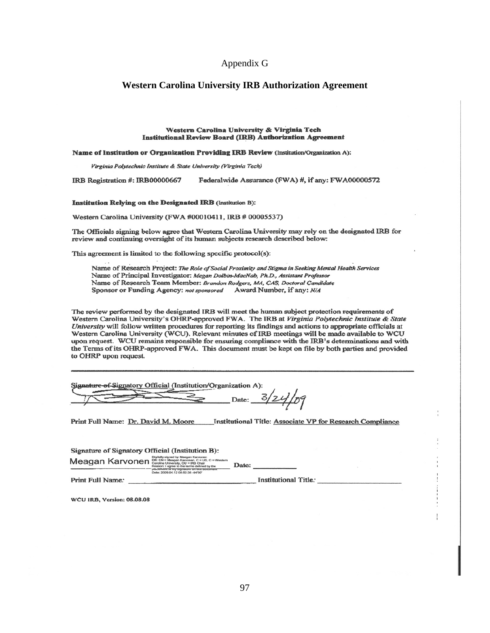## Appendix G

## **Western Carolina University IRB Authorization Agreement**

#### Western Carolina University & Virginia Tech **Institutional Review Board (IRB) Authorization Agreement**

#### Name of Institution or Organization Providing IRB Review (Institution/Organization A):

Virginia Polytechnic Institute & State University (Virginia Tech)

IRB Registration #: IRB00000667 Federalwide Assurance (FWA) #, if any: FWA00000572

#### **Institution Relying on the Designated IRB** (Institution B):

Western Carolina University (FWA #00010411, IRB # 00005537)

The Officials signing below agree that Western Carolina University may rely on the designated IRB for review and continuing oversight of its human subjects research described below:

This agreement is limited to the following specific protocol(s):

Name of Research Project: The Role of Social Proximity and Stigma in Seeking Mental Health Services Name of Principal Investigator: Megan Dolbin-MacNab, Ph.D., Assistant Professor Name of Research Team Member: Brandon Rodgers, MA, CAS, Doctoral Candidate Sponsor or Funding Agency: not sponsored Award Number, if any: N/A

The review performed by the designated IRB will meet the human subject protection requirements of Western Carolina University's OHRP-approved FWA. The IRB at Virginia Polytechnic Institute & State University will follow written procedures for reporting its findings and actions to appropriate officials at Western Carolina University (WCU), Relevant minutes of IRB meetings will be made available to WCU upon request. WCU remains responsible for ensuring compliance with the IRB's determinations and with the Terms of its OHRP-approved FWA. This document must be kept on file by both parties and provided to OHRP upon request.

| Signature of Signatory Official (Institution/Organization A): |  |  |  |  |  |  |  |  |
|---------------------------------------------------------------|--|--|--|--|--|--|--|--|
|                                                               |  |  |  |  |  |  |  |  |
|                                                               |  |  |  |  |  |  |  |  |
|                                                               |  |  |  |  |  |  |  |  |

Print Full Name: Dr. David M. Moore Institutional Title: Associate VP for Research Compliance

| Signature of Signatory Official (Institution B):    |                                                                                                                                                                        |       |                      |  |  |
|-----------------------------------------------------|------------------------------------------------------------------------------------------------------------------------------------------------------------------------|-------|----------------------|--|--|
| Meagan Karvonen Carolina University, OU = IRB Chair | Digitally signed by Meagan Karyonen<br>Reason: I agree to the terms defined by the<br>placement of my signature on this gocument.<br>Date: 2009.04.12 08:52:35 -04'00" | Date: |                      |  |  |
| Print Full Name:                                    |                                                                                                                                                                        |       | Institutional Title. |  |  |

WCU IRB, Version: 08.08.08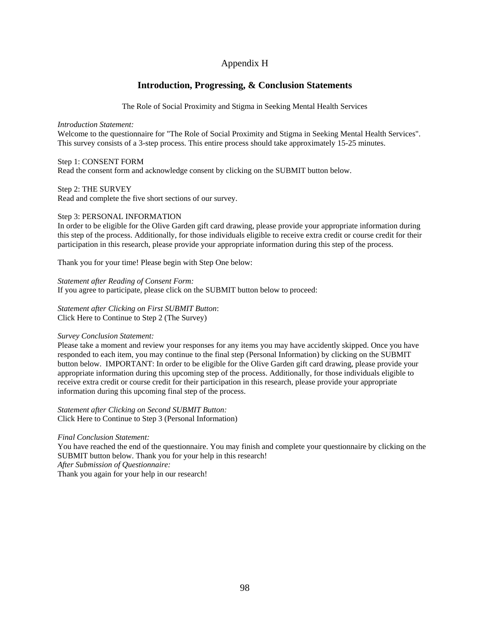## Appendix H

## **Introduction, Progressing, & Conclusion Statements**

The Role of Social Proximity and Stigma in Seeking Mental Health Services

*Introduction Statement:*

Welcome to the questionnaire for "The Role of Social Proximity and Stigma in Seeking Mental Health Services". This survey consists of a 3-step process. This entire process should take approximately 15-25 minutes.

## Step 1: CONSENT FORM

Read the consent form and acknowledge consent by clicking on the SUBMIT button below.

Step 2: THE SURVEY

Read and complete the five short sections of our survey.

## Step 3: PERSONAL INFORMATION

In order to be eligible for the Olive Garden gift card drawing, please provide your appropriate information during this step of the process. Additionally, for those individuals eligible to receive extra credit or course credit for their participation in this research, please provide your appropriate information during this step of the process.

Thank you for your time! Please begin with Step One below:

*Statement after Reading of Consent Form:* If you agree to participate, please click on the SUBMIT button below to proceed:

*Statement after Clicking on First SUBMIT Button*: Click Here to Continue to Step 2 (The Survey)

## *Survey Conclusion Statement:*

Please take a moment and review your responses for any items you may have accidently skipped. Once you have responded to each item, you may continue to the final step (Personal Information) by clicking on the SUBMIT button below. IMPORTANT: In order to be eligible for the Olive Garden gift card drawing, please provide your appropriate information during this upcoming step of the process. Additionally, for those individuals eligible to receive extra credit or course credit for their participation in this research, please provide your appropriate information during this upcoming final step of the process.

*Statement after Clicking on Second SUBMIT Button:* Click Here to Continue to Step 3 (Personal Information)

*Final Conclusion Statement:*

You have reached the end of the questionnaire. You may finish and complete your questionnaire by clicking on the SUBMIT button below. Thank you for your help in this research! *After Submission of Questionnaire:*

Thank you again for your help in our research!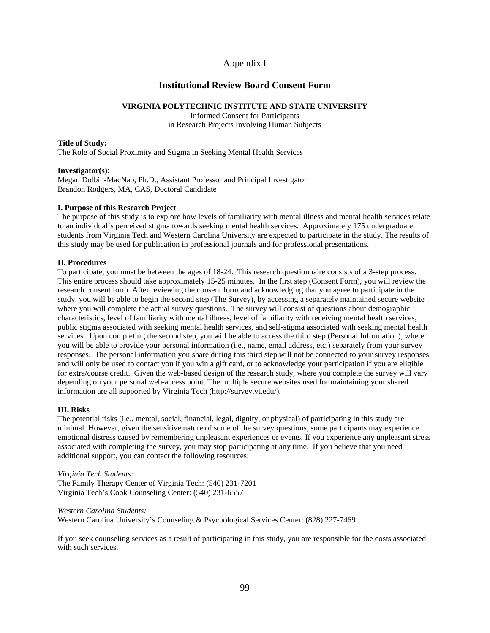## Appendix I

## **Institutional Review Board Consent Form**

## **VIRGINIA POLYTECHNIC INSTITUTE AND STATE UNIVERSITY**

Informed Consent for Participants in Research Projects Involving Human Subjects

## **Title of Study:**

The Role of Social Proximity and Stigma in Seeking Mental Health Services

## **Investigator(s)**:

Megan Dolbin-MacNab, Ph.D., Assistant Professor and Principal Investigator Brandon Rodgers, MA, CAS, Doctoral Candidate

## **I. Purpose of this Research Project**

The purpose of this study is to explore how levels of familiarity with mental illness and mental health services relate to an individual's perceived stigma towards seeking mental health services. Approximately 175 undergraduate students from Virginia Tech and Western Carolina University are expected to participate in the study. The results of this study may be used for publication in professional journals and for professional presentations.

## **II. Procedures**

To participate, you must be between the ages of 18-24. This research questionnaire consists of a 3-step process. This entire process should take approximately 15-25 minutes. In the first step (Consent Form), you will review the research consent form. After reviewing the consent form and acknowledging that you agree to participate in the study, you will be able to begin the second step (The Survey), by accessing a separately maintained secure website where you will complete the actual survey questions. The survey will consist of questions about demographic characteristics, level of familiarity with mental illness, level of familiarity with receiving mental health services, public stigma associated with seeking mental health services, and self-stigma associated with seeking mental health services. Upon completing the second step, you will be able to access the third step (Personal Information), where you will be able to provide your personal information (i.e., name, email address, etc.) separately from your survey responses. The personal information you share during this third step will not be connected to your survey responses and will only be used to contact you if you win a gift card, or to acknowledge your participation if you are eligible for extra/course credit. Given the web-based design of the research study, where you complete the survey will vary depending on your personal web-access point. The multiple secure websites used for maintaining your shared information are all supported by Virginia Tech (http://survey.vt.edu/).

## **III. Risks**

The potential risks (i.e., mental, social, financial, legal, dignity, or physical) of participating in this study are minimal. However, given the sensitive nature of some of the survey questions, some participants may experience emotional distress caused by remembering unpleasant experiences or events. If you experience any unpleasant stress associated with completing the survey, you may stop participating at any time. If you believe that you need additional support, you can contact the following resources:

*Virginia Tech Students:* The Family Therapy Center of Virginia Tech: (540) 231-7201 Virginia Tech's Cook Counseling Center: (540) 231-6557

*Western Carolina Students:*

Western Carolina University's Counseling & Psychological Services Center: (828) 227-7469

If you seek counseling services as a result of participating in this study, you are responsible for the costs associated with such services.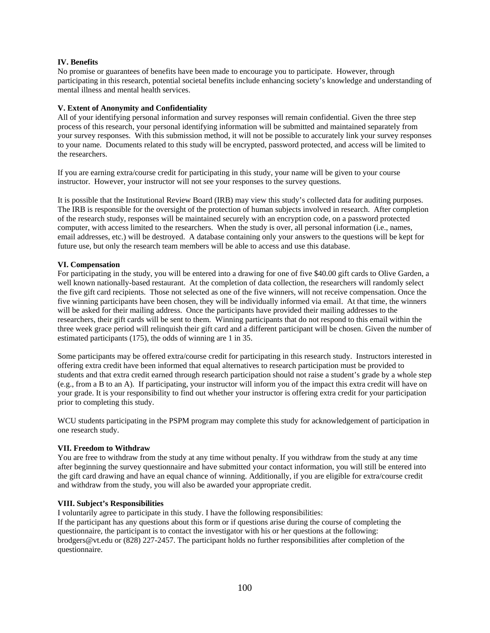## **IV. Benefits**

No promise or guarantees of benefits have been made to encourage you to participate. However, through participating in this research, potential societal benefits include enhancing society's knowledge and understanding of mental illness and mental health services.

## **V. Extent of Anonymity and Confidentiality**

All of your identifying personal information and survey responses will remain confidential. Given the three step process of this research, your personal identifying information will be submitted and maintained separately from your survey responses. With this submission method, it will not be possible to accurately link your survey responses to your name. Documents related to this study will be encrypted, password protected, and access will be limited to the researchers.

If you are earning extra/course credit for participating in this study, your name will be given to your course instructor. However, your instructor will not see your responses to the survey questions.

It is possible that the Institutional Review Board (IRB) may view this study's collected data for auditing purposes. The IRB is responsible for the oversight of the protection of human subjects involved in research. After completion of the research study, responses will be maintained securely with an encryption code, on a password protected computer, with access limited to the researchers. When the study is over, all personal information (i.e., names, email addresses, etc.) will be destroyed. A database containing only your answers to the questions will be kept for future use, but only the research team members will be able to access and use this database.

## **VI. Compensation**

For participating in the study, you will be entered into a drawing for one of five \$40.00 gift cards to Olive Garden, a well known nationally-based restaurant. At the completion of data collection, the researchers will randomly select the five gift card recipients. Those not selected as one of the five winners, will not receive compensation. Once the five winning participants have been chosen, they will be individually informed via email. At that time, the winners will be asked for their mailing address. Once the participants have provided their mailing addresses to the researchers, their gift cards will be sent to them. Winning participants that do not respond to this email within the three week grace period will relinquish their gift card and a different participant will be chosen. Given the number of estimated participants (175), the odds of winning are 1 in 35.

Some participants may be offered extra/course credit for participating in this research study. Instructors interested in offering extra credit have been informed that equal alternatives to research participation must be provided to students and that extra credit earned through research participation should not raise a student's grade by a whole step (e.g., from a B to an A). If participating, your instructor will inform you of the impact this extra credit will have on your grade. It is your responsibility to find out whether your instructor is offering extra credit for your participation prior to completing this study.

WCU students participating in the PSPM program may complete this study for acknowledgement of participation in one research study.

## **VII. Freedom to Withdraw**

You are free to withdraw from the study at any time without penalty. If you withdraw from the study at any time after beginning the survey questionnaire and have submitted your contact information, you will still be entered into the gift card drawing and have an equal chance of winning. Additionally, if you are eligible for extra/course credit and withdraw from the study, you will also be awarded your appropriate credit.

## **VIII. Subject's Responsibilities**

I voluntarily agree to participate in this study. I have the following responsibilities: If the participant has any questions about this form or if questions arise during the course of completing the questionnaire, the participant is to contact the investigator with his or her questions at the following: brodgers@vt.edu or (828) 227-2457. The participant holds no further responsibilities after completion of the questionnaire.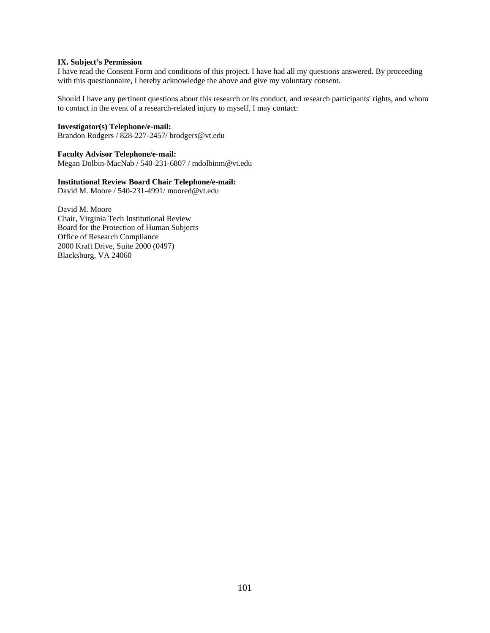## **IX. Subject's Permission**

I have read the Consent Form and conditions of this project. I have had all my questions answered. By proceeding with this questionnaire, I hereby acknowledge the above and give my voluntary consent.

Should I have any pertinent questions about this research or its conduct, and research participants' rights, and whom to contact in the event of a research-related injury to myself, I may contact:

## **Investigator(s) Telephone/e-mail:**

Brandon Rodgers / 828-227-2457/ brodgers@vt.edu

### **Faculty Advisor Telephone/e-mail:**

Megan Dolbin-MacNab / 540-231-6807 / mdolbinm@vt.edu

## **Institutional Review Board Chair Telephone/e-mail:**

David M. Moore / 540-231-4991/ moored@vt.edu

David M. Moore Chair, Virginia Tech Institutional Review Board for the Protection of Human Subjects Office of Research Compliance 2000 Kraft Drive, Suite 2000 (0497) Blacksburg, VA 24060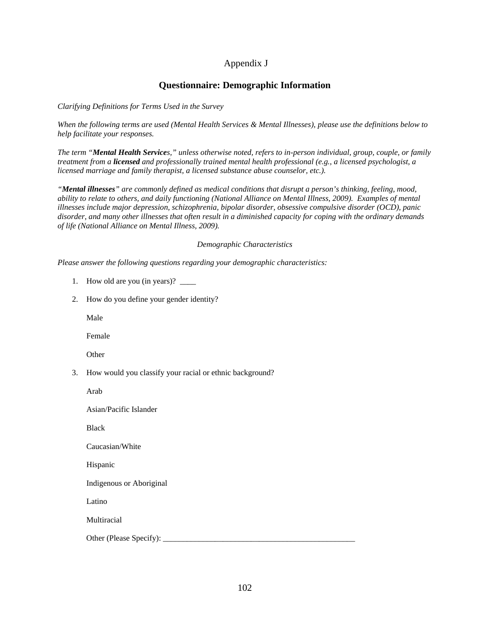# Appendix J

### **Questionnaire: Demographic Information**

*Clarifying Definitions for Terms Used in the Survey*

*When the following terms are used (Mental Health Services & Mental Illnesses), please use the definitions below to help facilitate your responses.*

*The term "Mental Health Services," unless otherwise noted, refers to in-person individual, group, couple, or family treatment from a licensed and professionally trained mental health professional (e.g., a licensed psychologist, a licensed marriage and family therapist, a licensed substance abuse counselor, etc.).*

*"Mental illnesses" are commonly defined as medical conditions that disrupt a person's thinking, feeling, mood, ability to relate to others, and daily functioning (National Alliance on Mental Illness, 2009). Examples of mental illnesses include major depression, schizophrenia, bipolar disorder, obsessive compulsive disorder (OCD), panic disorder, and many other illnesses that often result in a diminished capacity for coping with the ordinary demands of life (National Alliance on Mental Illness, 2009).*

#### *Demographic Characteristics*

*Please answer the following questions regarding your demographic characteristics:*

- 1. How old are you (in years)? \_\_\_\_\_
- 2. How do you define your gender identity?

Male

Female

**Other** 

3. How would you classify your racial or ethnic background?

Arab

Asian/Pacific Islander

Black

Caucasian/White

Hispanic

Indigenous or Aboriginal

Latino

Multiracial

Other (Please Specify):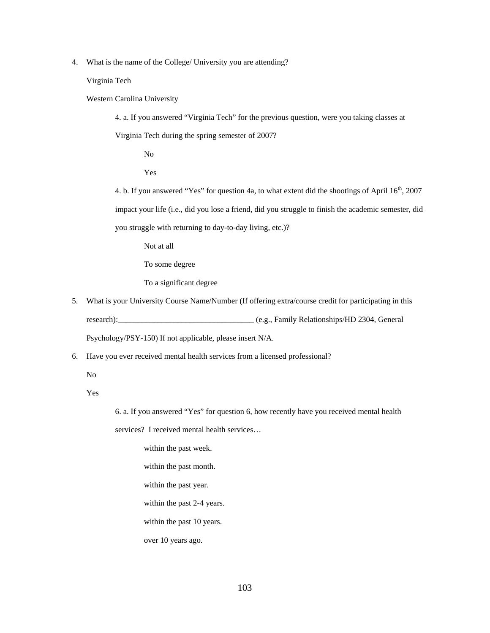4. What is the name of the College/ University you are attending?

Virginia Tech

Western Carolina University

4. a. If you answered "Virginia Tech" for the previous question, were you taking classes at

Virginia Tech during the spring semester of 2007?

No

Yes

4. b. If you answered "Yes" for question 4a, to what extent did the shootings of April 16<sup>th</sup>, 2007 impact your life (i.e., did you lose a friend, did you struggle to finish the academic semester, did you struggle with returning to day-to-day living, etc.)?

Not at all

To some degree

To a significant degree

5. What is your University Course Name/Number (If offering extra/course credit for participating in this research):\_\_\_\_\_\_\_\_\_\_\_\_\_\_\_\_\_\_\_\_\_\_\_\_\_\_\_\_\_\_\_\_\_\_ (e.g., Family Relationships/HD 2304, General

Psychology/PSY-150) If not applicable, please insert N/A.

6. Have you ever received mental health services from a licensed professional?

No

Yes

6. a. If you answered "Yes" for question 6, how recently have you received mental health

services? I received mental health services…

within the past week. within the past month. within the past year. within the past 2-4 years. within the past 10 years.

over 10 years ago.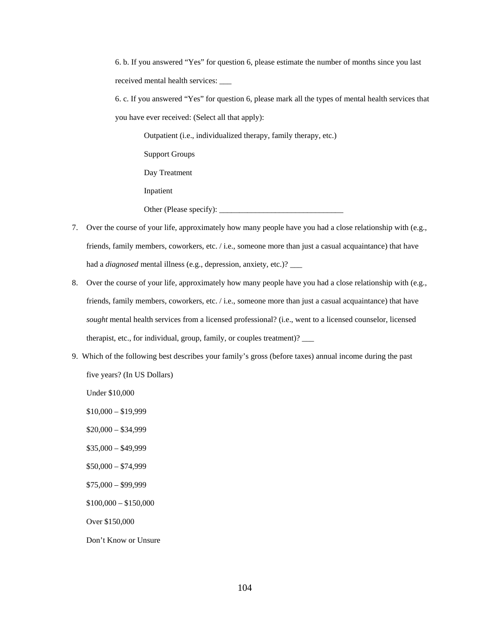6. b. If you answered "Yes" for question 6, please estimate the number of months since you last received mental health services:

6. c. If you answered "Yes" for question 6, please mark all the types of mental health services that you have ever received: (Select all that apply):

Outpatient (i.e., individualized therapy, family therapy, etc.) Support Groups Day Treatment Inpatient Other (Please specify):

- 7. Over the course of your life, approximately how many people have you had a close relationship with (e.g., friends, family members, coworkers, etc. / i.e., someone more than just a casual acquaintance) that have had a *diagnosed* mental illness (e.g., depression, anxiety, etc.)? \_\_\_
- 8. Over the course of your life, approximately how many people have you had a close relationship with (e.g., friends, family members, coworkers, etc. / i.e., someone more than just a casual acquaintance) that have *sought* mental health services from a licensed professional? (i.e., went to a licensed counselor, licensed therapist, etc., for individual, group, family, or couples treatment)? \_\_\_
- 9. Which of the following best describes your family's gross (before taxes) annual income during the past five years? (In US Dollars)

Under \$10,000

 $$10,000 - $19,999$ 

\$20,000 – \$34,999

\$35,000 – \$49,999

\$50,000 – \$74,999

\$75,000 – \$99,999

\$100,000 – \$150,000

Over \$150,000

Don't Know or Unsure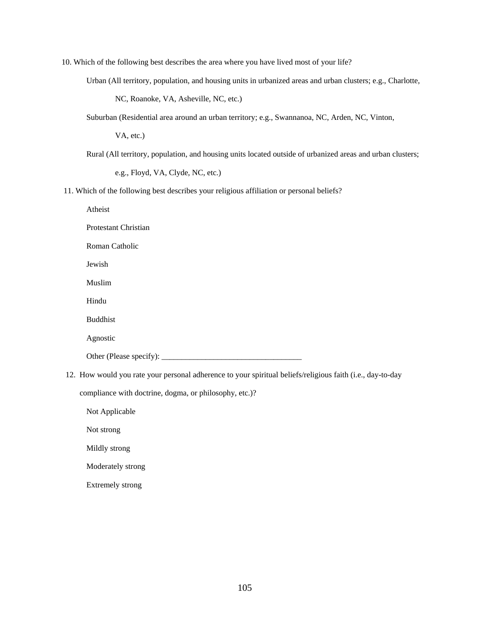10. Which of the following best describes the area where you have lived most of your life?

Urban (All territory, population, and housing units in urbanized areas and urban clusters; e.g., Charlotte,

NC, Roanoke, VA, Asheville, NC, etc.)

Suburban (Residential area around an urban territory; e.g., Swannanoa, NC, Arden, NC, Vinton,

VA, etc.)

Rural (All territory, population, and housing units located outside of urbanized areas and urban clusters;

e.g., Floyd, VA, Clyde, NC, etc.)

11. Which of the following best describes your religious affiliation or personal beliefs?

Atheist

Protestant Christian

Roman Catholic

Jewish

Muslim

Hindu

Buddhist

Agnostic

Other (Please specify): \_\_\_\_\_\_\_\_\_\_\_\_\_\_\_\_\_\_\_\_\_\_\_\_\_\_\_\_\_\_\_\_\_\_\_

12. How would you rate your personal adherence to your spiritual beliefs/religious faith (i.e., day-to-day

compliance with doctrine, dogma, or philosophy, etc.)?

Not Applicable

Not strong

Mildly strong

Moderately strong

Extremely strong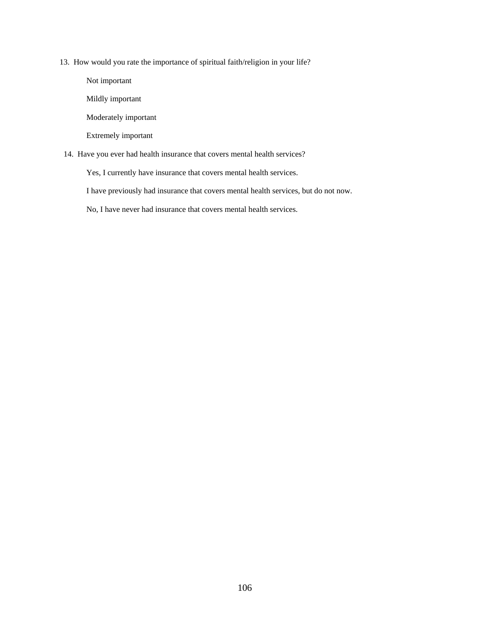13. How would you rate the importance of spiritual faith/religion in your life?

Not important Mildly important Moderately important Extremely important

14. Have you ever had health insurance that covers mental health services?

Yes, I currently have insurance that covers mental health services.

I have previously had insurance that covers mental health services, but do not now.

No, I have never had insurance that covers mental health services.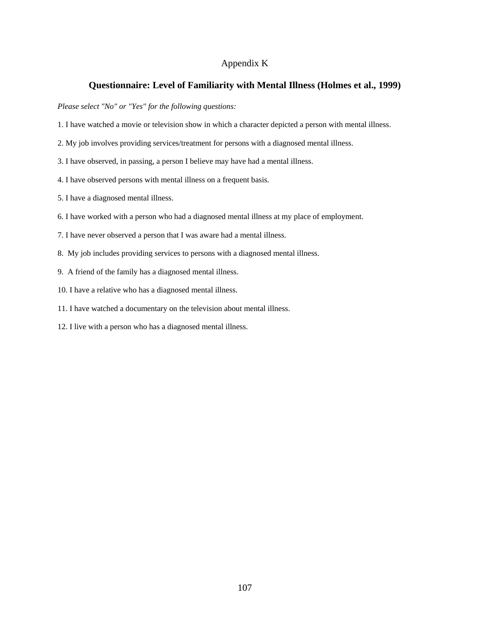### Appendix K

### **Questionnaire: Level of Familiarity with Mental Illness (Holmes et al., 1999)**

*Please select "No" or "Yes" for the following questions:*

- 1. I have watched a movie or television show in which a character depicted a person with mental illness.
- 2. My job involves providing services/treatment for persons with a diagnosed mental illness.
- 3. I have observed, in passing, a person I believe may have had a mental illness.
- 4. I have observed persons with mental illness on a frequent basis.
- 5. I have a diagnosed mental illness.
- 6. I have worked with a person who had a diagnosed mental illness at my place of employment.
- 7. I have never observed a person that I was aware had a mental illness.
- 8. My job includes providing services to persons with a diagnosed mental illness.
- 9. A friend of the family has a diagnosed mental illness.
- 10. I have a relative who has a diagnosed mental illness.
- 11. I have watched a documentary on the television about mental illness.
- 12. I live with a person who has a diagnosed mental illness.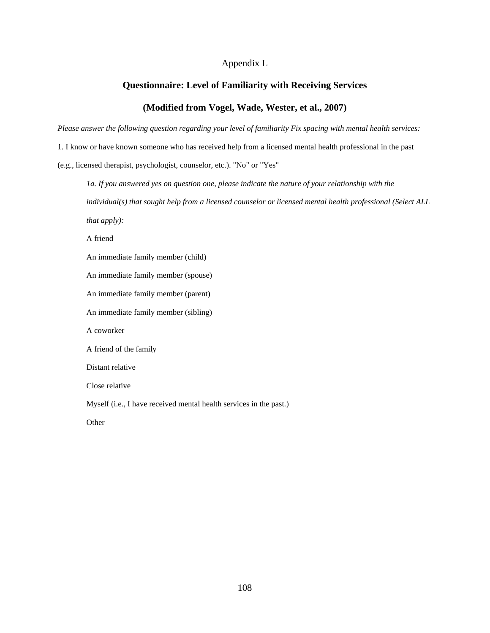### Appendix L

# **Questionnaire: Level of Familiarity with Receiving Services**

### **(Modified from Vogel, Wade, Wester, et al., 2007)**

*Please answer the following question regarding your level of familiarity Fix spacing with mental health services:*

1. I know or have known someone who has received help from a licensed mental health professional in the past

(e.g., licensed therapist, psychologist, counselor, etc.). "No" or "Yes"

*1a. If you answered yes on question one, please indicate the nature of your relationship with the individual(s) that sought help from a licensed counselor or licensed mental health professional (Select ALL that apply):*

A friend

An immediate family member (child)

An immediate family member (spouse)

An immediate family member (parent)

An immediate family member (sibling)

A coworker

A friend of the family

Distant relative

Close relative

Myself (i.e., I have received mental health services in the past.)

**Other**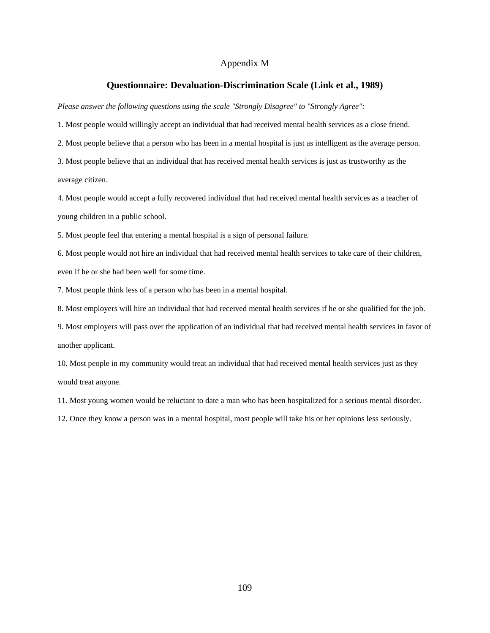#### Appendix M

#### **Questionnaire: Devaluation-Discrimination Scale (Link et al., 1989)**

*Please answer the following questions using the scale "Strongly Disagree" to "Strongly Agree":*

1. Most people would willingly accept an individual that had received mental health services as a close friend.

2. Most people believe that a person who has been in a mental hospital is just as intelligent as the average person.

3. Most people believe that an individual that has received mental health services is just as trustworthy as the average citizen.

4. Most people would accept a fully recovered individual that had received mental health services as a teacher of young children in a public school.

5. Most people feel that entering a mental hospital is a sign of personal failure.

6. Most people would not hire an individual that had received mental health services to take care of their children, even if he or she had been well for some time.

7. Most people think less of a person who has been in a mental hospital.

8. Most employers will hire an individual that had received mental health services if he or she qualified for the job.

9. Most employers will pass over the application of an individual that had received mental health services in favor of another applicant.

10. Most people in my community would treat an individual that had received mental health services just as they would treat anyone.

11. Most young women would be reluctant to date a man who has been hospitalized for a serious mental disorder.

12. Once they know a person was in a mental hospital, most people will take his or her opinions less seriously.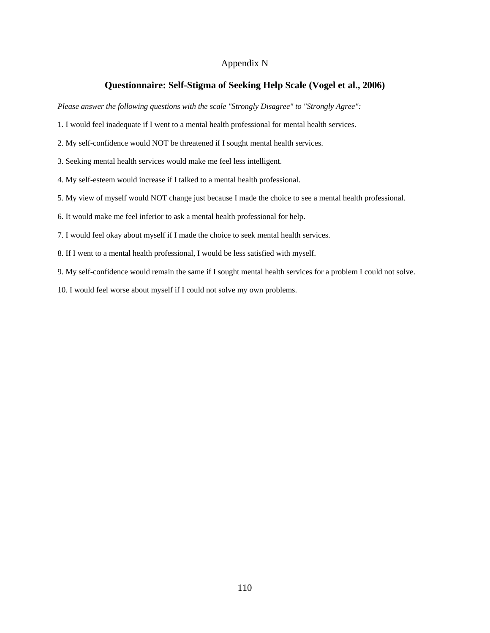### Appendix N

### **Questionnaire: Self-Stigma of Seeking Help Scale (Vogel et al., 2006)**

*Please answer the following questions with the scale "Strongly Disagree" to "Strongly Agree":*

- 1. I would feel inadequate if I went to a mental health professional for mental health services.
- 2. My self-confidence would NOT be threatened if I sought mental health services.
- 3. Seeking mental health services would make me feel less intelligent.
- 4. My self-esteem would increase if I talked to a mental health professional.
- 5. My view of myself would NOT change just because I made the choice to see a mental health professional.
- 6. It would make me feel inferior to ask a mental health professional for help.
- 7. I would feel okay about myself if I made the choice to seek mental health services.
- 8. If I went to a mental health professional, I would be less satisfied with myself.
- 9. My self-confidence would remain the same if I sought mental health services for a problem I could not solve.
- 10. I would feel worse about myself if I could not solve my own problems.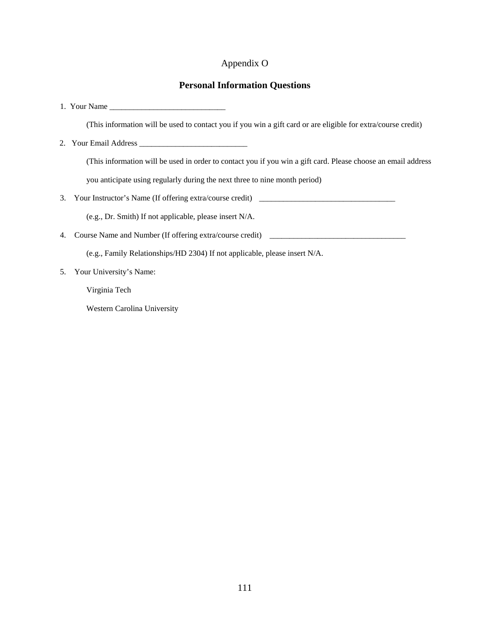# Appendix O

### **Personal Information Questions**

1. Your Name \_\_\_\_\_\_\_\_\_\_\_\_\_\_\_\_\_\_\_\_\_\_\_\_\_\_\_\_\_

(This information will be used to contact you if you win a gift card or are eligible for extra/course credit)

2. Your Email Address \_\_\_\_\_\_\_\_\_\_\_\_\_\_\_\_\_\_\_\_\_\_\_\_\_\_\_

(This information will be used in order to contact you if you win a gift card. Please choose an email address

you anticipate using regularly during the next three to nine month period)

3. Your Instructor's Name (If offering extra/course credit)

(e.g., Dr. Smith) If not applicable, please insert N/A.

4. Course Name and Number (If offering extra/course credit) \_\_\_\_\_\_\_\_\_\_\_\_\_\_\_\_\_\_\_\_\_\_\_\_\_\_\_\_\_\_\_\_\_\_

(e.g., Family Relationships/HD 2304) If not applicable, please insert N/A.

5. Your University's Name:

Virginia Tech

Western Carolina University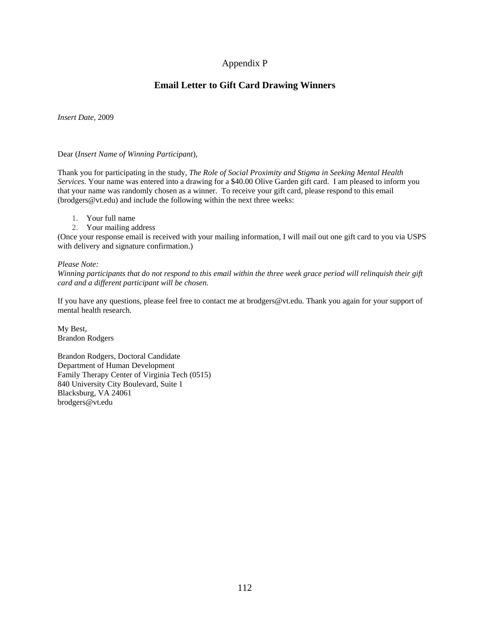# Appendix P

# **Email Letter to Gift Card Drawing Winners**

*Insert Date*, 2009

#### Dear (*Insert Name of Winning Participant*),

Thank you for participating in the study, *The Role of Social Proximity and Stigma in Seeking Mental Health Services.* Your name was entered into a drawing for a \$40.00 Olive Garden gift card. I am pleased to inform you that your name was randomly chosen as a winner. To receive your gift card, please respond to this email (brodgers@vt.edu) and include the following within the next three weeks:

- 1. Your full name
- 2. Your mailing address

(Once your response email is received with your mailing information, I will mail out one gift card to you via USPS with delivery and signature confirmation.)

#### *Please Note:*

*Winning participants that do not respond to this email within the three week grace period will relinquish their gift card and a different participant will be chosen.* 

If you have any questions, please feel free to contact me at brodgers@vt.edu. Thank you again for your support of mental health research.

My Best, Brandon Rodgers

Brandon Rodgers, Doctoral Candidate Department of Human Development Family Therapy Center of Virginia Tech (0515) 840 University City Boulevard, Suite 1 Blacksburg, VA 24061 brodgers@vt.edu